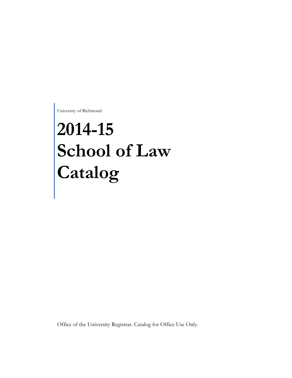University of Richmond

# **2014-15 School of Law Catalog**

Office of the University Registrar. Catalog for Office Use Only.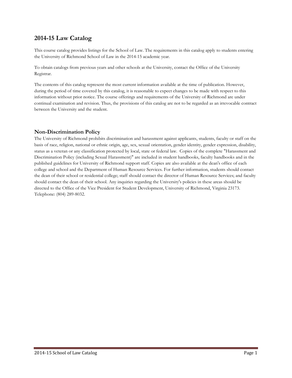# **2014-15 Law Catalog**

This course catalog provides listings for the School of Law. The requirements in this catalog apply to students entering the University of Richmond School of Law in the 2014-15 academic year.

To obtain catalogs from previous years and other schools at the University, contact the Office of the University Registrar.

The contents of this catalog represent the most current information available at the time of publication. However, during the period of time covered by this catalog, it is reasonable to expect changes to be made with respect to this information without prior notice. The course offerings and requirements of the University of Richmond are under continual examination and revision. Thus, the provisions of this catalog are not to be regarded as an irrevocable contract between the University and the student.

# **Non-Discrimination Policy**

The University of Richmond prohibits discrimination and harassment against applicants, students, faculty or staff on the basis of race, religion, national or ethnic origin, age, sex, sexual orientation, gender identity, gender expression, disability, status as a veteran or any classification protected by local, state or federal law. Copies of the complete "Harassment and Discrimination Policy (including Sexual Harassment)" are included in student handbooks, faculty handbooks and in the published guidelines for University of Richmond support staff. Copies are also available at the dean's office of each college and school and the Department of Human Resource Services. For further information, students should contact the dean of their school or residential college; staff should contact the director of Human Resource Services; and faculty should contact the dean of their school. Any inquiries regarding the University's policies in these areas should be directed to the Office of the Vice President for Student Development, University of Richmond, Virginia 23173. Telephone: (804) 289-8032.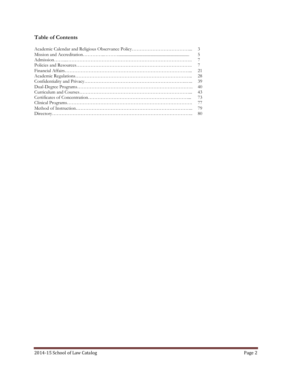# **Table of Contents**

| .5             |
|----------------|
|                |
| $\overline{7}$ |
| 21             |
| 28             |
| 39             |
| -40            |
| 43             |
| 73             |
| 77             |
| -79            |
|                |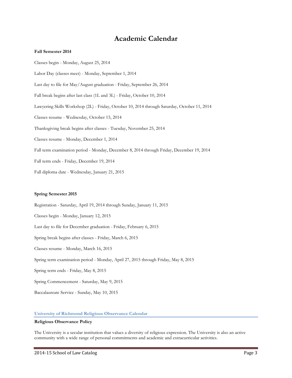# **Academic Calendar**

#### **Fall Semester 2014**

Classes begin - Monday, August 25, 2014 Labor Day (classes meet) - Monday, September 1, 2014 Last day to file for May/August graduation - Friday, September 26, 2014 Fall break begins after last class (1L and 3L) - Friday, October 10, 2014 Lawyering Skills Workshop (2L) - Friday, October 10, 2014 through Saturday, October 11, 2014 Classes resume - Wednesday, October 15, 2014 Thanksgiving break begins after classes - Tuesday, November 25, 2014 Classes resume - Monday, December 1, 2014 Fall term examination period - Monday, December 8, 2014 through Friday, December 19, 2014 Fall term ends - Friday, December 19, 2014 Fall diploma date - Wednesday, January 21, 2015

#### **Spring Semester 2015**

Registration - Saturday, April 19, 2014 through Sunday, January 11, 2015 Classes begin - Monday, January 12, 2015 Last day to file for December graduation - Friday, February 6, 2015 Spring break begins after classes - Friday, March 6, 2015 Classes resume - Monday, March 16, 2015 Spring term examination period - Monday, April 27, 2015 through Friday, May 8, 2015 Spring term ends - Friday, May 8, 2015 Spring Commencement - Saturday, May 9, 2015 Baccalaureate Service - Sunday, May 10, 2015

#### **University of Richmond Religious Observance Calendar**

#### **Religious Observance Policy**

The University is a secular institution that values a diversity of religious expression. The University is also an active community with a wide range of personal commitments and academic and extracurricular activities.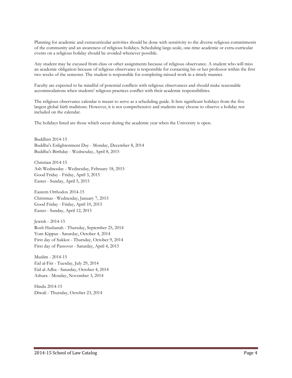Planning for academic and extracurricular activities should be done with sensitivity to the diverse religious commitments of the community and an awareness of religious holidays. Scheduling large-scale, one-time academic or extra-curricular events on a religious holiday should be avoided whenever possible.

Any student may be excused from class or other assignments because of religious observance. A student who will miss an academic obligation because of religious observance is responsible for contacting his or her professor within the first two weeks of the semester. The student is responsible for completing missed work in a timely manner.

Faculty are expected to be mindful of potential conflicts with religious observances and should make reasonable accommodations when students' religious practices conflict with their academic responsibilities.

The religious observance calendar is meant to serve as a scheduling guide. It lists significant holidays from the five largest global faith traditions. However, it is not comprehensive and students may choose to observe a holiday not included on the calendar.

The holidays listed are those which occur during the academic year when the University is open.

Buddhist 2014-15 Buddha's Enlightenment Day - Monday, December 8, 2014 Buddha's Birthday - Wednesday, April 8, 2015

Christian 2014-15 Ash Wednesday - Wednesday, February 18, 2015 Good Friday - Friday, April 3, 2015 Easter - Sunday, April 5, 2015

Eastern Orthodox 2014-15 Christmas - Wednesday, January 7, 2015 Good Friday - Friday, April 10, 2015 Easter - Sunday, April 12, 2015

Jewish - 2014-15 Rosh Hashanah - Thursday, September 25, 2014 Yom Kippur - Saturday, October 4, 2014 First day of Sukkot - Thursday, October 9, 2014 First day of Passover - Saturday, April 4, 2015

Muslim - 2014-15 Eid al-Fitr - Tuesday, July 29, 2014 Eid al-Adha - Saturday, October 4, 2014 Ashura - Monday, November 3, 2014

Hindu 2014-15 Diwali - Thursday, October 23, 2014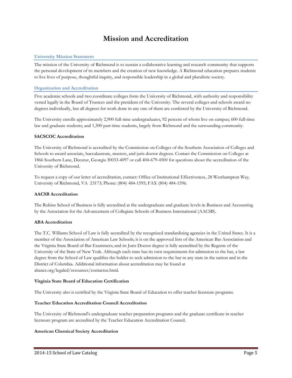# **Mission and Accreditation**

#### **University Mission Statement**

The mission of the University of Richmond is to sustain a collaborative learning and research community that supports the personal development of its members and the creation of new knowledge. A Richmond education prepares students to live lives of purpose, thoughtful inquiry, and responsible leadership in a global and pluralistic society.

#### **Organization and Accreditation**

Five academic schools and two coordinate colleges form the University of Richmond, with authority and responsibility vested legally in the Board of Trustees and the president of the University. The several colleges and schools award no degrees individually, but all degrees for work done in any one of them are conferred by the University of Richmond.

The University enrolls approximately 2,900 full-time undergraduates, 92 percent of whom live on campus; 600 full-time law and graduate students; and 1,300 part-time students, largely from Richmond and the surrounding community.

#### **SACSCOC Accreditation**

The University of Richmond is accredited by the Commission on Colleges of the Southern Association of Colleges and Schools to award associate, baccalaureate, masters, and juris doctor degrees. Contact the Commission on Colleges at 1866 Southern Lane, Decatur, Georgia 30033-4097 or call 404-679-4500 for questions about the accreditation of the University of Richmond.

To request a copy of our letter of accreditation, contact: Office of Institutional Effectiveness, 28 Westhampton Way, University of Richmond, VA 23173; Phone: (804) 484-1595; FAX (804) 484-1596.

#### **AACSB Accreditation**

The Robins School of Business is fully accredited at the undergraduate and graduate levels in Business and Accounting by the Association for the Advancement of Collegiate Schools of Business International (AACSB).

#### **ABA Accreditation**

The T.C. Williams School of Law is fully accredited by the recognized standardizing agencies in the United States. It is a member of the Association of American Law Schools; it is on the approved lists of the American Bar Association and the Virginia State Board of Bar Examiners; and its Juris Doctor degree is fully accredited by the Regents of the University of the State of New York. Although each state has its own requirements for admission to the bar, a law degree from the School of Law qualifies the holder to seek admission to the bar in any state in the nation and in the District of Columbia. Additional information about accreditation may be found at abanet.org/legaled/resources/contactus.html.

#### **Virginia State Board of Education Certification**

The University also is certified by the Virginia State Board of Education to offer teacher licensure programs.

#### **Teacher Education Accreditation Council Accreditation**

The University of Richmond's undergraduate teacher preparation programs and the graduate certificate in teacher licensure program are accredited by the Teacher Education Accreditation Council.

#### **American Chemical Society Accreditation**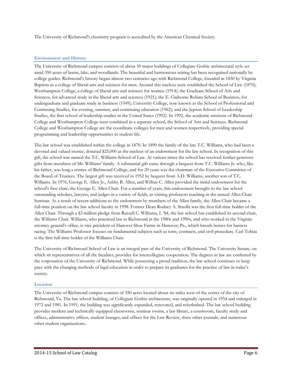The University of Richmond's chemistry program is accredited by the American Chemical Society.

# **Environment and History**

The University of Richmond campus consists of about 50 major buildings of Collegiate Gothic architectural style set amid 350 acres of lawns, lake, and woodlands. The beautiful and harmonious setting has been recognized nationally by college guides. Richmond's history began almost two centuries ago with Richmond College, founded in 1830 by Virginia Baptists as a college of liberal arts and sciences for men. Around this nucleus were established the School of Law (1870); Westhampton College, a college of liberal arts and sciences for women (1914); the Graduate School of Arts and Sciences, for advanced study in the liberal arts and sciences (1921); the E. Claiborne Robins School of Business, for undergraduate and graduate study in business (1949); University College, now known as the School of Professional and Continuing Studies, for evening, summer, and continuing education (1962); and the Jepson School of Leadership Studies, the first school of leadership studies in the United States (1992). In 1992, the academic missions of Richmond College and Westhampton College were combined in a separate school, the School of Arts and Sciences. Richmond College and Westhampton College are the coordinate colleges for men and women respectively, providing special programming and leadership opportunities in student life.

The law school was established within the college in 1870. In 1890 the family of the late T.C. Williams, who had been a devoted and valued trustee, donated \$25,000 as the nucleus of an endowment for the law school. In recognition of this gift, the school was named the T.C. Williams School of Law. At various times the school has received further generous gifts from members of Mr. Williams' family. A substantial gift came through a bequest from T.C. Williams Jr. who, like his father, was long a trustee of Richmond College, and for 20 years was the chairman of the Executive Committee of the Board of Trustees. The largest gift was received in 1952 by bequest from A.D. Williams, another son of T.C. Williams. In 1976, George E. Allen Jr., Ashby B. Allen, and Wilbur C. Allen provided the initial endowment for the school's first chair, the George E. Allen Chair. For a number of years, this endowment brought to the law school outstanding scholars, lawyers, and judges in a variety of fields, as visiting professors teaching in the annual Allen Chair Seminar. As a result of recent additions to the endowment by members of the Allen family, the Allen Chair became a full-time position on the law school faculty in 1998. Former Dean Rodney A. Smolla was the first full-time holder of the Allen Chair. Through a \$2 million pledge from Russell C. Williams, L '84, the law school has established its second chair, the Williams Chair. Williams, who practiced law in Richmond in the 1980s and 1990s, and who worked in the Virginia attorney general's office, is vice president of Hanover Shoe Farms in Hanover, Pa., which breeds horses for harness racing. The Williams Professor focuses on fundamental subjects such as torts, contracts, and civil procedure. Carl Tobias is the first full-time holder of the Williams Chair.

The University of Richmond School of Law is an integral part of the University of Richmond. The University Senate, on which sit representatives of all the faculties, provides for intercollegiate cooperation. The degrees in law are conferred by the corporation of the University of Richmond. While possessing a proud tradition, the law school continues to keep pace with the changing methods of legal education in order to prepare its graduates for the practice of law in today's society.

#### **Location**

The University of Richmond campus consists of 350 acres located about six miles west of the center of the city of Richmond, Va. The law school building, of Collegiate Gothic architecture, was originally opened in 1954 and enlarged in 1972 and 1981. In 1991, the building was significantly expanded, renovated, and refurbished. The law school building provides modern and technically equipped classrooms, seminar rooms, a law library, a courtroom, faculty study and offices, administrative offices, student lounges, and offices for the Law Review, three other journals, and numerous other student organizations.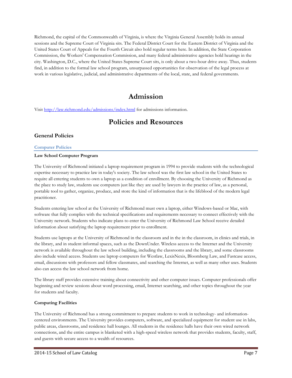Richmond, the capital of the Commonwealth of Virginia, is where the Virginia General Assembly holds its annual sessions and the Supreme Court of Virginia sits. The Federal District Court for the Eastern District of Virginia and the United States Court of Appeals for the Fourth Circuit also hold regular terms here. In addition, the State Corporation Commission, the Workers' Compensation Commission, and many federal administrative agencies hold hearings in the city. Washington, D.C., where the United States Supreme Court sits, is only about a two-hour drive away. Thus, students find, in addition to the formal law school program, unsurpassed opportunities for observation of the legal process at work in various legislative, judicial, and administrative departments of the local, state, and federal governments.

# **Admission**

Visit http://law.richmond.edu/admissions/index.html for admissions information.

# **Policies and Resources**

# **General Policies**

#### **Computer Policies**

#### **Law School Computer Program**

The University of Richmond initiated a laptop requirement program in 1994 to provide students with the technological expertise necessary to practice law in today's society. The law school was the first law school in the United States to require all entering students to own a laptop as a condition of enrollment. By choosing the University of Richmond as the place to study law, students use computers just like they are used by lawyers in the practice of law, as a personal, portable tool to gather, organize, produce, and store the kind of information that is the lifeblood of the modern legal practitioner.

Students entering law school at the University of Richmond must own a laptop, either Windows-based or Mac, with software that fully complies with the technical specifications and requirements necessary to connect effectively with the University network. Students who indicate plans to enter the University of Richmond Law School receive detailed information about satisfying the laptop requirement prior to enrollment.

Students use laptops at the University of Richmond in the classroom and in the in the classroom, in clinics and trials, in the library, and in student informal spaces, such as the DownUnder. Wireless access to the Internet and the University network is available throughout the law school building, including the classrooms and the library, and some classrooms also include wired access. Students use laptop computers for Westlaw, LexisNexis, Bloomberg Law, and Fastcase access, email, discussions with professors and fellow classmates, and searching the Internet, as well as many other uses. Students also can access the law school network from home.

The library staff provides extensive training about connectivity and other computer issues. Computer professionals offer beginning and review sessions about word processing, email, Internet searching, and other topics throughout the year for students and faculty.

# **Computing Facilities**

The University of Richmond has a strong commitment to prepare students to work in technology- and informationcentered environments. The University provides computers, software, and specialized equipment for student use in labs, public areas, classrooms, and residence hall lounges. All students in the residence halls have their own wired network connections, and the entire campus is blanketed with a high-speed wireless network that provides students, faculty, staff, and guests with secure access to a wealth of resources.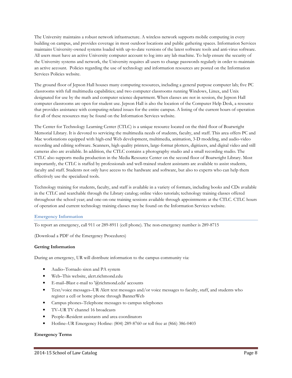The University maintains a robust network infrastructure. A wireless network supports mobile computing in every building on campus, and provides coverage in most outdoor locations and public gathering spaces. Information Services maintains University-owned systems loaded with up-to-date versions of the latest software tools and anti-virus software. All users must have an active University computer account to log into any lab machine. To help ensure the security of the University systems and network, the University requires all users to change passwords regularly in order to maintain an active account. Policies regarding the use of technology and information resources are posted on the Information Services Policies website.

The ground floor of Jepson Hall houses many computing resources, including a general purpose computer lab; five PC classrooms with full multimedia capabilities; and two computer classrooms running Windows, Linux, and Unix designated for use by the math and computer science department. When classes are not in session, the Jepson Hall computer classrooms are open for student use. Jepson Hall is also the location of the Computer Help Desk, a resource that provides assistance with computing-related issues for the entire campus. A listing of the current hours of operation for all of these resources may be found on the Information Services website.

The Center for Technology Learning Center (CTLC) is a unique resource located on the third floor of Boatwright Memorial Library. It is devoted to servicing the multimedia needs of students, faculty, and staff. This area offers PC and Mac workstations equipped with high-end Web development, multimedia, animation, 3-D modeling, and audio-video recording and editing software. Scanners, high quality printers, large-format plotters, digitizers, and digital video and still cameras also are available. In addition, the CTLC contains a photography studio and a small recording studio. The CTLC also supports media production in the Media Resource Center on the second floor of Boatwright Library. Most importantly, the CTLC is staffed by professionals and well-trained student assistants are available to assist students, faculty and staff. Students not only have access to the hardware and software, but also to experts who can help them effectively use the specialized tools.

Technology training for students, faculty, and staff is available in a variety of formats, including books and CDs available in the CTLC and searchable through the Library catalog; online video tutorials; technology training classes offered throughout the school year; and one-on-one training sessions available through appointments at the CTLC. CTLC hours of operation and current technology training classes may be found on the Information Services website.

#### **Emergency Information**

To report an emergency, call 911 or 289-8911 (cell phone). The non-emergency number is 289-8715

(Download a PDF of the Emergency Procedures)

#### **Getting Information**

During an emergency, UR will distribute information to the campus community via:

- Audio–Tornado siren and PA system
- Web–This website, alert.richmond.edu
- E-mail–Blast e-mail to '@richmond.edu' accounts
- Text/voice messages–UR Alert text messages and/or voice messages to faculty, staff, and students who register a cell or home phone through BannerWeb
- Campus phones–Telephone messages to campus telephones
- TV–UR TV channel 16 broadcasts
- People–Resident assistants and area coordinators
- Hotline–UR Emergency Hotline: (804) 289-8760 or toll free at (866) 386-0403

#### **Emergency Terms**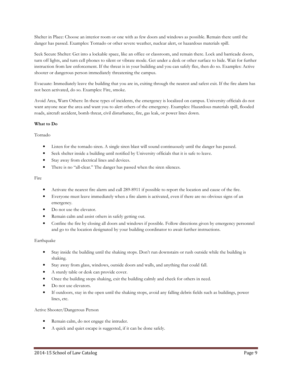Shelter in Place: Choose an interior room or one with as few doors and windows as possible. Remain there until the danger has passed. Examples: Tornado or other severe weather, nuclear alert, or hazardous materials spill.

Seek Secure Shelter: Get into a lockable space, like an office or classroom, and remain there. Lock and barricade doors, turn off lights, and turn cell phones to silent or vibrate mode. Get under a desk or other surface to hide. Wait for further instruction from law enforcement. If the threat is in your building and you can safely flee, then do so. Examples: Active shooter or dangerous person immediately threatening the campus.

Evacuate: Immediately leave the building that you are in, exiting through the nearest and safest exit. If the fire alarm has not been activated, do so. Examples: Fire, smoke.

Avoid Area, Warn Others: In these types of incidents, the emergency is localized on campus. University officials do not want anyone near the area and want you to alert others of the emergency. Examples: Hazardous materials spill, flooded roads, aircraft accident, bomb threat, civil disturbance, fire, gas leak, or power lines down.

#### **What to Do**

Tornado

- Listen for the tornado siren. A single siren blast will sound continuously until the danger has passed.
- Seek shelter inside a building until notified by University officials that it is safe to leave.
- Stay away from electrical lines and devices.
- There is no "all-clear." The danger has passed when the siren silences.

#### Fire

- Activate the nearest fire alarm and call 289-8911 if possible to report the location and cause of the fire.
- Everyone must leave immediately when a fire alarm is activated, even if there are no obvious signs of an emergency.
- Do not use the elevator.
- Remain calm and assist others in safely getting out.
- Confine the fire by closing all doors and windows if possible. Follow directions given by emergency personnel and go to the location designated by your building coordinator to await further instructions.

#### Earthquake

- Stay inside the building until the shaking stops. Don't run downstairs or rush outside while the building is shaking.
- Stay away from glass, windows, outside doors and walls, and anything that could fall.
- A sturdy table or desk can provide cover.
- Once the building stops shaking, exit the building calmly and check for others in need.
- Do not use elevators.
- If outdoors, stay in the open until the shaking stops, avoid any falling debris fields such as buildings, power lines, etc.

#### Active Shooter/Dangerous Person

- Remain calm, do not engage the intruder.
- A quick and quiet escape is suggested, if it can be done safely.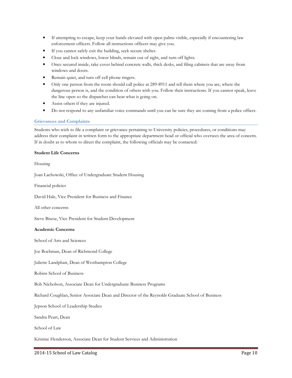- If attempting to escape, keep your hands elevated with open palms visible, especially if encountering law enforcement officers. Follow all instructions officers may give you.
- If you cannot safely exit the building, seek secure shelter.
- Close and lock windows, lower blinds, remain out of sight, and turn off lights.
- Once secured inside, take cover behind concrete walls, thick desks, and filing cabinets that are away from windows and doors.
- Remain quiet, and turn off cell phone ringers.
- Only one person from the room should call police at 289-8911 and tell them where you are, where the dangerous person is, and the condition of others with you. Follow their instructions. If you cannot speak, leave the line open so the dispatcher can hear what is going on.
- Assist others if they are injured.
- Do not respond to any unfamiliar voice commands until you can be sure they are coming from a police officer.

#### **Grievances and Complaints**

Students who wish to file a complaint or grievance pertaining to University policies, procedures, or conditions may address their complaint in written form to the appropriate department head or official who oversees the area of concern. If in doubt as to whom to direct the complaint, the following officials may be contacted:

#### **Student Life Concerns**

Housing

Joan Lachowski, Office of Undergraduate Student Housing

Financial policies

David Hale, Vice President for Business and Finance

All other concerns

Steve Bisese, Vice President for Student Development

#### **Academic Concerns**

School of Arts and Sciences

Joe Boehman, Dean of Richmond College

Juliette Landphair, Dean of Westhampton College

Robins School of Business

Bob Nicholson, Associate Dean for Undergraduate Business Programs

Richard Coughlan, Senior Associate Dean and Director of the Reynolds Graduate School of Business

Jepson School of Leadership Studies

Sandra Peart, Dean

School of Law

Kristine Henderson, Associate Dean for Student Services and Administration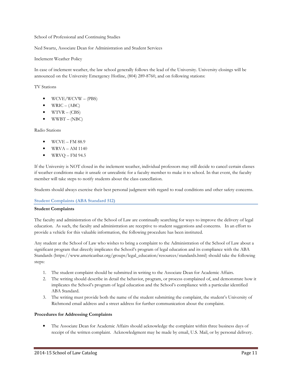School of Professional and Continuing Studies

Ned Swartz, Associate Dean for Administration and Student Services

Inclement Weather Policy

In case of inclement weather, the law school generally follows the lead of the University. University closings will be announced on the University Emergency Hotline, (804) 289-8760, and on following stations:

TV Stations

- WCVE/WCVW (PBS)
- WRIC  $(ABC)$
- $WTVR (CBS)$
- $\bullet$  WWBT (NBC)

Radio Stations

- WCVE FM 88.9
- $\bullet$  WRVA AM 1140
- $\bullet$  WRVQ FM 94.5

If the University is NOT closed in the inclement weather, individual professors may still decide to cancel certain classes if weather conditions make it unsafe or unrealistic for a faculty member to make it to school. In that event, the faculty member will take steps to notify students about the class cancellation.

Students should always exercise their best personal judgment with regard to road conditions and other safety concerns.

#### **Student Complaints (ABA Standard 512)**

#### **Student Complaints**

The faculty and administration of the School of Law are continually searching for ways to improve the delivery of legal education. As such, the faculty and administration are receptive to student suggestions and concerns. In an effort to provide a vehicle for this valuable information, the following procedure has been instituted.

Any student at the School of Law who wishes to bring a complaint to the Administration of the School of Law about a significant program that directly implicates the School's program of legal education and its compliance with the ABA Standards (https://www.americanbar.org/groups/legal\_education/resources/standards.html) should take the following steps:

- 1. The student complaint should be submitted in writing to the Associate Dean for Academic Affairs.
- 2. The writing should describe in detail the behavior, program, or process complained of, and demonstrate how it implicates the School's program of legal education and the School's compliance with a particular identified ABA Standard.
- 3. The writing must provide both the name of the student submitting the complaint, the student's University of Richmond email address and a street address for further communication about the complaint.

#### **Procedures for Addressing Complaints**

• The Associate Dean for Academic Affairs should acknowledge the complaint within three business days of receipt of the written complaint. Acknowledgment may be made by email, U.S. Mail, or by personal delivery.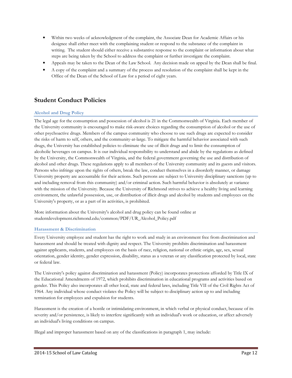- Within two weeks of acknowledgment of the complaint, the Associate Dean for Academic Affairs or his designee shall either meet with the complaining student or respond to the substance of the complaint in writing. The student should either receive a substantive response to the complaint or information about what steps are being taken by the School to address the complaint or further investigate the complaint.
- Appeals may be taken to the Dean of the Law School. Any decision made on appeal by the Dean shall be final.
- A copy of the complaint and a summary of the process and resolution of the complaint shall be kept in the Office of the Dean of the School of Law for a period of eight years.

# **Student Conduct Policies**

# **Alcohol and Drug Policy**

The legal age for the consumption and possession of alcohol is 21 in the Commonwealth of Virginia. Each member of the University community is encouraged to make risk-aware choices regarding the consumption of alcohol or the use of other psychoactive drugs. Members of the campus community who choose to use such drugs are expected to consider the risks of harm to self, others, and the community-at-large. To mitigate the harmful behavior associated with such drugs, the University has established policies to eliminate the use of illicit drugs and to limit the consumption of alcoholic beverages on campus. It is our individual responsibility to understand and abide by the regulations as defined by the University, the Commonwealth of Virginia, and the federal government governing the use and distribution of alcohol and other drugs. These regulations apply to all members of the University community and its guests and visitors. Persons who infringe upon the rights of others, break the law, conduct themselves in a disorderly manner, or damage University property are accountable for their actions. Such persons are subject to University disciplinary sanctions (up to and including removal from this community) and/or criminal action. Such harmful behavior is absolutely at variance with the mission of the University. Because the University of Richmond strives to achieve a healthy living and learning environment, the unlawful possession, use, or distribution of illicit drugs and alcohol by students and employees on the University's property, or as a part of its activities, is prohibited.

More information about the University's alcohol and drug policy can be found online at studentdevelopment.richmond.edu/common/PDF/UR\_Alcohol\_Policy.pdf

#### **Harassment & Discrimination**

Every University employee and student has the right to work and study in an environment free from discrimination and harassment and should be treated with dignity and respect. The University prohibits discrimination and harassment against applicants, students, and employees on the basis of race, religion, national or ethnic origin, age, sex, sexual orientation, gender identity, gender expression, disability, status as a veteran or any classification protected by local, state or federal law.

The University's policy against discrimination and harassment (Policy) incorporates protections afforded by Title IX of the Educational Amendments of 1972, which prohibits discrimination in educational programs and activities based on gender. This Policy also incorporates all other local, state and federal laws, including Title VII of the Civil Rights Act of 1964. Any individual whose conduct violates the Policy will be subject to disciplinary action up to and including termination for employees and expulsion for students.

Harassment is the creation of a hostile or intimidating environment, in which verbal or physical conduct, because of its severity and/or persistence, is likely to interfere significantly with an individual's work or education, or affect adversely an individual's living conditions on campus.

Illegal and improper harassment based on any of the classifications in paragraph 1, may include: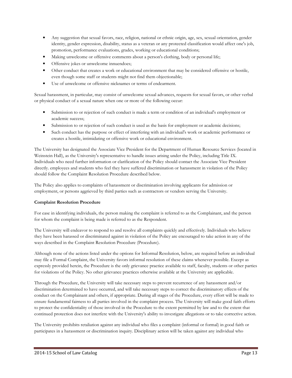- Any suggestion that sexual favors, race, religion, national or ethnic origin, age, sex, sexual orientation, gender identity, gender expression, disability, status as a veteran or any protected classification would affect one's job, promotion, performance evaluations, grades, working or educational conditions;
- Making unwelcome or offensive comments about a person's clothing, body or personal life;
- Offensive jokes or unwelcome innuendoes;
- Other conduct that creates a work or educational environment that may be considered offensive or hostile, even though some staff or students might not find them objectionable;
- Use of unwelcome or offensive nicknames or terms of endearment.

Sexual harassment, in particular, may consist of unwelcome sexual advances, requests for sexual favors, or other verbal or physical conduct of a sexual nature when one or more of the following occur:

- Submission to or rejection of such conduct is made a term or condition of an individual's employment or academic success;
- Submission to or rejection of such conduct is used as the basis for employment or academic decisions;
- Such conduct has the purpose or effect of interfering with an individual's work or academic performance or creates a hostile, intimidating or offensive work or educational environment.

The University has designated the Associate Vice President for the Department of Human Resource Services (located in Weinstein Hall), as the University's representative to handle issues arising under the Policy, including Title IX. Individuals who need further information or clarification of the Policy should contact the Associate Vice President directly. employees and students who feel they have suffered discrimination or harassment in violation of the Policy should follow the Complaint Resolution Procedure described below.

The Policy also applies to complaints of harassment or discrimination involving applicants for admission or employment, or persons aggrieved by third parties such as contractors or vendors serving the University.

# **Complaint Resolution Procedure**

For ease in identifying individuals, the person making the complaint is referred to as the Complainant, and the person for whom the complaint is being made is referred to as the Respondent.

The University will endeavor to respond to and resolve all complaints quickly and effectively. Individuals who believe they have been harassed or discriminated against in violation of the Policy are encouraged to take action in any of the ways described in the Complaint Resolution Procedure (Procedure).

Although none of the actions listed under the options for Informal Resolution, below, are required before an individual may file a Formal Complaint, the University favors informal resolution of these claims whenever possible. Except as expressly provided herein, the Procedure is the only grievance practice available to staff, faculty, students or other parties for violations of the Policy. No other grievance practices otherwise available at the University are applicable.

Through the Procedure, the University will take necessary steps to prevent recurrence of any harassment and/or discrimination determined to have occurred, and will take necessary steps to correct the discriminatory effects of the conduct on the Complainant and others, if appropriate. During all stages of the Procedure, every effort will be made to ensure fundamental fairness to all parties involved in the complaint process. The University will make good faith efforts to protect the confidentiality of those involved in the Procedure to the extent permitted by law and to the extent that continued protection does not interfere with the University's ability to investigate allegations or to take corrective action.

The University prohibits retaliation against any individual who files a complaint (informal or formal) in good faith or participates in a harassment or discrimination inquiry. Disciplinary action will be taken against any individual who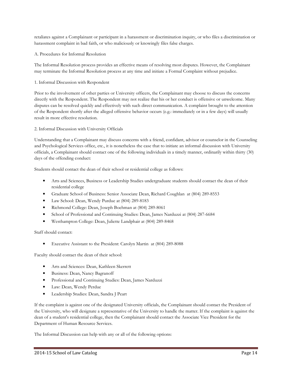retaliates against a Complainant or participant in a harassment or discrimination inquiry, or who files a discrimination or harassment complaint in bad faith, or who maliciously or knowingly files false charges.

A. Procedures for Informal Resolution

The Informal Resolution process provides an effective means of resolving most disputes. However, the Complainant may terminate the Informal Resolution process at any time and initiate a Formal Complaint without prejudice.

#### 1. Informal Discussion with Respondent

Prior to the involvement of other parties or University officers, the Complainant may choose to discuss the concerns directly with the Respondent. The Respondent may not realize that his or her conduct is offensive or unwelcome. Many disputes can be resolved quickly and effectively with such direct communication. A complaint brought to the attention of the Respondent shortly after the alleged offensive behavior occurs (e.g.: immediately or in a few days) will usually result in more effective resolution.

2. Informal Discussion with University Officials

Understanding that a Complainant may discuss concerns with a friend, confidant, advisor or counselor in the Counseling and Psychological Services office, etc., it is nonetheless the case that to initiate an informal discussion with University officials, a Complainant should contact one of the following individuals in a timely manner, ordinarily within thirty (30) days of the offending conduct:

Students should contact the dean of their school or residential college as follows:

- Arts and Sciences, Business or Leadership Studies undergraduate students should contact the dean of their residential college
- Graduate School of Business: Senior Associate Dean, Richard Coughlan at (804) 289-8553
- Law School: Dean, Wendy Purdue at (804) 289-8183
- Richmond College: Dean, Joseph Boehman at (804) 289-8061
- School of Professional and Continuing Studies: Dean, James Narduzzi at (804) 287-6684
- Westhampton College: Dean, Juliette Landphair at (804) 289-8468

Staff should contact:

• Executive Assistant to the President: Carolyn Martin at (804) 289-8088

Faculty should contact the dean of their school:

- Arts and Sciences: Dean, Kathleen Skerrett
- Business: Dean, Nancy Bagranoff
- Professional and Continuing Studies: Dean, James Narduzzi
- Law: Dean, Wendy Perdue
- Leadership Studies: Dean, Sandra J Peart

If the complaint is against one of the designated University officials, the Complainant should contact the President of the University, who will designate a representative of the University to handle the matter. If the complaint is against the dean of a student's residential college, then the Complainant should contact the Associate Vice President for the Department of Human Resource Services.

The Informal Discussion can help with any or all of the following options: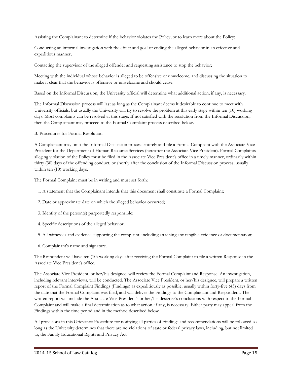Assisting the Complainant to determine if the behavior violates the Policy, or to learn more about the Policy;

Conducting an informal investigation with the effect and goal of ending the alleged behavior in an effective and expeditious manner;

Contacting the supervisor of the alleged offender and requesting assistance to stop the behavior;

Meeting with the individual whose behavior is alleged to be offensive or unwelcome, and discussing the situation to make it clear that the behavior is offensive or unwelcome and should cease.

Based on the Informal Discussion, the University official will determine what additional action, if any, is necessary.

The Informal Discussion process will last as long as the Complainant deems it desirable to continue to meet with University officials, but usually the University will try to resolve the problem at this early stage within ten (10) working days. Most complaints can be resolved at this stage. If not satisfied with the resolution from the Informal Discussion, then the Complainant may proceed to the Formal Complaint process described below.

B. Procedures for Formal Resolution

A Complainant may omit the Informal Discussion process entirely and file a Formal Complaint with the Associate Vice President for the Department of Human Resource Services (hereafter the Associate Vice President). Formal Complaints alleging violation of the Policy must be filed in the Associate Vice President's office in a timely manner, ordinarily within thirty (30) days of the offending conduct, or shortly after the conclusion of the Informal Discussion process, usually within ten (10) working days.

The Formal Complaint must be in writing and must set forth:

- 1. A statement that the Complainant intends that this document shall constitute a Formal Complaint;
- 2. Date or approximate date on which the alleged behavior occurred;
- 3. Identity of the person(s) purportedly responsible;
- 4. Specific descriptions of the alleged behavior;
- 5. All witnesses and evidence supporting the complaint, including attaching any tangible evidence or documentation;
- 6. Complainant's name and signature.

The Respondent will have ten (10) working days after receiving the Formal Complaint to file a written Response in the Associate Vice President's office.

The Associate Vice President, or her/his designee, will review the Formal Complaint and Response. An investigation, including relevant interviews, will be conducted. The Associate Vice President, or her/his designee, will prepare a written report of the Formal Complaint Findings (Findings) as expeditiously as possible, usually within forty-five (45) days from the date that the Formal Complaint was filed, and will deliver the Findings to the Complainant and Respondent. The written report will include the Associate Vice President's or her/his designee's conclusions with respect to the Formal Complaint and will make a final determination as to what action, if any, is necessary. Either party may appeal from the Findings within the time period and in the method described below.

All provisions in this Grievance Procedure for notifying all parties of Findings and recommendations will be followed so long as the University determines that there are no violations of state or federal privacy laws, including, but not limited to, the Family Educational Rights and Privacy Act.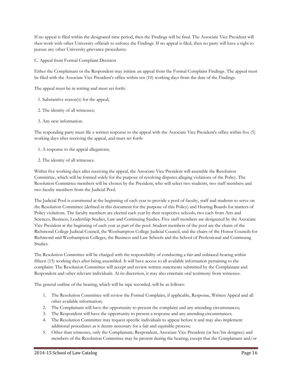If no appeal is filed within the designated time period, then the Findings will be final. The Associate Vice President will then work with other University officials to enforce the Findings. If no appeal is filed, then no party will have a right to pursue any other University grievance procedures.

C. Appeal from Formal Complaint Decision

Either the Complainant or the Respondent may initiate an appeal from the Formal Complaint Findings. The appeal must be filed with the Associate Vice President's office within ten (10) working days from the date of the Findings.

The appeal must be in writing and must set forth:

- 1. Substantive reason(s) for the appeal;
- 2. The identity of all witnesses;
- 3. Any new information.

The responding party must file a written response to the appeal with the Associate Vice President's office within five (5) working days after receiving the appeal, and must set forth:

- 1. A response to the appeal allegations;
- 2. The identity of all witnesses.

Within five working days after receiving the appeal, the Associate Vice President will assemble the Resolution Committee, which will be formed solely for the purpose of resolving disputes alleging violations of the Policy. The Resolution Committee members will be chosen by the President, who will select two students, two staff members and two faculty members from the Judicial Pool.

The Judicial Pool is constituted at the beginning of each year to provide a pool of faculty, staff and students to serve on the Resolution Committee (defined in this document for the purpose of this Policy) and Hearing Boards for matters of Policy violations. The faculty members are elected each year by their respective schools, two each from Arts and Sciences, Business, Leadership Studies, Law and Continuing Studies. Five staff members are designated by the Associate Vice President at the beginning of each year as part of the pool. Student members of the pool are the chairs of the Richmond College Judicial Council, the Westhampton College Judicial Council, and the chairs of the Honor Councils for Richmond and Westhampton Colleges, the Business and Law Schools and the School of Professional and Continuing Studies.

The Resolution Committee will be charged with the responsibility of conducting a fair and unbiased hearing within fifteen (15) working days after being assembled. It will have access to all available information pertaining to the complaint. The Resolution Committee will accept and review written statements submitted by the Complainant and Respondent and other relevant individuals. At its discretion, it may also entertain oral testimony from witnesses.

The general outline of the hearing, which will be tape recorded, will be as follows:

- 1. The Resolution Committee will review the Formal Complaint, if applicable, Response, Written Appeal and all other available information;
- 2. The Complainant will have the opportunity to present the complaint and any attending circumstances;
- 3. The Respondent will have the opportunity to present a response and any attending circumstances;
- 4. The Resolution Committee may request specific individuals to appear before it and may also implement additional procedures as it deems necessary for a fair and equitable process;
- 5. Other than witnesses, only the Complainant, Respondent, Associate Vice President (or her/his designee) and members of the Resolution Committee may be present during the hearing; except that the Complainant and/or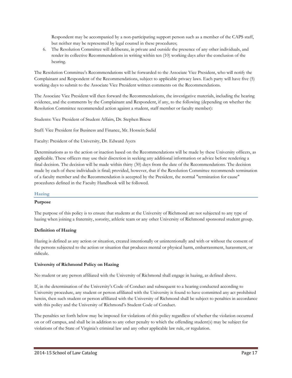Respondent may be accompanied by a non-participating support person such as a member of the CAPS staff, but neither may be represented by legal counsel in these procedures;

6. The Resolution Committee will deliberate, in private and outside the presence of any other individuals, and render its collective Recommendations in writing within ten (10) working days after the conclusion of the hearing.

The Resolution Committee's Recommendations will be forwarded to the Associate Vice President, who will notify the Complainant and Respondent of the Recommendations, subject to applicable privacy laws. Each party will have five (5) working days to submit to the Associate Vice President written comments on the Recommendations.

The Associate Vice President will then forward the Recommendations, the investigative materials, including the hearing evidence, and the comments by the Complainant and Respondent, if any, to the following (depending on whether the Resolution Committee recommended action against a student, staff member or faculty member):

Students: Vice President of Student Affairs, Dr. Stephen Bisese

Staff: Vice President for Business and Finance, Mr. Hossein Sadid

Faculty: President of the University, Dr. Edward Ayers

Determinations as to the action or inaction based on the Recommendations will be made by these University officers, as applicable. These officers may use their discretion in seeking any additional information or advice before rendering a final decision. The decision will be made within thirty (30) days from the date of the Recommendations. The decision made by each of these individuals is final; provided, however, that if the Resolution Committee recommends termination of a faculty member and the Recommendation is accepted by the President, the normal "termination for cause" procedures defined in the Faculty Handbook will be followed.

#### **Hazing**

#### **Purpose**

The purpose of this policy is to ensure that students at the University of Richmond are not subjected to any type of hazing when joining a fraternity, sorority, athletic team or any other University of Richmond sponsored student group.

#### **Definition of Hazing**

Hazing is defined as any action or situation, created intentionally or unintentionally and with or without the consent of the persons subjected to the action or situation that produces mental or physical harm, embarrassment, harassment, or ridicule.

#### **University of Richmond Policy on Hazing**

No student or any person affiliated with the University of Richmond shall engage in hazing, as defined above.

If, in the determination of the University's Code of Conduct and subsequent to a hearing conducted according to University procedure, any student or person affiliated with the University is found to have committed any act prohibited herein, then such student or person affiliated with the University of Richmond shall be subject to penalties in accordance with this policy and the University of Richmond's Student Code of Conduct.

The penalties set forth below may be imposed for violations of this policy regardless of whether the violation occurred on or off campus, and shall be in addition to any other penalty to which the offending student(s) may be subject for violations of the State of Virginia's criminal law and any other applicable law rule, or regulation.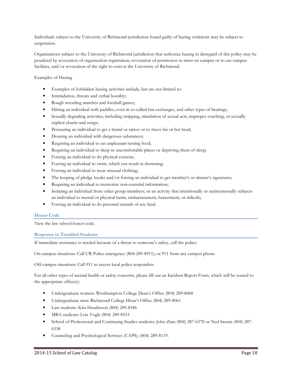Individuals subject to the University of Richmond jurisdiction found guilty of hazing violations may be subject to suspension.

Organizations subject to the University of Richmond jurisdiction that authorize hazing in disregard of this policy may be penalized by revocation of organization registration, revocation of permission to meet on campus or to use campus facilities, and/or revocation of the right to exist at the University of Richmond.

Examples of Hazing

- Examples of forbidden hazing activities include, but are not limited to:
- Intimidation, threats and verbal hostility;
- Rough wrestling matches and football games;
- Hitting an individual with paddles, even in so-called fun exchanges, and other types of beatings;
- Sexually degrading activities, including stripping, simulation of sexual acts, improper touching, or sexually explicit chants and songs;
- Pressuring an individual to get a brand or tattoo or to shave his or her head;
- Dousing an individual with dangerous substances;
- Requiring an individual to eat unpleasant-tasting food;
- Requiring an individual to sleep in uncomfortable places or depriving them of sleep;
- Forcing an individual to do physical exercise;
- Forcing an individual to swim, which can result in drowning;
- Forcing an individual to wear unusual clothing;
- The keeping of pledge books and/or forcing an individual to get member's or alumni's signatures;
- Requiring an individual to memorize non-essential information;
- Isolating an individual from other group members; or an activity that intentionally or unintentionally subjects an individual to mental or physical harm, embarrassment, harassment, or ridicule;
- Forcing an individual to do personal errands of any kind.

#### **Honor Code**

View the law school honor code.

#### **Response to Troubled Students**

If immediate assistance is needed because of a threat to someone's safety, call the police:

On-campus situations: Call UR Police emergency (804-289-8911); or 911 from any campus phone

Off-campus situations: Call 911 to access local police responders

For all other types of mental health or safety concerns, please fill out an Incident Report Form, which will be routed to the appropriate office(s):

- Undergraduate women: Westhampton College Dean's Office (804) 289-8468
- Undergraduate men: Richmond College Dean's Office (804) 289-8061
- Law students: Kris Henderson (804) 289-8186
- MBA students: Lois Vogle (804) 289-8553
- School of Professional and Continuing Studies students: John Zinn (804) 287-6378 or Ned Swartz (804) 287- 6338
- Counseling and Psychological Services (CAPS): (804) 289-8119.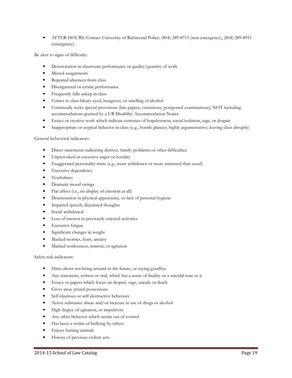• AFTER-HOURS: Contact University of Richmond Police: (804) 289-8715 (non-emergency), (804) 289-8911 (emergency).

Be alert to signs of difficulty:

- Deterioration in classroom performance or quality/quantity of work
- Missed assignments
- Repeated absences from class
- Disorganized or erratic performance
- Frequently falls asleep in class
- Comes to class bleary-eyed, hungover, or smelling of alcohol
- Continually seeks special provisions (late papers, extensions, postponed examinations); NOT including accommodations granted by a UR Disability Accommodation Notice
- Essays or creative work which indicate extremes of hopelessness, social isolation, rage, or despair
- Inappropriate or atypical behavior in class (e.g., hostile glances; highly argumentative; leaving class abruptly)

#### General behavioral indicators:

- Direct statements indicating distress, family problems or other difficulties
- Unprovoked or excessive anger or hostility
- Exaggerated personality traits (e.g., more withdrawn or more animated than usual)
- Excessive dependency
- Tearfulness
- Dramatic mood swings
- Flat affect (i.e., no display of emotion at all)
- Deterioration in physical appearance, or lack of personal hygiene
- Impaired speech; disjointed thoughts
- Social withdrawal
- Loss of interest in previously enjoyed activities
- Excessive fatigue
- Significant changes in weight
- Marked worries, fears, anxiety
- Marked restlessness, tension, or agitation

Safety risk indicators:

- Hints about not being around in the future, or saying goodbye
- Any statement, written or oral, which has a sense of finality or a suicidal tone to it
- Essays or papers which focus on despair, rage, suicide or death
- Gives away prized possessions
- Self-injurious or self-destructive behaviors
- Active substance abuse and/or increase in use of drugs or alcohol
- High degree of agitation, or impulsivity
- Any other behavior which seems out of control
- Has been a victim of bullying by others
- Enjoys hurting animals
- History of previous violent acts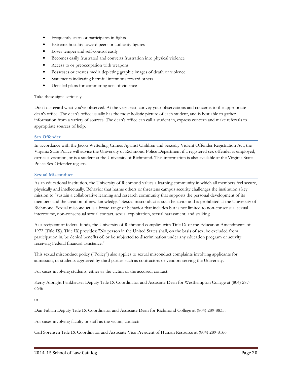- Frequently starts or participates in fights
- Extreme hostility toward peers or authority figures
- Loses temper and self-control easily
- Becomes easily frustrated and converts frustration into physical violence
- Access to or preoccupation with weapons
- Possesses or creates media depicting graphic images of death or violence
- Statements indicating harmful intentions toward others
- Detailed plans for committing acts of violence

#### Take these signs seriously

Don't disregard what you've observed. At the very least, convey your observations and concerns to the appropriate dean's office. The dean's office usually has the most holistic picture of each student, and is best able to gather information from a variety of sources. The dean's office can call a student in, express concern and make referrals to appropriate sources of help.

#### **Sex Offender**

In accordance with the Jacob Wetterling Crimes Against Children and Sexually Violent Offender Registration Act, the Virginia State Police will advise the University of Richmond Police Department if a registered sex offender is employed, carries a vocation, or is a student at the University of Richmond. This information is also available at the Virginia State Police Sex Offender registry.

#### **Sexual Misconduct**

As an educational institution, the University of Richmond values a learning community in which all members feel secure, physically and intellectually. Behavior that harms others or threatens campus security challenges the institution's key mission to "sustain a collaborative learning and research community that supports the personal development of its members and the creation of new knowledge." Sexual misconduct is such behavior and is prohibited at the University of Richmond. Sexual misconduct is a broad range of behavior that includes but is not limited to non-consensual sexual intercourse, non-consensual sexual contact, sexual exploitation, sexual harassment, and stalking.

As a recipient of federal funds, the University of Richmond complies with Title IX of the Education Amendments of 1972 (Title IX). Title IX provides: "No person in the United States shall, on the basis of sex, be excluded from participation in, be denied benefits of, or be subjected to discrimination under any education program or activity receiving Federal financial assistance."

This sexual misconduct policy ("Policy") also applies to sexual misconduct complaints involving applicants for admission, or students aggrieved by third parties such as contractors or vendors serving the University.

For cases involving students, either as the victim or the accused, contact:

Kerry Albright Fankhauser Deputy Title IX Coordinator and Associate Dean for Westhampton College at (804) 287- 6646

or

Dan Fabian Deputy Title IX Coordinator and Associate Dean for Richmond College at (804) 289-8835.

For cases involving faculty or staff as the victim, contact:

Carl Sorensen Title IX Coordinator and Associate Vice President of Human Resource at (804) 289-8166.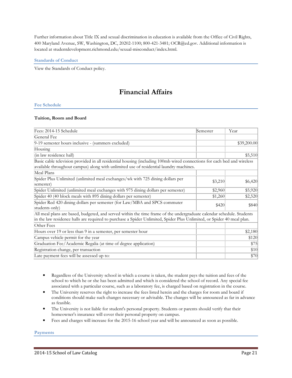Further information about Title IX and sexual discrimination in education is available from the Office of Civil Rights, 400 Maryland Avenue, SW, Washington, DC, 20202-1100; 800-421-3481; OCR@ed.gov. Additional information is located at studentdevelopment.richmond.edu/sexual-misconduct/index.html.

#### **Standards of Conduct**

View the Standards of Conduct policy.

# **Financial Affairs**

#### **Fee Schedule**

#### **Tuition, Room and Board**

| Fees: 2014-15 Schedule                                                                                                                                                                                            | Semester | Year        |
|-------------------------------------------------------------------------------------------------------------------------------------------------------------------------------------------------------------------|----------|-------------|
| General Fee                                                                                                                                                                                                       |          |             |
| 9-19 semester hours inclusive - (summers excluded)                                                                                                                                                                |          | \$39,200.00 |
| Housing                                                                                                                                                                                                           |          |             |
| (in law residence hall)                                                                                                                                                                                           |          | \$5,510     |
| Basic cable television provided in all residential housing (including 100mb wired connections for each bed and wireless<br>available throughout campus) along with unlimited use of residential laundry machines. |          |             |
| Meal Plans                                                                                                                                                                                                        |          |             |
| Spider Plus Unlimited (unlimited meal exchanges/wk with 725 dining dollars per<br>semester)                                                                                                                       | \$3,210  | \$6,420     |
| Spider Unlimited (unlimited meal exchanges with 975 dining dollars per semester)                                                                                                                                  | \$2,960  | \$5,920     |
| Spider 40 (40 block meals with 895 dining dollars per semester)                                                                                                                                                   | \$1,260  | \$2,520     |
| Spider Red 420 dining dollars per semester (for Law/MBA and SPCS commuter<br>students only)                                                                                                                       | \$420    | \$840       |
| All meal plans are based, budgeted, and served within the time frame of the undergraduate calendar schedule. Students                                                                                             |          |             |
| in the law residence halls are required to purchase a Spider Unlimited, Spider Plus Unlimited, or Spider 40 meal plan.                                                                                            |          |             |
| Other Fees                                                                                                                                                                                                        |          |             |
| Hours over 19 or less than 9 in a semester, per semester hour                                                                                                                                                     |          | \$2,180     |
| Campus vehicle permit for the year                                                                                                                                                                                |          | \$120       |
| Graduation Fee/Academic Regalia (at time of degree application)                                                                                                                                                   |          | \$75        |
| Registration change, per transaction                                                                                                                                                                              |          | \$10        |
| Late payment fees will be assessed up to:                                                                                                                                                                         |          | \$70        |

- Regardless of the University school in which a course is taken, the student pays the tuition and fees of the school to which he or she has been admitted and which is considered the school of record. Any special fee associated with a particular course, such as a laboratory fee, is charged based on registration in the course.
- The University reserves the right to increase the fees listed herein and the charges for room and board if conditions should make such changes necessary or advisable. The changes will be announced as far in advance as feasible.
- The University is not liable for student's personal property. Students or parents should verify that their homeowner's insurance will cover their personal property on campus.
- Fees and charges will increase for the 2015-16 school year and will be announced as soon as possible.

**Payments**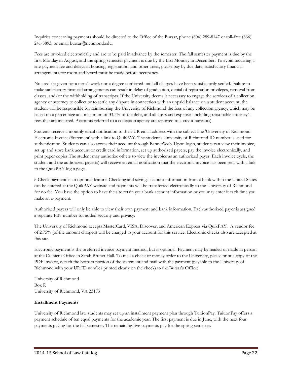Inquiries concerning payments should be directed to the Office of the Bursar, phone (804) 289-8147 or toll-free (866) 241-8893, or email bursar@richmond.edu.

Fees are invoiced electronically and are to be paid in advance by the semester. The fall semester payment is due by the first Monday in August, and the spring semester payment is due by the first Monday in December. To avoid incurring a late-payment fee and delays in housing, registration, and other areas, please pay by due date. Satisfactory financial arrangements for room and board must be made before occupancy.

No credit is given for a term's work nor a degree conferred until all charges have been satisfactorily settled. Failure to make satisfactory financial arrangements can result in delay of graduation, denial of registration privileges, removal from classes, and/or the withholding of transcripts. If the University deems it necessary to engage the services of a collection agency or attorney to collect or to settle any dispute in connection with an unpaid balance on a student account, the student will be responsible for reimbursing the University of Richmond the fees of any collection agency, which may be based on a percentage at a maximum of 33.3% of the debt, and all costs and expenses including reasonable attorney's fees that are incurred. Accounts referred to a collection agency are reported to a credit bureau(s).

Students receive a monthly email notification to their UR email address with the subject line 'University of Richmond Electronic Invoice/Statement' with a link to QuikPAY. The student's University of Richmond ID number is used for authentication. Students can also access their account through BannerWeb. Upon login, students can view their invoice, set up and store bank account or credit card information, set up authorized payers, pay the invoice electronically, and print paper copies.The student may authorize others to view the invoice as an authorized payer. Each invoice cycle, the student and the authorized payer(s) will receive an email notification that the electronic invoice has been sent with a link to the QuikPAY login page.

e-Check payment is an optional feature. Checking and savings account information from a bank within the United States can be entered at the QuikPAY website and payments will be transferred electronically to the University of Richmond for no fee. You have the option to have the site retain your bank account information or you may enter it each time you make an e-payment.

Authorized payers will only be able to view their own payment and bank information. Each authorized payer is assigned a separate PIN number for added security and privacy.

The University of Richmond accepts MasterCard, VISA, Discover, and American Express via QuikPAY. A vendor fee of 2.75% (of the amount charged) will be charged to your account for this service. Electronic checks also are accepted at this site.

Electronic payment is the preferred invoice payment method, but is optional. Payment may be mailed or made in person at the Cashier's Office in Sarah Brunet Hall. To mail a check or money order to the University, please print a copy of the PDF invoice, detach the bottom portion of the statement and mail with the payment (payable to the University of Richmond with your UR ID number printed clearly on the check) to the Bursar's Office:

University of Richmond Box R University of Richmond, VA 23173

#### **Installment Payments**

University of Richmond law students may set up an installment payment plan through TuitionPay. TuitionPay offers a payment schedule of ten equal payments for the academic year. The first payment is due in June, with the next four payments paying for the fall semester. The remaining five payments pay for the spring semester.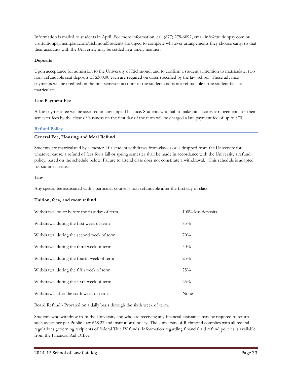Information is mailed to students in April. For more information, call (877) 279-6092, email info@tuitionpay.com or visittuitionpaymentplan.com/richmondStudents are urged to complete whatever arrangements they choose early, so that their accounts with the University may be settled in a timely manner.

#### **Deposits**

Upon acceptance for admission to the University of Richmond, and to confirm a student's intention to matriculate, two non- refundable seat deposits of \$300.00 each are required on dates specified by the law school. These advance payments will be credited on the first semester account of the student and is not refundable if the student fails to matriculate.

#### **Late Payment Fee**

A late payment fee will be assessed on any unpaid balance. Students who fail to make satisfactory arrangements for their semester fees by the close of business on the first day of the term will be charged a late payment fee of up to \$70.

#### **Refund Policy**

#### **General Fee, Housing and Meal Refund**

Students are matriculated by semester. If a student withdraws from classes or is dropped from the University for whatever cause, a refund of fees for a fall or spring semester shall be made in accordance with the University's refund policy, based on the schedule below. Failure to attend class does not constitute a withdrawal. This schedule is adapted for summer terms.

#### **Law**

Any special fee associated with a particular course is non-refundable after the first day of class.

# **Tuition, fees, and room refund**

| Withdrawal on or before the first day of term | $100\%$ less deposits |
|-----------------------------------------------|-----------------------|
| Withdrawal during the first week of term      | 85%                   |
| Withdrawal during the second week of term     | 70%                   |
| Withdrawal during the third week of term      | 50%                   |
| Withdrawal during the fourth week of term     | 25%                   |
| Withdrawal during the fifth week of term      | 25%                   |
| Withdrawal during the sixth week of term      | 25%                   |
| Withdrawal after the sixth week of term       | None                  |

Board Refund - Prorated on a daily basis through the sixth week of term.

Students who withdraw from the University and who are receiving any financial assistance may be required to return such assistance per Public Law 668.22 and institutional policy. The University of Richmond complies with all federal regulations governing recipients of federal Title IV funds. Information regarding financial aid refund policies is available from the Financial Aid Office.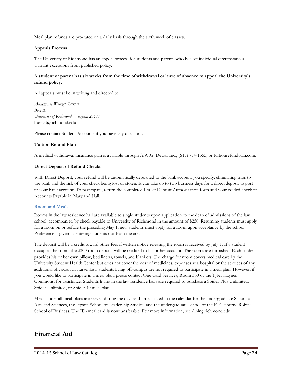Meal plan refunds are pro-rated on a daily basis through the sixth week of classes.

#### **Appeals Process**

The University of Richmond has an appeal process for students and parents who believe individual circumstances warrant exceptions from published policy.

#### **A student or parent has six weeks from the time of withdrawal or leave of absence to appeal the University's refund policy.**

All appeals must be in writing and directed to:

*Annemarie Weitzel, Bursar Box R University of Richmond, Virginia 23173*  bursar@richmond.edu

Please contact Student Accounts if you have any questions.

#### **Tuition Refund Plan**

A medical withdrawal insurance plan is available through A.W.G. Dewar Inc., (617) 774-1555, or tuitionrefundplan.com.

#### **Direct Deposit of Refund Checks**

With Direct Deposit, your refund will be automatically deposited to the bank account you specify, eliminating trips to the bank and the risk of your check being lost or stolen. It can take up to two business days for a direct deposit to post to your bank account. To participate, return the completed Direct Deposit Authorization form and your voided check to Accounts Payable in Maryland Hall.

#### **Room and Meals**

Rooms in the law residence hall are available to single students upon application to the dean of admissions of the law school, accompanied by check payable to University of Richmond in the amount of \$250. Returning students must apply for a room on or before the preceding May 1; new students must apply for a room upon acceptance by the school. Preference is given to entering students not from the area.

The deposit will be a credit toward other fees if written notice releasing the room is received by July 1. If a student occupies the room, the \$300 room deposit will be credited to his or her account. The rooms are furnished. Each student provides his or her own pillow, bed linens, towels, and blankets. The charge for room covers medical care by the University Student Health Center but does not cover the cost of medicines, expenses at a hospital or the services of any additional physician or nurse. Law students living off-campus are not required to participate in a meal plan. However, if you would like to participate in a meal plan, please contact One Card Services, Room 330 of the Tyler Haynes Commons, for assistance. Students living in the law residence halls are required to purchase a Spider Plus Unlimited, Spider Unlimited, or Spider 40 meal plan.

Meals under all meal plans are served during the days and times stated in the calendar for the undergraduate School of Arts and Sciences, the Jepson School of Leadership Studies, and the undergraduate school of the E. Claiborne Robins School of Business. The ID/meal card is nontransferable. For more information, see dining.richmond.edu.

# **Financial Aid**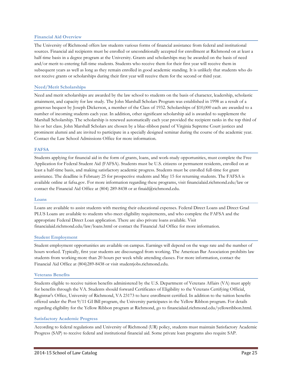#### **Financial Aid Overview**

The University of Richmond offers law students various forms of financial assistance from federal and institutional sources. Financial aid recipients must be enrolled or unconditionally accepted for enrollment at Richmond on at least a half-time basis in a degree program at the University. Grants and scholarships may be awarded on the basis of need and/or merit to entering full-time students. Students who receive them for their first year will receive them in subsequent years as well as long as they remain enrolled in good academic standing. It is unlikely that students who do not receive grants or scholarships during their first year will receive them for the second or third year.

#### **Need/Merit Scholarships**

Need and merit scholarships are awarded by the law school to students on the basis of character, leadership, scholastic attainment, and capacity for law study. The John Marshall Scholars Program was established in 1998 as a result of a generous bequest by Joseph Dickerson, a member of the Class of 1932. Scholarships of \$10,000 each are awarded to a number of incoming students each year. In addition, other significant scholarship aid is awarded to supplement the Marshall Scholarship. The scholarship is renewed automatically each year provided the recipient ranks in the top third of his or her class. John Marshall Scholars are chosen by a blue-ribbon panel of Virginia Supreme Court justices and prominent alumni and are invited to participate in a specially designed seminar during the course of the academic year. Contact the Law School Admissions Office for more information.

#### **FAFSA**

Students applying for financial aid in the form of grants, loans, and work-study opportunities, must complete the Free Application for Federal Student Aid (FAFSA). Students must be U.S. citizens or permanent residents, enrolled on at least a half-time basis, and making satisfactory academic progress. Students must be enrolled full-time for grant assistance. The deadline is February 25 for prospective students and May 15 for returning students. The FAFSA is available online at fafsa.gov. For more information regarding these programs, visit financialaid.richmond.edu/law or contact the Financial Aid Office at (804) 289-8438 or at finaid@richmond.edu.

#### **Loans**

Loans are available to assist students with meeting their educational expenses. Federal Direct Loans and Direct Grad PLUS Loans are available to students who meet eligibility requirements, and who complete the FAFSA and the appropriate Federal Direct Loan application. There are also private loans available. Visit financialaid.richmond.edu/law/loans.html or contact the Financial Aid Office for more information.

#### **Student Employment**

Student employment opportunities are available on campus. Earnings will depend on the wage rate and the number of hours worked. Typically, first year students are discouraged from working. The American Bar Association prohibits law students from working more than 20 hours per week while attending classes. For more information, contact the Financial Aid Office at (804)289-8438 or visit studentjobs.richmond.edu.

#### **Veterans Benefits**

Students eligible to receive tuition benefits administered by the U.S. Department of Veterans Affairs (VA) must apply for benefits through the VA. Students should forward Certificates of Eligibility to the Veterans Certifying Official, Registrar's Office, University of Richmond, VA 23173 to have enrollment certified. In addition to the tuition benefits offered under the Post 9/11 GI Bill program, the University participates in the Yellow Ribbon program. For details regarding eligibility for the Yellow Ribbon program at Richmond, go to financialaid.richmond.edu/yellowribbon.html.

#### **Satisfactory Academic Progress**

According to federal regulations and University of Richmond (UR) policy, students must maintain Satisfactory Academic Progress (SAP) to receive federal and institutional financial aid. Some private loan programs also require SAP.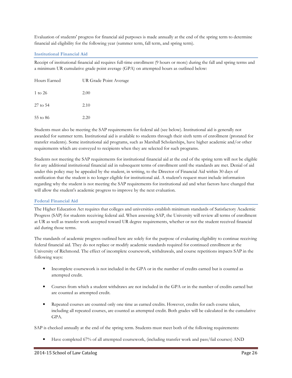Evaluation of students' progress for financial aid purposes is made annually at the end of the spring term to determine financial aid eligibility for the following year (summer term, fall term, and spring term).

#### **Institutional Financial Aid**

Receipt of institutional financial aid requires full-time enrollment (9 hours or more) during the fall and spring terms and a minimum UR cumulative grade point average (GPA) on attempted hours as outlined below:

| Hours Earned | UR Grade Point Average |  |  |  |
|--------------|------------------------|--|--|--|
| 1 to 26      | 2.00                   |  |  |  |
| 27 to 54     | 2.10                   |  |  |  |
| 55 to 86     | 2.20                   |  |  |  |

Students must also be meeting the SAP requirements for federal aid (see below). Institutional aid is generally not awarded for summer term. Institutional aid is available to students through their sixth term of enrollment (prorated for transfer students). Some institutional aid programs, such as Marshall Scholarships, have higher academic and/or other requirements which are conveyed to recipients when they are selected for such programs.

Students not meeting the SAP requirements for institutional financial aid at the end of the spring term will not be eligible for any additional institutional financial aid in subsequent terms of enrollment until the standards are met. Denial of aid under this policy may be appealed by the student, in writing, to the Director of Financial Aid within 30 days of notification that the student is no longer eligible for institutional aid. A student's request must include information regarding why the student is not meeting the SAP requirements for institutional aid and what factors have changed that will allow the student's academic progress to improve by the next evaluation.

#### **Federal Financial Aid**

The Higher Education Act requires that colleges and universities establish minimum standards of Satisfactory Academic Progress (SAP) for students receiving federal aid. When assessing SAP, the University will review all terms of enrollment at UR as well as transfer work accepted toward UR degree requirements, whether or not the student received financial aid during those terms.

The standards of academic progress outlined here are solely for the purpose of evaluating eligibility to continue receiving federal financial aid. They do not replace or modify academic standards required for continued enrollment at the University of Richmond. The effect of incomplete coursework, withdrawals, and course repetitions impacts SAP in the following ways:

- Incomplete coursework is not included in the GPA or in the number of credits earned but is counted as attempted credit.
- Courses from which a student withdraws are not included in the GPA or in the number of credits earned but are counted as attempted credit.
- Repeated courses are counted only one time as earned credits. However, credits for each course taken, including all repeated courses, are counted as attempted credit. Both grades will be calculated in the cumulative GPA.

SAP is checked annually at the end of the spring term. Students must meet both of the following requirements:

• Have completed 67% of all attempted coursework, (including transfer work and pass/fail courses) AND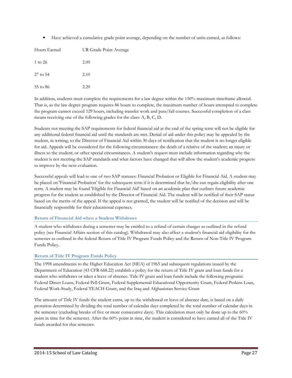• Have achieved a cumulative grade point average, depending on the number of units earned, as follows:

| Hours Earned | UR Grade Point Average |
|--------------|------------------------|
| 1 to 26      | 2.00                   |
| 27 to 54     | 2.10                   |
| 55 to 86     | 2.20                   |

In addition, students must complete the requirements for a law degree within the 150% maximum timeframe allowed. That is, as the law degree program requires 86 hours to complete, the maximum number of hours attempted to complete the program cannot exceed 129 hours, including transfer work and pass/fail courses. Successful completion of a class means receiving one of the following grades for the class: A, B, C, D.

Students not meeting the SAP requirements for federal financial aid at the end of the spring term will not be eligible for any additional federal financial aid until the standards are met. Denial of aid under this policy may be appealed by the student, in writing, to the Director of Financial Aid within 30 days of notification that the student is no longer eligible for aid. Appeals will be considered for the following circumstances: the death of a relative of the student; an injury or illness to the student; or other special circumstances. A student's request must include information regarding why the student is not meeting the SAP standards and what factors have changed that will allow the student's academic progress to improve by the next evaluation.

Successful appeals will lead to one of two SAP statuses: Financial Probation or Eligible for Financial Aid. A student may be placed on 'Financial Probation' for the subsequent term if it is determined that he/she can regain eligibility after one term. A student may be found 'Eligible for Financial Aid' based on an academic plan that outlines future academic progress for the student as established by the Director of Financial Aid. The student will be notified of their SAP status based on the merits of the appeal. If the appeal is not granted, the student will be notified of the decision and will be financially responsible for their educational expenses.

# **Return of Financial Aid when a Student Withdraws**

A student who withdraws during a semester may be entitled to a refund of certain charges as outlined in the refund policy (see Financial Affairs section of this catalog). Withdrawal may also affect a student's financial aid eligibility for the semester as outlined in the federal Return of Title IV Program Funds Policy and the Return of Non-Title IV Program Funds Policy.

# **Return of Title IV Program Funds Policy**

The 1998 amendments to the Higher Education Act (HEA) of 1965 and subsequent regulations issued by the Department of Education (43 CFR 668.22) establish a policy for the return of Title IV grant and loan funds for a student who withdraws or takes a leave of absence. Title IV grant and loan funds include the following programs: Federal Direct Loans, Federal Pell Grant, Federal Supplemental Educational Opportunity Grant, Federal Perkins Loan, Federal Work-Study, Federal TEACH Grant, and the Iraq and Afghanistan Service Grant

The amount of Title IV funds the student earns, up to the withdrawal or leave of absence date, is based on a daily proration determined by dividing the total number of calendar days completed by the total number of calendar days in the semester (excluding breaks of five or more consecutive days). This calculation must only be done up to the 60% point in time for the semester. After the 60% point in time, the student is considered to have earned all of the Title IV funds awarded for that semester.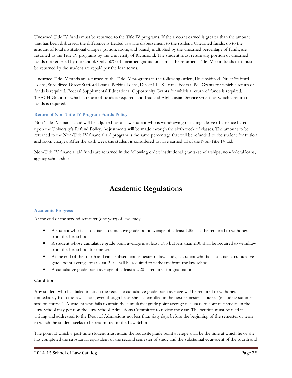Unearned Title IV funds must be returned to the Title IV programs. If the amount earned is greater than the amount that has been disbursed, the difference is treated as a late disbursement to the student. Unearned funds, up to the amount of total institutional charges (tuition, room, and board) multiplied by the unearned percentage of funds, are returned to the Title IV programs by the University of Richmond. The student must return any portion of unearned funds not returned by the school. Only 50% of unearned grants funds must be returned. Title IV loan funds that must be returned by the student are repaid per the loan terms.

Unearned Title IV funds are returned to the Title IV programs in the following order:, Unsubsidized Direct Stafford Loans, Subsidized Direct Stafford Loans, Perkins Loans, Direct PLUS Loans, Federal Pell Grants for which a return of funds is required, Federal Supplemental Educational Opportunity Grants for which a return of funds is required, TEACH Grant for which a return of funds is required, and Iraq and Afghanistan Service Grant for which a return of funds is required.

# **Return of Non-Title IV Program Funds Policy**

Non-Title IV financial aid will be adjusted for a law student who is withdrawing or taking a leave of absence based upon the University's Refund Policy. Adjustments will be made through the sixth week of classes. The amount to be returned to the Non-Title IV financial aid program is the same percentage that will be refunded to the student for tuition and room charges. After the sixth week the student is considered to have earned all of the Non-Title IV aid.

Non-Title IV financial aid funds are returned in the following order: institutional grants/scholarships, non-federal loans, agency scholarships.

# **Academic Regulations**

# **Academic Progress**

At the end of the second semester (one year) of law study:

- A student who fails to attain a cumulative grade point average of at least 1.85 shall be required to withdraw from the law school
- A student whose cumulative grade point average is at least 1.85 but less than 2.00 shall be required to withdraw from the law school for one year
- At the end of the fourth and each subsequent semester of law study, a student who fails to attain a cumulative grade point average of at least 2.10 shall be required to withdraw from the law school
- A cumulative grade point average of at least a 2.20 is required for graduation.

# **Conditions**

Any student who has failed to attain the requisite cumulative grade point average will be required to withdraw immediately from the law school, even though he or she has enrolled in the next semester's courses (including summer session courses). A student who fails to attain the cumulative grade point average necessary to continue studies in the Law School may petition the Law School Admissions Committee to review the case. The petition must be filed in writing and addressed to the Dean of Admissions not less than sixty days before the beginning of the semester or term in which the student seeks to be readmitted to the Law School.

The point at which a part-time student must attain the requisite grade point average shall be the time at which he or she has completed the substantial equivalent of the second semester of study and the substantial equivalent of the fourth and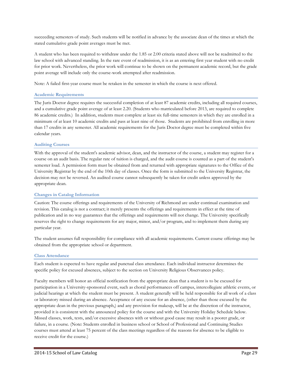succeeding semesters of study. Such students will be notified in advance by the associate dean of the times at which the stated cumulative grade point averages must be met.

A student who has been required to withdraw under the 1.85 or 2.00 criteria stated above will not be readmitted to the law school with advanced standing. In the rare event of readmission, it is as an entering first year student with no credit for prior work. Nevertheless, the prior work will continue to be shown on the permanent academic record, but the grade point average will include only the course-work attempted after readmission.

Note: A failed first-year course must be retaken in the semester in which the course is next offered.

#### **Academic Requirements**

The Juris Doctor degree requires the successful completion of at least 87 academic credits, including all required courses, and a cumulative grade point average of at least 2.20. (Students who matriculated before 2013, are required to complete 86 academic credits.) In addition, students must complete at least six full-time semesters in which they are enrolled in a minimum of at least 10 academic credits and pass at least nine of those. Students are prohibited from enrolling in more than 17 credits in any semester. All academic requirements for the Juris Doctor degree must be completed within five calendar years.

#### **Auditing Courses**

With the approval of the student's academic advisor, dean, and the instructor of the course, a student may register for a course on an audit basis. The regular rate of tuition is charged, and the audit course is counted as a part of the student's semester load. A permission form must be obtained from and returned with appropriate signatures to the Office of the University Registrar by the end of the 10th day of classes. Once the form is submitted to the University Registrar, the decision may not be reversed. An audited course cannot subsequently be taken for credit unless approved by the appropriate dean.

#### **Changes in Catalog Information**

Caution: The course offerings and requirements of the University of Richmond are under continual examination and revision. This catalog is not a contract; it merely presents the offerings and requirements in effect at the time of publication and in no way guarantees that the offerings and requirements will not change. The University specifically reserves the right to change requirements for any major, minor, and/or program, and to implement them during any particular year.

The student assumes full responsibility for compliance with all academic requirements. Current course offerings may be obtained from the appropriate school or department.

#### **Class Attendance**

Each student is expected to have regular and punctual class attendance. Each individual instructor determines the specific policy for excused absences, subject to the section on University Religious Observances policy.

Faculty members will honor an official notification from the appropriate dean that a student is to be excused for participation in a University-sponsored event, such as choral performances off campus, intercollegiate athletic events, or judicial hearings at which the student must be present. A student generally will be held responsible for all work of a class or laboratory missed during an absence. Acceptance of any excuse for an absence, (other than those excused by the appropriate dean in the previous paragraph,) and any provision for makeup, will be at the discretion of the instructor, provided it is consistent with the announced policy for the course and with the University Holiday Schedule below. Missed classes, work, tests, and/or excessive absences with or without good cause may result in a poorer grade, or failure, in a course. (Note: Students enrolled in business school or School of Professional and Continuing Studies courses must attend at least 75 percent of the class meetings regardless of the reasons for absence to be eligible to receive credit for the course.)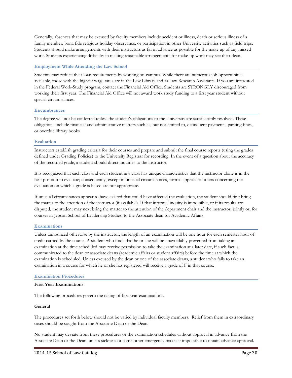Generally, absences that may be excused by faculty members include accident or illness, death or serious illness of a family member, bona fide religious holiday observance, or participation in other University activities such as field trips. Students should make arrangements with their instructors as far in advance as possible for the make up of any missed work. Students experiencing difficulty in making reasonable arrangements for make-up work may see their dean.

#### **Employment While Attending the Law School**

Students may reduce their loan requirements by working on-campus. While there are numerous job opportunities available, those with the highest wage rates are in the Law Library and as Law Research Assistants. If you are interested in the Federal Work-Study program, contact the Financial Aid Office. Students are STRONGLY discouraged from working their first year. The Financial Aid Office will not award work study funding to a first year student without special circumstances.

#### **Encumbrances**

The degree will not be conferred unless the student's obligations to the University are satisfactorily resolved. These obligations include financial and administrative matters such as, but not limited to, delinquent payments, parking fines, or overdue library books

#### **Evaluation**

Instructors establish grading criteria for their courses and prepare and submit the final course reports (using the grades defined under Grading Policies) to the University Registrar for recording. In the event of a question about the accuracy of the recorded grade, a student should direct inquiries to the instructor.

It is recognized that each class and each student in a class has unique characteristics that the instructor alone is in the best position to evaluate; consequently, except in unusual circumstances, formal appeals to others concerning the evaluation on which a grade is based are not appropriate.

If unusual circumstances appear to have existed that could have affected the evaluation, the student should first bring the matter to the attention of the instructor (if available). If that informal inquiry is impossible, or if its results are disputed, the student may next bring the matter to the attention of the department chair and the instructor, jointly or, for courses in Jepson School of Leadership Studies, to the Associate dean for Academic Affairs.

#### **Examinations**

Unless announced otherwise by the instructor, the length of an examination will be one hour for each semester hour of credit carried by the course. A student who finds that he or she will be unavoidably prevented from taking an examination at the time scheduled may receive permission to take the examination at a later date, if such fact is communicated to the dean or associate deans (academic affairs or student affairs) before the time at which the examination is scheduled. Unless excused by the dean or one of the associate deans, a student who fails to take an examination in a course for which he or she has registered will receive a grade of F in that course.

#### **Examination Procedures**

#### **First Year Examinations**

The following procedures govern the taking of first year examinations.

#### **General**

The procedures set forth below should not be varied by individual faculty members. Relief from them in extraordinary cases should be sought from the Associate Dean or the Dean.

No student may deviate from these procedures or the examination schedules without approval in advance from the Associate Dean or the Dean, unless sickness or some other emergency makes it impossible to obtain advance approval.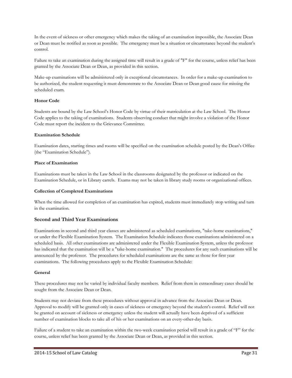In the event of sickness or other emergency which makes the taking of an examination impossible, the Associate Dean or Dean must be notified as soon as possible. The emergency must be a situation or circumstance beyond the student's control.

Failure to take an examination during the assigned time will result in a grade of "F" for the course, unless relief has been granted by the Associate Dean or Dean, as provided in this section.

Make-up examinations will be administered only in exceptional circumstances. In order for a make-up examination to be authorized, the student requesting it must demonstrate to the Associate Dean or Dean good cause for missing the scheduled exam.

#### **Honor Code**

Students are bound by the Law School's Honor Code by virtue of their matriculation at the Law School. The Honor Code applies to the taking of examinations. Students observing conduct that might involve a violation of the Honor Code must report the incident to the Grievance Committee.

#### **Examination Schedule**

Examination dates, starting times and rooms will be specified on the examination schedule posted by the Dean's Office (the "Examination Schedule").

#### **Place of Examination**

Examinations must be taken in the Law School in the classrooms designated by the professor or indicated on the Examination Schedule, or in Library carrels. Exams may not be taken in library study rooms or organizational offices.

#### **Collection of Completed Examinations**

When the time allowed for completion of an examination has expired, students must immediately stop writing and turn in the examination.

# **Second and Third Year Examinations**

Examinations in second and third year classes are administered as scheduled examinations, "take-home examinations," or under the Flexible Examination System. The Examination Schedule indicates those examinations administered on a scheduled basis. All other examinations are administered under the Flexible Examination System, unless the professor has indicated that the examination will be a "take-home examination." The procedures for any such examinations will be announced by the professor. The procedures for scheduled examinations are the same as those for first year examinations. The following procedures apply to the Flexible Examination Schedule:

#### **General**

These procedures may not be varied by individual faculty members. Relief from them in extraordinary cases should be sought from the Associate Dean or Dean.

Students may not deviate from these procedures without approval in advance from the Associate Dean or Dean. Approval to modify will be granted only in cases of sickness or emergency beyond the student's control. Relief will not be granted on account of sickness or emergency unless the student will actually have been deprived of a sufficient number of examination blocks to take all of his or her examinations on an every-other-day basis.

Failure of a student to take an examination within the two-week examination period will result in a grade of "F" for the course, unless relief has been granted by the Associate Dean or Dean, as provided in this section.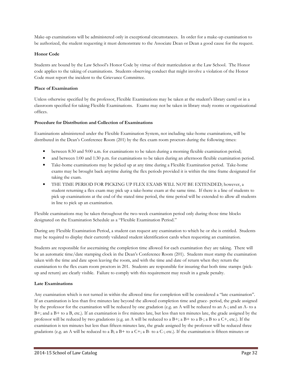Make-up examinations will be administered only in exceptional circumstances. In order for a make-up examination to be authorized, the student requesting it must demonstrate to the Associate Dean or Dean a good cause for the request.

# **Honor Code**

Students are bound by the Law School's Honor Code by virtue of their matriculation at the Law School. The Honor code applies to the taking of examinations. Students observing conduct that might involve a violation of the Honor Code must report the incident to the Grievance Committee.

#### **Place of Examination**

Unless otherwise specified by the professor, Flexible Examinations may be taken at the student's library carrel or in a classroom specified for taking Flexible Examinations. Exams may not be taken in library study rooms or organizational offices.

#### **Procedure for Distribution and Collection of Examinations**

Examinations administered under the Flexible Examination System, not including take-home examinations, will be distributed in the Dean's Conference Room (201) by the flex exam room proctors during the following times:

- between 8:30 and 9:00 a.m. for examinations to be taken during a morning flexible examination period;
- and between 1:00 and 1:30 p.m. for examinations to be taken during an afternoon flexible examination period.
- Take-home examinations may be picked up at any time during a Flexible Examination period. Take-home exams may be brought back anytime during the flex periods provided it is within the time frame designated for taking the exam.
- THE TIME PERIOD FOR PICKING UP FLEX EXAMS WILL NOT BE EXTENDED; however, a student returning a flex exam may pick up a take-home exam at the same time. If there is a line of students to pick up examinations at the end of the stated time period, the time period will be extended to allow all students in line to pick up an examination.

Flexible examinations may be taken throughout the two-week examination period only during those time blocks designated on the Examination Schedule as a "Flexible Examination Period."

During any Flexible Examination Period, a student can request any examination to which he or she is entitled. Students may be required to display their currently validated student identification cards when requesting an examination.

Students are responsible for ascertaining the completion time allowed for each examination they are taking. There will be an automatic time/date stamping clock in the Dean's Conference Room (201). Students must stamp the examination taken with the time and date upon leaving the room, and with the time and date of return when they return the examination to the flex exam room proctors in 201. Students are responsible for insuring that both time stamps (pickup and return) are clearly visible. Failure to comply with this requirement may result in a grade penalty.

#### **Late Examinations**

Any examination which is not turned in within the allowed time for completion will be considered a "late examination". If an examination is less than five minutes late beyond the allowed completion time and grace- period, the grade assigned by the professor for the examination will be reduced by one gradation (e.g. an A will be reduced to an A-; and an A- to a B+; and a B+ to a B, etc.). If an examination is five minutes late, but less than ten minutes late, the grade assigned by the professor will be reduced by two gradations (e.g. an A will be reduced to a  $B+$ ; a  $B+$  to a  $B-$ ; a B to a  $C+$ , etc.). If the examination is ten minutes but less than fifteen minutes late, the grade assigned by the professor will be reduced three gradations (e.g. an A will be reduced to a B; a B+ to a C+; a B- to a C-; etc.). If the examination is fifteen minutes or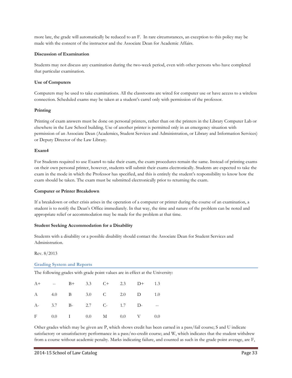more late, the grade will automatically be reduced to an F. In rare circumstances, an exception to this policy may be made with the consent of the instructor and the Associate Dean for Academic Affairs.

#### **Discussion of Examination**

Students may not discuss any examination during the two-week period, even with other persons who have completed that particular examination.

#### **Use of Computers**

Computers may be used to take examinations. All the classrooms are wired for computer use or have access to a wireless connection. Scheduled exams may be taken at a student's carrel only with permission of the professor.

#### **Printing**

Printing of exam answers must be done on personal printers, rather than on the printers in the Library Computer Lab or elsewhere in the Law School building. Use of another printer is permitted only in an emergency situation with permission of an Associate Dean (Academics, Student Services and Administration, or Library and Information Services) or Deputy Director of the Law Library.

#### **Exam4**

For Students required to use Exam4 to take their exam, the exam procedures remain the same. Instead of printing exams on their own personal printer, however, students will submit their exams electronically. Students are expected to take the exam in the mode in which the Professor has specified, and this is entirely the student's responsibility to know how the exam should be taken. The exam must be submitted electronically prior to returning the exam.

#### **Computer or Printer Breakdown**

If a breakdown or other crisis arises in the operation of a computer or printer during the course of an examination, a student is to notify the Dean's Office immediately. In that way, the time and nature of the problem can be noted and appropriate relief or accommodation may be made for the problem at that time.

#### **Student Seeking Accommodation for a Disability**

Students with a disability or a possible disability should contact the Associate Dean for Student Services and Administration.

Rev. 8/2013

**Grading System and Reports** 

The following grades with grade point values are in effect at the University:

|  |  |  | A+ -- B+ 3.3 C+ 2.3 D+ 1.3      |  |
|--|--|--|---------------------------------|--|
|  |  |  | A 4.0 B 3.0 C 2.0 D 1.0         |  |
|  |  |  | A- 3.7 B- 2.7 C- 1.7 D- --      |  |
|  |  |  | F $0.0$ I $0.0$ M $0.0$ V $0.0$ |  |

Other grades which may be given are P, which shows credit has been earned in a pass/fail course; S and U indicate satisfactory or unsatisfactory performance in a pass/no-credit course; and W, which indicates that the student withdrew from a course without academic penalty. Marks indicating failure, and counted as such in the grade point average, are F,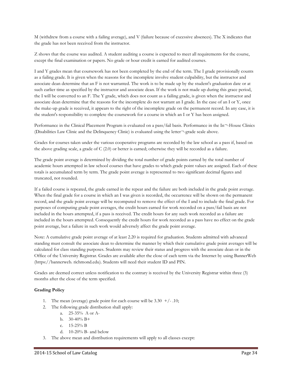M (withdrew from a course with a failing average), and V (failure because of excessive absences). The X indicates that the grade has not been received from the instructor.

Z shows that the course was audited. A student auditing a course is expected to meet all requirements for the course, except the final examination or papers. No grade or hour credit is earned for audited courses.

I and Y grades mean that coursework has not been completed by the end of the term. The I grade provisionally counts as a failing grade. It is given when the reasons for the incomplete involve student culpability, but the instructor and associate dean determine that an F is not warranted. The work is to be made up by the student's graduation date or at such earlier time as specified by the instructor and associate dean. If the work is not made up during this grace period, the I will be converted to an F. The Y grade, which does not count as a failing grade, is given when the instructor and associate dean determine that the reasons for the incomplete do not warrant an I grade. In the case of an I or Y, once the make-up grade is received, it appears to the right of the incomplete grade on the permanent record. In any case, it is the student's responsibility to complete the coursework for a course in which an I or Y has been assigned.

Performance in the Clinical Placement Program is evaluated on a pass/fail basis. Performance in the In¬-House Clinics (Disabilities Law Clinic and the Delinquency Clinic) is evaluated using the letter¬-grade scale above.

Grades for courses taken under the various cooperative programs are recorded by the law school as a pass if, based on the above grading scale, a grade of C (2.0) or better is earned; otherwise they will be recorded as a failure.

The grade point average is determined by dividing the total number of grade points earned by the total number of academic hours attempted in law school courses that have grades to which grade point values are assigned. Each of these totals is accumulated term by term. The grade point average is represented to two significant decimal figures and truncated, not rounded.

If a failed course is repeated, the grade earned in the repeat and the failure are both included in the grade point average. When the final grade for a course in which an I was given is recorded, the occurrence will be shown on the permanent record, and the grade point average will be recomputed to remove the effect of the I and to include the final grade. For purposes of computing grade point averages, the credit hours earned for work recorded on a pass/fail basis are not included in the hours attempted, if a pass is received. The credit hours for any such work recorded as a failure are included in the hours attempted. Consequently the credit hours for work recorded as a pass have no effect on the grade point average, but a failure in such work would adversely affect the grade point average.

Note: A cumulative grade point average of at least 2.20 is required for graduation. Students admitted with advanced standing must consult the associate dean to determine the manner by which their cumulative grade point averages will be calculated for class standing purposes. Students may review their status and progress with the associate dean or in the Office of the University Registrar. Grades are available after the close of each term via the Internet by using BannerWeb (https://bannerweb. richmond.edu). Students will need their student ID and PIN.

Grades are deemed correct unless notification to the contrary is received by the University Registrar within three (3) months after the close of the term specified.

# **Grading Policy**

- 1. The mean (average) grade point for each course will be  $3.30 + (-10)$ ;
- 2. The following grade distribution shall apply:
	- a. 25-35% A or A-
	- b.  $30-40\% \text{ B+}$
	- c. 15-25% B
	- d. 10-20% B- and below
- 3. The above mean and distribution requirements will apply to all classes except: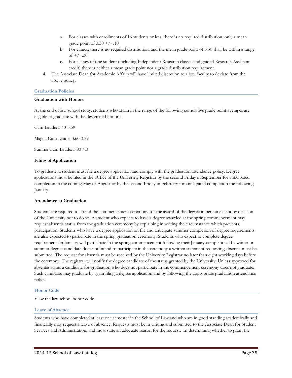- a. For classes with enrollments of 16 students or less, there is no required distribution, only a mean grade point of  $3.30 +/-10$
- b. For clinics, there is no required distribution, and the mean grade point of 3.30 shall be within a range of  $+/- .30$ .
- c. For classes of one student (including Independent Research classes and graded Research Assistant credit) there is neither a mean grade point nor a grade distribution requirement.
- 4. The Associate Dean for Academic Affairs will have limited discretion to allow faculty to deviate from the above policy.

#### **Graduation Policies**

#### **Graduation with Honors**

At the end of law school study, students who attain in the range of the following cumulative grade point averages are eligible to graduate with the designated honors:

Cum Laude: 3.40-3.59

Magna Cum Laude: 3.60-3.79

Summa Cum Laude: 3.80-4.0

#### **Filing of Application**

To graduate, a student must file a degree application and comply with the graduation attendance policy. Degree applications must be filed in the Office of the University Registrar by the second Friday in September for anticipated completion in the coming May or August or by the second Friday in February for anticipated completion the following January.

#### **Attendance at Graduation**

Students are required to attend the commencement ceremony for the award of the degree in person except by decision of the University not to do so. A student who expects to have a degree awarded at the spring commencement may request absentia status from the graduation ceremony by explaining in writing the circumstance which prevents participation. Students who have a degree application on file and anticipate summer completion of degree requirements are also expected to participate in the spring graduation ceremony. Students who expect to complete degree requirements in January will participate in the spring commencement following their January completion. If a winter or summer degree candidate does not intend to participate in the ceremony a written statement requesting absentia must be submitted. The request for absentia must be received by the University Registrar no later than eight working days before the ceremony. The registrar will notify the degree candidate of the status granted by the University. Unless approved for absentia status a candidate for graduation who does not participate in the commencement ceremony does not graduate. Such candidate may graduate by again filing a degree application and by following the appropriate graduation attendance policy.

#### **Honor Code**

View the law school honor code.

#### **Leave of Absence**

Students who have completed at least one semester in the School of Law and who are in good standing academically and financially may request a leave of absence. Requests must be in writing and submitted to the Associate Dean for Student Services and Administration, and must state an adequate reason for the request. In determining whether to grant the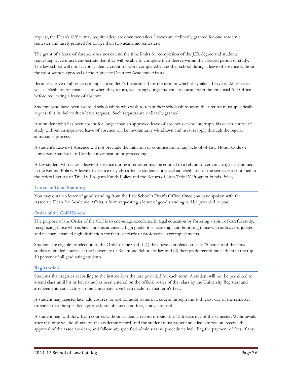request, the Dean's Office may require adequate documentation. Leaves are ordinarily granted for one academic semester and rarely granted for longer than two academic semesters.

The grant of a leave of absence does not extend the time limits for completion of the J.D. degree and students requesting leave must demonstrate that they will be able to complete their degree within the allowed period of study. The law school will not accept academic credit for work completed at another school during a leave of absence without the prior written approval of the Associate Dean for Academic Affairs.

Because a leave of absence can impact a student's financial aid for the term in which they take a Leave of Absence as well as eligibility for financial aid when they return, we strongly urge students to consult with the Financial Aid Office before requesting a leave of absence.

Students who have been awarded scholarships who wish to retain their scholarships upon their return must specifically request this in their written leave request. Such requests are ordinarily granted.

Any student who has been absent for longer than an approved leave of absence or who interrupts his or her course of study without an approved leave of absence will be involuntarily withdrawn and must reapply through the regular admissions process.

A student's Leave of Absence will not preclude the initiation or continuation of any School of Law Honor Code or University Standards of Conduct investigation or proceeding.

A law student who takes a leave of absence during a semester may be entitled to a refund of certain charges as outlined in the Refund Policy. A leave of absence may also affect a student's financial aid eligibility for the semester as outlined in the federal Return of Title IV Program Funds Policy and the Return of Non-Title IV Program Funds Policy.

#### **Letters of Good Standing**

You may obtain a letter of good standing from the Law School's Dean's Office. Once you have spoken with the Associate Dean for Academic Affairs, a form requesting a letter of good standing will be provided to you.

#### **Order of the Coif Honors**

The purpose of the Order of the Coif is to encourage excellence in legal education by fostering a spirit of careful study, recognizing those who as law students attained a high grade of scholarship, and honoring those who as lawyers, judges and teachers attained high distinction for their scholarly or professional accomplishments.

Students are eligible for election to the Order of the Coif if (1) they have completed at least 75 percent of their law studies in graded courses at the University of Richmond School of law and (2) their grade record ranks them in the top 10 percent of all graduating students.

#### **Registration**

Students shall register according to the instructions that are provided for each term. A student will not be permitted to attend class until his or her name has been entered on the official roster of that class by the University Registrar and arrangements satisfactory to the University have been made for that term's fees.

A student may register late, add courses, or opt for audit status in a course through the 10th class day of the semester provided that the specified approvals are obtained and fees, if any, are paid.

A student may withdraw from courses without academic record through the 15th class day of the semester. Withdrawals after this time will be shown on the academic record, and the student must present an adequate reason, receive the approval of the associate dean, and follow any specified administrative procedures including the payment of fees, if any.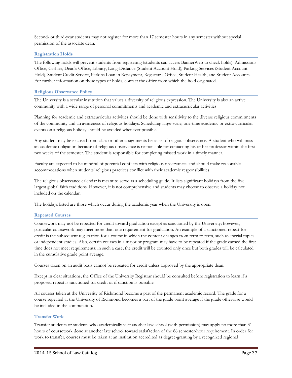Second- or third-year students may not register for more than 17 semester hours in any semester without special permission of the associate dean.

## **Registration Holds**

The following holds will prevent students from registering (students can access BannerWeb to check holds): Admissions Office, Cashier, Dean's Office, Library, Long-Distance (Student Account Hold), Parking Services (Student Account Hold), Student Credit Service, Perkins Loan in Repayment, Registrar's Office, Student Health, and Student Accounts. For further information on these types of holds, contact the office from which the hold originated.

## **Religious Observance Policy**

The University is a secular institution that values a diversity of religious expression. The University is also an active community with a wide range of personal commitments and academic and extracurricular activities.

Planning for academic and extracurricular activities should be done with sensitivity to the diverse religious commitments of the community and an awareness of religious holidays. Scheduling large-scale, one-time academic or extra-curricular events on a religious holiday should be avoided whenever possible.

Any student may be excused from class or other assignments because of religious observance. A student who will miss an academic obligation because of religious observance is responsible for contacting his or her professor within the first two weeks of the semester. The student is responsible for completing missed work in a timely manner.

Faculty are expected to be mindful of potential conflicts with religious observances and should make reasonable accommodations when students' religious practices conflict with their academic responsibilities.

The religious observance calendar is meant to serve as a scheduling guide. It lists significant holidays from the five largest global faith traditions. However, it is not comprehensive and students may choose to observe a holiday not included on the calendar.

The holidays listed are those which occur during the academic year when the University is open.

## **Repeated Courses**

Coursework may not be repeated for credit toward graduation except as sanctioned by the University; however, particular coursework may meet more than one requirement for graduation. An example of a sanctioned repeat-forcredit is the subsequent registration for a course in which the content changes from term to term, such as special topics or independent studies. Also, certain courses in a major or program may have to be repeated if the grade earned the first time does not meet requirements; in such a case, the credit will be counted only once but both grades will be calculated in the cumulative grade point average.

Courses taken on an audit basis cannot be repeated for credit unless approved by the appropriate dean.

Except in clear situations, the Office of the University Registrar should be consulted before registration to learn if a proposed repeat is sanctioned for credit or if sanction is possible.

All courses taken at the University of Richmond become a part of the permanent academic record. The grade for a course repeated at the University of Richmond becomes a part of the grade point average if the grade otherwise would be included in the computation.

## **Transfer Work**

Transfer students or students who academically visit another law school (with permission) may apply no more than 31 hours of coursework done at another law school toward satisfaction of the 86 semester-hour requirement. In order for work to transfer, courses must be taken at an institution accredited as degree-granting by a recognized regional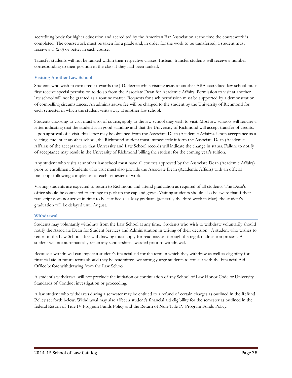accrediting body for higher education and accredited by the American Bar Association at the time the coursework is completed. The coursework must be taken for a grade and, in order for the work to be transferred, a student must receive a C (2.0) or better in each course.

Transfer students will not be ranked within their respective classes. Instead, transfer students will receive a number corresponding to their position in the class if they had been ranked.

## **Visiting Another Law School**

Students who wish to earn credit towards the J.D. degree while visiting away at another ABA accredited law school must first receive special permission to do so from the Associate Dean for Academic Affairs. Permission to visit at another law school will not be granted as a routine matter. Requests for such permission must be supported by a demonstration of compelling circumstances. An administrative fee will be charged to the student by the University of Richmond for each semester in which the student visits away at another law school.

Students choosing to visit must also, of course, apply to the law school they wish to visit. Most law schools will require a letter indicating that the student is in good standing and that the University of Richmond will accept transfer of credits. Upon approval of a visit, this letter may be obtained from the Associate Dean (Academic Affairs). Upon acceptance as a visiting student at another school, the Richmond student must immediately inform the Associate Dean (Academic Affairs) of the acceptance so that University and Law School records will indicate the change in status. Failure to notify of acceptance may result in the University of Richmond billing the student for the coming year's tuition.

Any student who visits at another law school must have all courses approved by the Associate Dean (Academic Affairs) prior to enrollment. Students who visit must also provide the Associate Dean (Academic Affairs) with an official transcript following completion of each semester of work.

Visiting students are expected to return to Richmond and attend graduation as required of all students. The Dean's office should be contacted to arrange to pick up the cap and gown. Visiting students should also be aware that if their transcript does not arrive in time to be certified as a May graduate (generally the third week in May), the student's graduation will be delayed until August.

## **Withdrawal**

Students may voluntarily withdraw from the Law School at any time. Students who wish to withdraw voluntarily should notify the Associate Dean for Student Services and Administration in writing of their decision. A student who wishes to return to the Law School after withdrawing must apply for readmission through the regular admission process. A student will not automatically retain any scholarships awarded prior to withdrawal.

Because a withdrawal can impact a student's financial aid for the term in which they withdraw as well as eligibility for financial aid in future terms should they be readmitted, we strongly urge students to consult with the Financial Aid Office before withdrawing from the Law School.

A student's withdrawal will not preclude the initiation or continuation of any School of Law Honor Code or University Standards of Conduct investigation or proceeding.

A law student who withdraws during a semester may be entitled to a refund of certain charges as outlined in the Refund Policy set forth below. Withdrawal may also affect a student's financial aid eligibility for the semester as outlined in the federal Return of Title IV Program Funds Policy and the Return of Non-Title IV Program Funds Policy.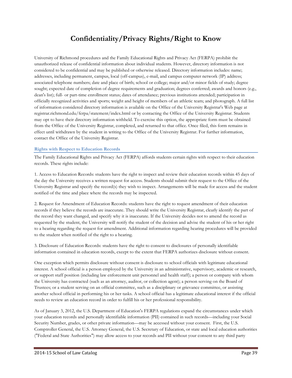# **Confidentiality/Privacy Rights/Right to Know**

University of Richmond procedures and the Family Educational Rights and Privacy Act (FERPA) prohibit the unauthorized release of confidential information about individual students. However, directory information is not considered to be confidential and may be published or otherwise released. Directory information includes: name; addresses, including permanent, campus, local (off-campus), e-mail, and campus computer network (IP) address; associated telephone numbers; date and place of birth; school or college; major and/or minor fields of study; degree sought; expected date of completion of degree requirements and graduation; degrees conferred; awards and honors (e.g., dean's list); full- or part-time enrollment status; dates of attendance; previous institutions attended; participation in officially recognized activities and sports; weight and height of members of an athletic team; and photograph. A full list of information considered directory information is available on the Office of the University Registrar's Web page at registrar.richmond.edu/ferpa/statement/index.html or by contacting the Office of the University Registrar. Students may opt to have their directory information withheld. To exercise this option, the appropriate form must be obtained from the Office of the University Registrar, completed, and returned to that office. Once filed, this form remains in effect until withdrawn by the student in writing to the Office of the University Registrar. For further information, contact the Office of the University Registrar.

## **Rights with Respect to Education Records**

The Family Educational Rights and Privacy Act (FERPA) affords students certain rights with respect to their education records. These rights include:

1. Access to Education Records: students have the right to inspect and review their education records within 45 days of the day the University receives a written request for access. Students should submit their request to the Office of the University Registrar and specify the record(s) they wish to inspect. Arrangements will be made for access and the student notified of the time and place where the records may be inspected.

2. Request for Amendment of Education Records: students have the right to request amendment of their education records if they believe the records are inaccurate. They should write the University Registrar, clearly identify the part of the record they want changed, and specify why it is inaccurate. If the University decides not to amend the record as requested by the student, the University will notify the student of the decision and advise the student of his or her right to a hearing regarding the request for amendment. Additional information regarding hearing procedures will be provided to the student when notified of the right to a hearing.

3. Disclosure of Education Records: students have the right to consent to disclosures of personally identifiable information contained in education records, except to the extent that FERPA authorizes disclosure without consent.

One exception which permits disclosure without consent is disclosure to school officials with legitimate educational interest. A school official is a person employed by the University in an administrative, supervisory, academic or research, or support staff position (including law enforcement unit personnel and health staff); a person or company with whom the University has contracted (such as an attorney, auditor, or collection agent); a person serving on the Board of Trustees; or a student serving on an official committee, such as a disciplinary or grievance committee, or assisting another school official in performing his or her tasks. A school official has a legitimate educational interest if the official needs to review an education record in order to fulfill his or her professional responsibility.

As of January 3, 2012, the U.S. Department of Education's FERPA regulations expand the circumstances under which your education records and personally identifiable information (PII) contained in such records—including your Social Security Number, grades, or other private information—may be accessed without your consent. First, the U.S. Comptroller General, the U.S. Attorney General, the U.S. Secretary of Education, or state and local education authorities ("Federal and State Authorities") may allow access to your records and PII without your consent to any third party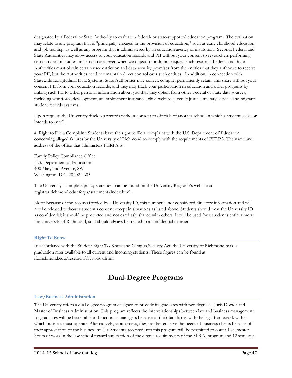designated by a Federal or State Authority to evaluate a federal- or state-supported education program. The evaluation may relate to any program that is "principally engaged in the provision of education," such as early childhood education and job training, as well as any program that is administered by an education agency or institution. Second, Federal and State Authorities may allow access to your education records and PII without your consent to researchers performing certain types of studies, in certain cases even when we object to or do not request such research. Federal and State Authorities must obtain certain use-restriction and data security promises from the entities that they authorize to receive your PII, but the Authorities need not maintain direct control over such entities. In addition, in connection with Statewide Longitudinal Data Systems, State Authorities may collect, compile, permanently retain, and share without your consent PII from your education records, and they may track your participation in education and other programs by linking such PII to other personal information about you that they obtain from other Federal or State data sources, including workforce development, unemployment insurance, child welfare, juvenile justice, military service, and migrant student records systems.

Upon request, the University discloses records without consent to officials of another school in which a student seeks or intends to enroll.

4. Right to File a Complaint: Students have the right to file a complaint with the U.S. Department of Education concerning alleged failures by the University of Richmond to comply with the requirements of FERPA. The name and address of the office that administers FERPA is:

Family Policy Compliance Office U.S. Department of Education 400 Maryland Avenue, SW Washington, D.C. 20202-4605

The University's complete policy statement can be found on the University Registrar's website at registrar.richmond.edu/ferpa/statement/index.html.

Note: Because of the access afforded by a University ID, this number is not considered directory information and will not be released without a student's consent except in situations as listed above. Students should treat the University ID as confidential; it should be protected and not carelessly shared with others. It will be used for a student's entire time at the University of Richmond, so it should always be treated in a confidential manner.

## **Right To Know**

In accordance with the Student Right To Know and Campus Security Act, the University of Richmond makes graduation rates available to all current and incoming students. These figures can be found at ifx.richmond.edu/research/fact-book.html.

# **Dual-Degree Programs**

#### **Law/Business Administration**

The University offers a dual degree program designed to provide its graduates with two degrees - Juris Doctor and Master of Business Administration. This program reflects the interrelationships between law and business management. Its graduates will be better able to function as managers because of their familiarity with the legal framework within which business must operate. Alternatively, as attorneys, they can better serve the needs of business clients because of their appreciation of the business milieu. Students accepted into this program will be permitted to count 12 semester hours of work in the law school toward satisfaction of the degree requirements of the M.B.A. program and 12 semester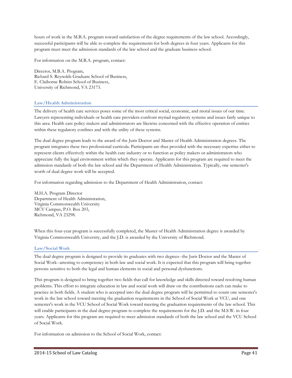hours of work in the M.B.A. program toward satisfaction of the degree requirements of the law school. Accordingly, successful participants will be able to complete the requirements for both degrees in four years. Applicants for this program must meet the admission standards of the law school and the graduate business school.

For information on the M.B.A. program, contact:

Director, M.B.A. Program, Richard S. Reynolds Graduate School of Business, E. Claiborne Robins School of Business, University of Richmond, VA 23173.

## **Law/Health Administration**

The delivery of health care services poses some of the most critical social, economic, and moral issues of our time. Lawyers representing individuals or health care providers confront myriad regulatory systems and issues fairly unique to this area. Health care policy makers and administrators are likewise concerned with the effective operation of entities within these regulatory confines and with the utility of these systems.

The dual degree program leads to the award of the Juris Doctor and Master of Health Administration degrees. The program integrates these two professional curricula. Participants are thus provided with the necessary expertise either to represent clients effectively within the health care industry or to function as policy makers or administrators who appreciate fully the legal environment within which they operate. Applicants for this program are required to meet the admission standards of both the law school and the Department of Health Administration. Typically, one semester's worth of dual degree work will be accepted.

For information regarding admission to the Department of Health Administration, contact:

M.H.A. Program Director Department of Health Administration, Virginia Commonwealth University MCV Campus, P.O. Box 203, Richmond, VA 23298.

When this four-year program is successfully completed, the Master of Health Administration degree is awarded by Virginia Commonwealth University, and the J.D. is awarded by the University of Richmond.

## **Law/Social Work**

The dual degree program is designed to provide its graduates with two degrees--the Juris Doctor and the Master of Social Work--attesting to competency in both law and social work. It is expected that this program will bring together persons sensitive to both the legal and human elements in social and personal dysfunctions.

This program is designed to bring together two fields that call for knowledge and skills directed toward resolving human problems. This effort to integrate education in law and social work will draw on the contributions each can make to practice in both fields. A student who is accepted into the dual degree program will be permitted to count one semester's work in the law school toward meeting the graduation requirements in the School of Social Work at VCU, and one semester's work in the VCU School of Social Work toward meeting the graduation requirements of the law school. This will enable participants in the dual degree program to complete the requirements for the J.D. and the M.S.W. in four years. Applicants for this program are required to meet admission standards of both the law school and the VCU School of Social Work.

For information on admission to the School of Social Work, contact: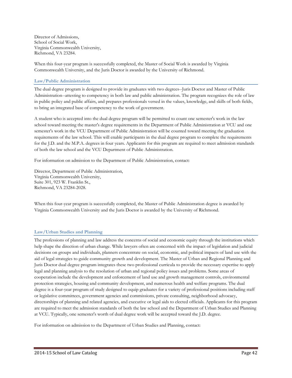Director of Admissions, School of Social Work, Virginia Commonwealth University, Richmond, VA 23284.

When this four-year program is successfully completed, the Master of Social Work is awarded by Virginia Commonwealth University, and the Juris Doctor is awarded by the University of Richmond.

## **Law/Public Administration**

The dual degree program is designed to provide its graduates with two degrees--Juris Doctor and Master of Public Administration--attesting to competency in both law and public administration. The program recognizes the role of law in public policy and public affairs, and prepares professionals versed in the values, knowledge, and skills of both fields, to bring an integrated base of competency to the work of government.

A student who is accepted into the dual degree program will be permitted to count one semester's work in the law school toward meeting the master's degree requirements in the Department of Public Administration at VCU and one semester's work in the VCU Department of Public Administration will be counted toward meeting the graduation requirements of the law school. This will enable participants in the dual degree program to complete the requirements for the J.D. and the M.P.A. degrees in four years. Applicants for this program are required to meet admission standards of both the law school and the VCU Department of Public Administration.

For information on admission to the Department of Public Administration, contact:

Director, Department of Public Administration, Virginia Commonwealth University, Suite 301, 923 W. Franklin St., Richmond, VA 23284-2028.

When this four-year program is successfully completed, the Master of Public Administration degree is awarded by Virginia Commonwealth University and the Juris Doctor is awarded by the University of Richmond.

## **Law/Urban Studies and Planning**

The professions of planning and law address the concerns of social and economic equity through the institutions which help shape the direction of urban change. While lawyers often are concerned with the impact of legislation and judicial decisions on groups and individuals, planners concentrate on social, economic, and political impacts of land use with the aid of legal strategies to guide community growth and development. The Master of Urban and Regional Planning and Juris Doctor dual degree program integrates these two professional curricula to provide the necessary expertise to apply legal and planning analysis to the resolution of urban and regional policy issues and problems. Some areas of cooperation include the development and enforcement of land use and growth management controls, environmental protection strategies, housing and community development, and numerous health and welfare programs. The dual degree is a four-year program of study designed to equip graduates for a variety of professional positions including staff or legislative committees, government agencies and commissions, private consulting, neighborhood advocacy, directorships of planning and related agencies, and executive or legal aids to elected officials. Applicants for this program are required to meet the admission standards of both the law school and the Department of Urban Studies and Planning at VCU. Typically, one semester's worth of dual degree work will be accepted toward the J.D. degree.

For information on admission to the Department of Urban Studies and Planning, contact: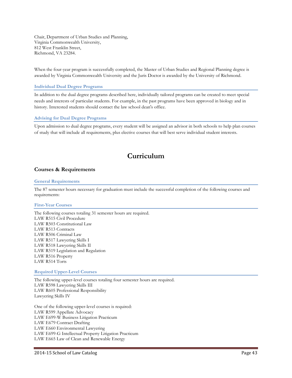Chair, Department of Urban Studies and Planning, Virginia Commonwealth University, 812 West Franklin Street, Richmond, VA 23284.

When the four-year program is successfully completed, the Master of Urban Studies and Regional Planning degree is awarded by Virginia Commonwealth University and the Juris Doctor is awarded by the University of Richmond.

#### **Individual Dual Degree Programs**

In addition to the dual degree programs described here, individually tailored programs can be created to meet special needs and interests of particular students. For example, in the past programs have been approved in biology and in history. Interested students should contact the law school dean's office.

#### **Advising for Dual Degree Programs**

Upon admission to dual degree programs, every student will be assigned an advisor in both schools to help plan courses of study that will include all requirements, plus elective courses that will best serve individual student interests.

# **Curriculum**

## **Courses & Requirements**

#### **General Requirements**

The 87 semester hours necessary for graduation must include the successful completion of the following courses and requirements:

#### **First-Year Courses**

The following courses totaling 31 semester hours are required. LAW R515 Civil Procedure LAW R503 Constitutional Law LAW R513 Contracts LAW R506 Criminal Law LAW R517 Lawyering Skills I LAW R518 Lawyering Skills II LAW R519 Legislation and Regulation LAW R516 Property LAW R514 Torts

#### **Required Upper-Level Courses**

The following upper-level courses totaling four semester hours are required. LAW R598 Lawyering Skills III LAW R605 Professional Responsibility Lawyering Skills IV

One of the following upper-level courses is required: LAW R599 Appellate Advocacy LAW E699-W Business Litigation Practicum LAW E679 Contract Drafting LAW E660 Environmental Lawyering LAW E699-G Intellectual Property Litigation Practicum LAW E665 Law of Clean and Renewable Energy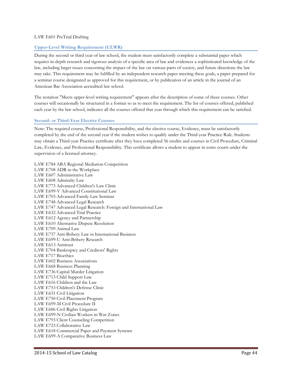## LAW E601 PreTrial Drafting

## **Upper-Level Writing Requirement (ULWR)**

During the second or third year of law school, the student must satisfactorily complete a substantial paper which requires in-depth research and rigorous analysis of a specific area of law and evidences a sophisticated knowledge of the law, including larger issues concerning the impact of the law on various parts of society, and future directions the law may take. This requirement may be fulfilled by an independent research paper meeting these goals, a paper prepared for a seminar course designated as approved for this requirement, or by publication of an article in the journal of an American Bar Association accredited law school.

The notation "Meets upper-level writing requirement" appears after the description of some of these courses. Other courses will occasionally be structured in a format so as to meet the requirement. The list of courses offered, published each year by the law school, indicates all the courses offered that year through which this requirement can be satisfied.

#### **Second- or Third-Year Elective Courses**

Note: The required course, Professional Responsibility, and the elective course, Evidence, must be satisfactorily completed by the end of the second year if the student wishes to qualify under the Third-year Practice Rule. Students may obtain a Third-year Practice certificate after they have completed 56 credits and courses in Civil Procedure, Criminal Law, Evidence, and Professional Responsibility. This certificate allows a student to appear in some courts under the supervision of a licensed attorney.

LAW E784 ABA Regional Mediation Competition LAW E708 ADR in the Workplace LAW E607 Administrative Law LAW E608 Admiralty Law LAW E773 Advanced Children's Law Clinic LAW E699-V Advanced Constitutional Law LAW E703 Advanced Family Law Seminar LAW E748 Advanced Legal Research LAW E747 Advanced Legal Research: Foreign and International Law LAW E632 Advanced Trial Practice LAW E612 Agency and Partnership LAW E610 Alternative Dispute Resolution LAW E709 Animal Law LAW E737 Anti-Bribery Law in International Business LAW E699-U Anti-Bribery Research LAW E613 Antitrust LAW E704 Bankruptcy and Creditors' Rights LAW E717 Bioethics LAW E602 Business Associations LAW E668 Business Planning LAW E736 Capital Murder Litigation LAW E713 Child Support Law LAW E616 Children and the Law LAW E753 Children's Defense Clinic LAW E631 Civil Litigation LAW E750 Civil Placement Program LAW E699-M Civil Procedure II LAW E686 Civil Rights Litigation LAW E699-N Civilian Workers in War Zones LAW E793 Client Counseling Competition LAW E723 Collaborative Law LAW E618 Commercial Paper and Payment Systems LAW E699-A Comparative Business Law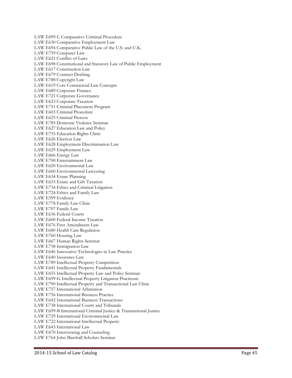LAW E699-L Comparative Criminal Procedure LAW E630 Comparative Employment Law LAW E694 Comparative Public Law of the U.S. and U.K. LAW E759 Computer Law LAW E621 Conflict of Laws LAW E698 Constitutional and Statutory Law of Public Employment LAW E617 Construction Law LAW E679 Contract Drafting LAW E788 Copyright Law LAW E619 Core Commercial Law Concepts LAW E689 Corporate Finance LAW E721 Corporate Governance LAW E623 Corporate Taxation LAW E751 Criminal Placement Program LAW E603 Criminal Procedure LAW E625 Criminal Process LAW E785 Domestic Violence Seminar LAW E627 Education Law and Policy LAW E755 Education Rights Clinic LAW E626 Election Law LAW E628 Employment Discrimination Law LAW E629 Employment Law LAW E666 Energy Law LAW E700 Entertainment Law LAW E620 Environmental Law LAW E660 Environmental Lawyering LAW E634 Estate Planning LAW E633 Estate and Gift Taxation LAW E734 Ethics and Criminal Litigation LAW E724 Ethics and Family Law LAW E599 Evidence LAW E778 Family Law Clinic LAW E707 Family Law LAW E636 Federal Courts LAW E600 Federal Income Taxation LAW E676 First Amendment Law LAW E680 Health Care Regulation LAW E760 Housing Law LAW E667 Human Rights Seminar LAW E758 Immigration Law LAW E646 Innovative Technologies in Law Practice LAW E640 Insurance Law LAW E789 Intellectual Property Competition LAW E641 Intellectual Property Fundamentals LAW E655 Intellectual Property Law and Policy Seminar LAW E699-G Intellectual Property Litigation Practicum LAW E790 Intellectual Property and Transactional Law Clinic LAW E757 International Arbitration LAW E756 International Business Practice LAW E642 International Business Transactions LAW E738 International Courts and Tribunals LAW E699-B International Criminal Justice & Transnational Justice LAW E729 International Environmental Law LAW E722 International Intellectual Property LAW E643 International Law LAW E670 Interviewing and Counseling LAW E764 John Marshall Scholars Seminar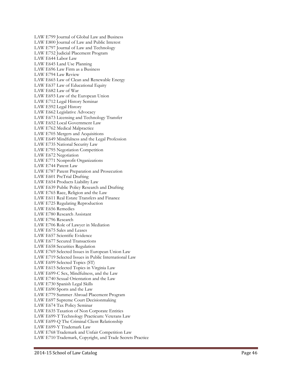LAW E799 Journal of Global Law and Business LAW E800 Journal of Law and Public Interest LAW E797 Journal of Law and Technology LAW E752 Judicial Placement Program LAW E644 Labor Law LAW E645 Land Use Planning LAW E696 Law Firm as a Business LAW E794 Law Review LAW E665 Law of Clean and Renewable Energy LAW E637 Law of Educational Equity LAW E682 Law of War LAW E693 Law of the European Union LAW E712 Legal History Seminar LAW E592 Legal History LAW E662 Legislative Advocacy LAW E673 Licensing and Technology Transfer LAW E652 Local Government Law LAW E762 Medical Malpractice LAW E705 Mergers and Acquisitions LAW E649 Mindfulness and the Legal Profession LAW E735 National Security Law LAW E795 Negotiation Competition LAW E672 Negotiation LAW E771 Nonprofit Organizations LAW E744 Patent Law LAW E787 Patent Preparation and Prosecution LAW E601 PreTrial Drafting LAW E654 Products Liability Law LAW E639 Public Policy Research and Drafting LAW E765 Race, Religion and the Law LAW E611 Real Estate Transfers and Finance LAW E725 Regulating Reproduction LAW E656 Remedies LAW E780 Research Assistant LAW E796 Research LAW E706 Role of Lawyer in Mediation LAW E675 Sales and Leases LAW E657 Scientific Evidence LAW E677 Secured Transactions LAW E658 Securities Regulation LAW E769 Selected Issues in European Union Law LAW E719 Selected Issues in Public International Law LAW E699 Selected Topics (ST) LAW E615 Selected Topics in Virginia Law LAW E699-C Sex, Mindfulness, and the Law LAW E740 Sexual Orientation and the Law LAW E730 Spanish Legal Skills LAW E690 Sports and the Law LAW E779 Summer Abroad Placement Program LAW E697 Supreme Court Decisionmaking LAW E674 Tax Policy Seminar LAW E635 Taxation of Non Corporate Entities LAW E699-T Technology Practicum: Veterans Law LAW E699-Q The Criminal Client Relationship LAW E699-Y Trademark Law LAW E768 Trademark and Unfair Competition Law LAW E710 Trademark, Copyright, and Trade Secrets Practice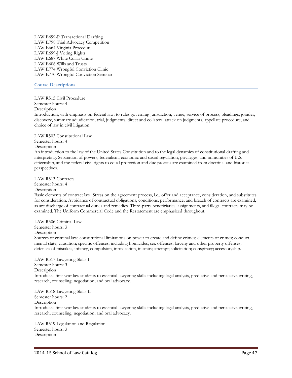LAW E699-P Transactional Drafting LAW E798 Trial Advocacy Competition LAW E664 Virginia Procedure LAW E699-J Voting Rights LAW E687 White Collar Crime LAW E606 Wills and Trusts LAW E774 Wrongful Conviction Clinic LAW E770 Wrongful Conviction Seminar

#### **Course Descriptions**

LAW R515 Civil Procedure

Semester hours: 4

**Description** 

Introduction, with emphasis on federal law, to rules governing jurisdiction, venue, service of process, pleadings, joinder, discovery, summary adjudication, trial, judgments, direct and collateral attack on judgments, appellate procedure, and choice of law in civil litigation.

LAW R503 Constitutional Law Semester hours: 4 Description

An introduction to the law of the United States Constitution and to the legal dynamics of constitutional drafting and interpreting. Separation of powers, federalism, economic and social regulation, privileges, and immunities of U.S. citizenship, and the federal civil rights to equal protection and due process are examined from doctrinal and historical perspectives.

LAW R513 Contracts

Semester hours: 4

Description

Basic elements of contract law. Stress on the agreement process, i.e., offer and acceptance, consideration, and substitutes for consideration. Avoidance of contractual obligations, conditions, performance, and breach of contracts are examined, as are discharge of contractual duties and remedies. Third-party beneficiaries, assignments, and illegal contracts may be examined. The Uniform Commercial Code and the Restatement are emphasized throughout.

LAW R506 Criminal Law

Semester hours: 3

Description

Sources of criminal law; constitutional limitations on power to create and define crimes; elements of crimes; conduct, mental state, causation; specific offenses, including homicides, sex offenses, larceny and other property offenses; defenses of mistakes, infancy, compulsion, intoxication, insanity; attempt; solicitation; conspiracy; accessoryship.

LAW R517 Lawyering Skills I Semester hours: 3 Description Introduces first-year law students to essential lawyering skills including legal analysis, predictive and persuasive writing, research, counseling, negotiation, and oral advocacy.

LAW R518 Lawyering Skills II Semester hours: 2

Description

Introduces first-year law students to essential lawyering skills including legal analysis, predictive and persuasive writing, research, counseling, negotiation, and oral advocacy.

LAW R519 Legislation and Regulation Semester hours: 3 Description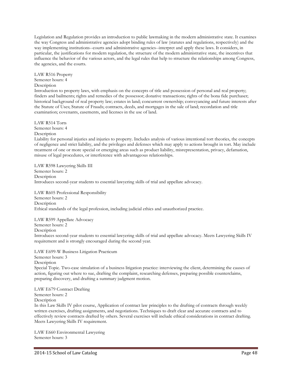Legislation and Regulation provides an introduction to public lawmaking in the modern administrative state. It examines the way Congress and administrative agencies adopt binding rules of law (statutes and regulations, respectively) and the way implementing institutions--courts and administrative agencies--interpret and apply these laws. It considers, in particular, the justifications for modern regulation, the structure of the modern administrative state, the incentives that influence the behavior of the various actors, and the legal rules that help to structure the relationships among Congress, the agencies, and the courts.

LAW R516 Property Semester hours: 4 **Description** 

Introduction to property laws, with emphasis on the concepts of title and possession of personal and real property; finders and bailments; rights and remedies of the possessor; donative transactions; rights of the bona fide purchaser; historical background of real property law; estates in land; concurrent ownership; conveyancing and future interests after the Statute of Uses; Statute of Frauds; contracts, deeds, and mortgages in the sale of land; recordation and title examination; covenants, easements, and licenses in the use of land.

LAW R514 Torts

Semester hours: 4

Description

Liability for personal injuries and injuries to property. Includes analysis of various intentional tort theories, the concepts of negligence and strict liability, and the privileges and defenses which may apply to actions brought in tort. May include treatment of one or more special or emerging areas such as product liability, misrepresentation, privacy, defamation, misuse of legal procedures, or interference with advantageous relationships.

LAW R598 Lawyering Skills III Semester hours: 2 Description Introduces second-year students to essential lawyering skills of trial and appellate advocacy.

LAW R605 Professional Responsibility Semester hours: 2 **Description** Ethical standards of the legal profession, including judicial ethics and unauthorized practice.

LAW R599 Appellate Advocacy Semester hours: 2 Description Introduces second-year students to essential lawyering skills of trial and appellate advocacy. Meets Lawyering Skills IV requirement and is strongly encouraged during the second year.

LAW E699-W Business Litigation Practicum

Semester hours: 3

Description

Special Topic. Two-case simulation of a business litigation practice: interviewing the client, determining the causes of action, figuring out where to sue, drafting the complaint, researching defenses, preparing possible counterclaims, preparing discovery, and drafting a summary judgment motion.

LAW E679 Contract Drafting

Semester hours: 2

Description

In this Law Skills IV pilot course, Application of contract law principles to the drafting of contracts through weekly written exercises, drafting assignments, and negotiations. Techniques to draft clear and accurate contracts and to effectively review contracts drafted by others. Several exercises will include ethical considerations in contract drafting. Meets Lawyering Skills IV requirement.

LAW E660 Environmental Lawyering Semester hours: 3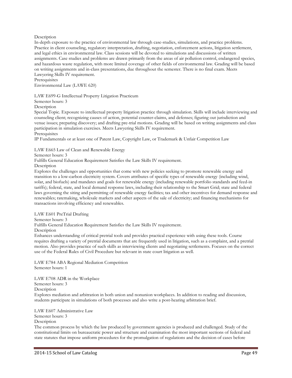## Description

In-depth exposure to the practice of environmental law through case-studies, simulations, and practice problems. Practice in client counseling, regulatory interpretation, drafting, negotiation, enforcement actions, litigation settlement, and legal ethics in environmental law. Class sessions will be devoted to simulations and discussions of written assignments. Case studies and problems are drawn primarily from the areas of air pollution control, endangered species, and hazardous waste regulation, with more limited coverage of other fields of environmental law. Grading will be based on writing assignments and in-class presentations, due throughout the semester. There is no final exam. Meets Lawyering Skills IV requirement.

**Prerequisites** 

Environmental Law (LAWE 620)

LAW E699-G Intellectual Property Litigation Practicum

Semester hours: 3

**Description** 

Special Topic. Exposure to intellectual property litigation practice through simulation. Skills will include interviewing and counseling client; recognizing causes of action, potential counter-claims, and defenses; figuring out jurisdiction and venue issues; preparing discovery; and drafting pre-trial motions. Grading will be based on writing assignments and class participation in simulation exercises. Meets Lawyering Skills IV requirement. **Prerequisites** 

IP Fundamentals or at least one of Patent Law, Copyright Law, or Trademark & Unfair Competition Law

LAW E665 Law of Clean and Renewable Energy

Semester hours: 3

Fulfills General Education Requirement Satisfies the Law Skills IV requirement.

Description

Explores the challenges and opportunities that come with new policies seeking to promote renewable energy and transition to a low-carbon electricity system. Covers attributes of specific types of renewable energy (including wind, solar, and biofuels) and mandates and goals for renewable energy (including renewable portfolio standards and feed-in tariffs); federal, state, and local demand response laws, including their relationship to the Smart Grid; state and federal laws governing the siting and permitting of renewable energy facilities; tax and other incentives for demand response and renewables; ratemaking, wholesale markets and other aspects of the sale of electricity; and financing mechanisms for transactions involving efficiency and renewables.

LAW E601 PreTrial Drafting

Semester hours: 3

Fulfills General Education Requirement Satisfies the Law Skills IV requirement.

#### Description

Enhances understanding of critical pretrial tools and provides practical experience with using these tools. Course requires drafting a variety of pretrial documents that are frequently used in litigation, such as a complaint, and a pretrial motion. Also provides practice of such skills as interviewing clients and negotiating settlements. Focuses on the correct use of the Federal Rules of Civil Procedure but relevant in state court litigation as well.

LAW E784 ABA Regional Mediation Competition Semester hours: 1

LAW E708 ADR in the Workplace Semester hours: 3 Description Explores mediation and arbitration in both union and nonunion workplaces. In addition to reading and discussion, students participate in simulations of both processes and also write a post-hearing arbitration brief.

LAW E607 Administrative Law Semester hours: 3 **Description** 

The common process by which the law produced by government agencies is produced and challenged. Study of the constitutional limits on bureaucratic power and structure and examination the most important sections of federal and state statutes that impose uniform procedures for the promulgation of regulations and the decision of cases before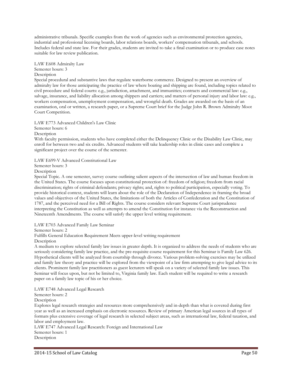administrative tribunals. Specific examples from the work of agencies such as environmental protection agencies, industrial and professional licensing boards, labor relations boards, workers' compensation tribunals, and schools. Includes federal and state law. For their grades, students are invited to take a final examination or to produce case notes suitable for law review publication.

LAW E608 Admiralty Law Semester hours: 3 **Description** 

Special procedural and substantive laws that regulate waterborne commerce. Designed to present an overview of admiralty law for those anticipating the practice of law where boating and shipping are found, including topics related to civil procedure and federal courts: e.g., jurisdiction, attachment, and immunities; contracts and commercial law: e.g., salvage, insurance, and liability allocation among shippers and carriers; and matters of personal injury and labor law: e.g., workers compensation, unemployment compensation, and wrongful death. Grades are awarded on the basis of an examination, oral or written, a research paper, or a Supreme Court brief for the Judge John R. Brown Admiralty Moot Court Competition.

LAW E773 Advanced Children's Law Clinic

Semester hours: 6

Description

With faculty permission, students who have completed either the Delinquency Clinic or the Disability Law Clinic, may enroll for between two and six credits. Advanced students will take leadership roles in clinic cases and complete a significant project over the course of the semester.

LAW E699-V Advanced Constitutional Law

Semester hours: 3

Description

Special Topic. A one semester, survey course outlining salient aspects of the intersection of law and human freedom in the United States. The course focuses upon constitutional protection of: freedom of religion; freedom from racial discrimination; rights of criminal defendants; privacy rights; and, rights to political participation, especially voting. To provide historical context, students will learn about the role of the Declaration of Independence in framing the broad values and objectives of the United States, the limitations of both the Articles of Confederation and the Constitution of 1787, and the perceived need for a Bill of Rights. The course considers relevant Supreme Court jurisprudence interpreting the Constitution as well as attempts to amend the Constitution for instance via the Reconstruction and Nineteenth Amendments. The course will satisfy the upper level writing requirement.

LAW E703 Advanced Family Law Seminar

Semester hours: 2

Fulfills General Education Requirement Meets upper-level writing requirement Description

A medium to explore selected family law issues in greater depth. It is organized to address the needs of students who are seriously considering family law practice, and the pre-requisite course requirement for this Seminar is Family Law 626. Hypothetical clients will be analyzed from courtship through divorce. Various problem-solving exercises may be utilized and family law theory and practice will be explored from the viewpoint of a law firm attempting to give legal advice to its clients. Prominent family law practitioners as guest lecturers will speak on a variety of selected family law issues. This Seminar will focus upon, but not be limited to, Virginia family law. Each student will be required to write a research paper on a family law topic of his or her choice.

LAW E748 Advanced Legal Research

Semester hours: 2 Description

Explores legal research strategies and resources more comprehensively and in-depth than what is covered during first year as well as an increased emphasis on electronic resources. Review of primary American legal sources in all types of formats plus extensive coverage of legal research in selected subject areas, such as international law, federal taxation, and labor and employment law.

LAW E747 Advanced Legal Research: Foreign and International Law Semester hours: 1 **Description**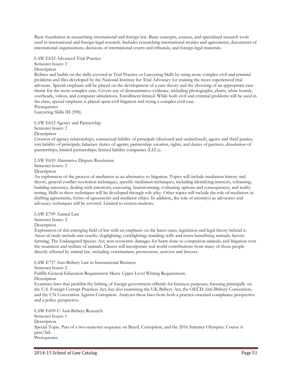Basic foundation in researching international and foreign law. Basic concepts, sources, and specialized research tools used in international and foreign legal research. Includes researching international treaties and agreements, documents of international organizations, decisions of international courts and tribunals, and foreign legal materials.

LAW E632 Advanced Trial Practice Semester hours: 3 Description

Refines and builds on the skills covered in Trial Practice or Lawyering Skills by using more complex civil and criminal problems and files developed by the National Institute for Trial Advocacy for training the more experienced trial advocate. Special emphasis will be placed on the development of a case theory and the choosing of an appropriate case theme for the more complex case. Covers use of demonstrative evidence, including photographs, charts, white boards, overheads, videos, and computer simulations. Enrollment limited. While both civil and criminal problems will be used in the class, special emphasis is placed upon civil litigation and trying a complex civil case. **Prerequisites** 

Lawyering Skills III (598).

LAW E612 Agency and Partnership Semester hours: 2

Description

Creation of agency relationships; contractual liability of principals (disclosed and undisclosed), agents and third parties; tort liability of principals; fiduciary duties of agents; partnership: creation, rights, and duties of partners, dissolution of partnerships; limited partnerships; limited liability companies (LLCs).

LAW E610 Alternative Dispute Resolution

Semester hours: 2

Description

An exploration of the process of mediation as an alternative to litigation. Topics will include mediation history and theory, general conflict resolution techniques, specific mediation techniques, including identifying interests, reframing, building successes, dealing with emotions, caucusing, brainstorming, evaluating options and consequences, and reality testing. Skills in these techniques will be developed through role-play. Other topics will include the role of mediators in drafting agreements, forms of agreements and mediator ethics. In addition, the role of attorneys as advocates and advocacy techniques will be covered. Limited to sixteen students.

LAW E709 Animal Law Semester hours: 2 **Description** 

Exploration of this emerging field of law with an emphasis on the latest cases, legislation and legal theory behind it. Areas of study include anti-cruelty; dogfighting; cockfighting; standing; wills and trusts benefitting animals; factory farming; The Endangered Species Act; non-economic damages for harm done to companion animals; and litigation over the treatment and welfare of animals. Classes will incorporate real world contributions from many of those people directly affected by animal law, including veterinarians, prosecutors, activists and lawyers.

LAW E737 Anti-Bribery Law in International Business Semester hours: 2 Fulfills General Education Requirement Meets Upper Level Writing Requirement. Description Examines laws that prohibit the bribing of foreign government officials for business purposes, focusing principally on the U.S. Foreign Corrupt Practices Act, but also examining the UK Bribery Act, the OECD Anti-Bribery Convention, and the UN Convention Against Corruption. Analyzes these laws from both a practice-oriented compliance perspective and a policy perspective.

LAW E699-U Anti-Bribery Research Semester hours: 1 **Description** Special Topic. Part of a two-semester sequence on Brazil, Corruption, and the 2016 Summer Olympics. Course is pass/fail. Prerequisites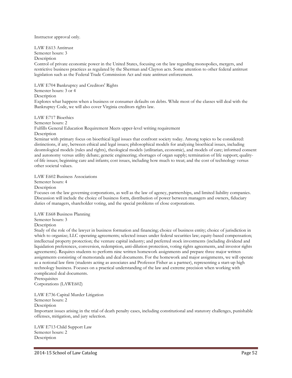#### Instructor approval only.

LAW E613 Antitrust

Semester hours: 3

Description

Control of private economic power in the United States, focusing on the law regarding monopolies, mergers, and restrictive business practices as regulated by the Sherman and Clayton acts. Some attention to other federal antitrust legislation such as the Federal Trade Commission Act and state antitrust enforcement.

LAW E704 Bankruptcy and Creditors' Rights

Semester hours: 3 or 4

**Description** 

Explores what happens when a business or consumer defaults on debts. While most of the classes will deal with the Bankruptcy Code, we will also cover Virginia creditors rights law.

LAW E717 Bioethics Semester hours: 2 Fulfills General Education Requirement Meets upper-level writing requirement Description Seminar with primary focus on bioethical legal issues that confront society today. Among topics to be considered:

distinctions, if any, between ethical and legal issues; philosophical models for analyzing bioethical issues, including deontological models (rules and rights), theological models (utilitarian, economic), and models of care; informed consent and autonomy versus utility debate; genetic engineering; shortages of organ supply; termination of life support; qualityof-life issues; beginning care and infants; cost issues, including how much to treat; and the cost of technology versus other societal values.

LAW E602 Business Associations

Semester hours: 4

**Description** 

Focuses on the law governing corporations, as well as the law of agency, partnerships, and limited liability companies. Discussion will include the choice of business form, distribution of power between managers and owners, fiduciary duties of managers, shareholder voting, and the special problems of close corporations.

LAW E668 Business Planning

Semester hours: 3

**Description** 

Study of the role of the lawyer in business formation and financing; choice of business entity; choice of jurisdiction in which to organize; LLC operating agreements; selected issues under federal securities law; equity-based compensation; intellectual property protection; the venture capital industry; and preferred stock investments (including dividend and liquidation preferences, conversion, redemption, anti-dilution protection, voting rights agreements, and investor rights agreements). Requires students to perform nine written homework assignments and prepare three major written assignments consisting of memoranda and deal documents. For the homework and major assignments, we will operate as a notional law firm (students acting as associates and Professor Fisher as a partner), representing a start-up high technology business. Focuses on a practical understanding of the law and extreme precision when working with complicated deal documents.

**Prerequisites** Corporations (LAWE602)

LAW E736 Capital Murder Litigation Semester hours: 2 Description Important issues arising in the trial of death penalty cases, including constitutional and statutory challenges, punishable offenses, mitigation, and jury selection.

LAW E713 Child Support Law Semester hours: 2 **Description**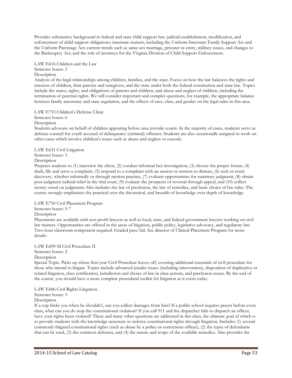Provides substantive background in federal and state child support law; judicial establishment, modification, and enforcement of child support obligations; interstate matters, including the Uniform Interstate Family Support Act and the Uniform Parentage Act; current trends such as same-sex marriage, prisoner re-entry, military issues, and changes to the Bankruptcy Act; and the role of attorneys for the Virginia Division of Child Support Enforcement.

LAW E616 Children and the Law Semester hours: 3

**Description** 

Analysis of the legal relationships among children, families, and the state. Focus on how the law balances the rights and interests of children, their parents and caregivers, and the state under both the federal constitution and state law. Topics include the status, rights, and obligations of parents and children, and abuse and neglect of children, including the termination of parental rights. We will consider important and complex questions, for example, the appropriate balance between family autonomy and state regulation, and the effects of race, class, and gender on the legal rules in this area.

LAW E753 Children's Defense Clinic

Semester hours: 6

Description

Students advocate on behalf of children appearing before area juvenile courts. In the majority of cases, students serve as defense counsel for youth accused of delinquency (criminal) offenses. Students are also occasionally assigned to work on other cases which involve children's issues such as abuse and neglect or custody.

LAW E631 Civil Litigation

Semester hours: 3

Description

Prepares students to (1) interview the client, (2) conduct informal fact investigation, (3) choose the proper forum, (4) draft, file and serve a complaint, (5) respond to a complaint with an answer or motion to dismiss, (6) seek or resist discovery, whether informally or through motion practice, (7) evaluate opportunities for summary judgment, (8) obtain post-judgment judicial relief in the trial court, (9) evaluate the prospects of reversal through appeal, and (10) collect money owed on judgments Also includes the law of preclusion, the law of remedies, and basic choice of law rules. The course strongly emphasizes the practical over the theoretical, and breadth of knowledge over depth of knowledge.

LAW E750 Civil Placement Program

Semester hours: 5-7

**Description** 

Placements are available with non profit lawyers as well as local, state, and federal government lawyers working on civil law matters. Opportunities are offered in the areas of litigation, public policy, legislative advocacy, and regulatory law. Two-hour classroom component required. Graded pass/fail. See director of Clinical Placement Program for more details.

LAW E699-M Civil Procedure II Semester hours: 2 Description

Special Topic. Picks up where first-year Civil Procedure leaves off, covering additional essentials of civil procedure for those who intend to litigate. Topics include advanced joinder issues (including intervention), disposition of duplicative or related litigation, class certification, jurisdiction and choice of law in class actions, and preclusion issues. By the end of the course, you should have a more complete procedural toolkit for litigation as it exists today.

LAW E686 Civil Rights Litigation

Semester hours: 3

Description

If a cop frisks you when he shouldn't, can you collect damages from him? If a public school requires prayer before every class, what can you do stop the constitutional violation? If you call 911 and the dispatcher fails to dispatch an officer, have your rights been violated? These and many other questions are addressed in this class, the ultimate goal of which is to provide students with the knowledge necessary to enforce constitutional rights through litigation. Includes (1) several commonly-litigated constitutional rights (such as abuse by a police or corrections officer), (2) the types of defendants that can be sued, (3) the common defenses, and (4) the nature and scope of the available remedies. Also provides the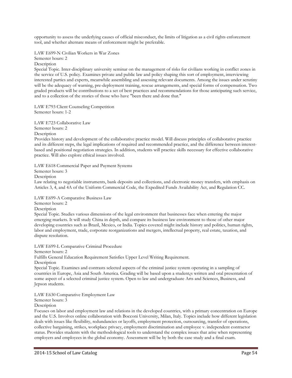opportunity to assess the underlying causes of official misconduct, the limits of litigation as a civil rights enforcement tool, and whether alternate means of enforcement might be preferable.

LAW E699-N Civilian Workers in War Zones Semester hours: 2 Description

Special Topic. Inter-disciplinary university seminar on the management of risks for civilians working in conflict zones in the service of U.S. policy. Examines private and public law and policy shaping this sort of employment, interviewing interested parties and experts, meanwhile assembling and assessing relevant documents. Among the issues under scrutiny will be the adequacy of warning, pre-deployment training, rescue arrangements, and special forms of compensation. Two graded products will be contributions to a set of best practices and recommendations for those anticipating such service, and to a collection of the stories of those who have "been there and done that."

LAW E793 Client Counseling Competition Semester hours: 1-2

LAW E723 Collaborative Law Semester hours: 2 Description

Provides history and development of the collaborative practice model. Will discuss principles of collaborative practice and its different steps, the legal implications of required and recommended practice, and the difference between interestbased and positional negotiation strategies. In addition, students will practice skills necessary for effective collaborative practice. Will also explore ethical issues involved.

LAW E618 Commercial Paper and Payment Systems

Semester hours: 3

Description

Law relating to negotiable instruments, bank deposits and collections, and electronic money transfers, with emphasis on Articles 3, 4, and 4A of the Uniform Commercial Code, the Expedited Funds Availability Act, and Regulation CC.

LAW E699-A Comparative Business Law

Semester hours: 2

**Description** 

Special Topic. Studies various dimensions of the legal environment that businesses face when entering the major emerging markets. It will study China in depth, and compare its business law environment to those of other major developing countries such as Brazil, Mexico, or India. Topics covered might include history and politics, human rights, labor and employment, trade, corporate reorganizations and mergers, intellectual property, real estate, taxation, and dispute resolution.

LAW E699-L Comparative Criminal Procedure

Semester hours: 2

Fulfills General Education Requirement Satisfies Upper Level Writing Requirement.

Description

Special Topic. Examines and contrasts selected aspects of the criminal justice system operating in a sampling of countries in Europe, Asia and South America. Grading will be based upon a student¿s written and oral presentation of some aspect of a selected criminal justice system. Open to law and undergraduate Arts and Sciences, Business, and Jepson students.

LAW E630 Comparative Employment Law

Semester hours: 3

Description

Focuses on labor and employment law and relations in the developed countries, with a primary concentration on Europe and the U.S. Involves online collaboration with Bocconi University, Milan, Italy. Topics include how different legislation deals with issues like flexibility, redundancies or layoffs, employment protection, outsourcing, transfer of operations, collective bargaining, strikes, workplace privacy, employment discrimination and employee v. independent contractor status. Provides students with the methodological tools to understand the complex issues that arise when representing employers and employees in the global economy. Assessment will be by both the case study and a final exam.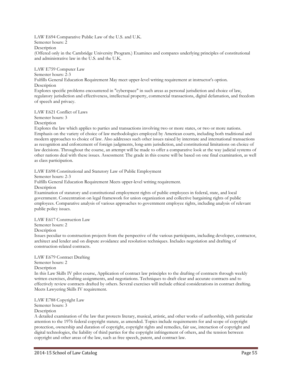LAW E694 Comparative Public Law of the U.S. and U.K. Semester hours: 2 Description (Offered only in the Cambridge University Program.) Examines and compares underlying principles of constitutional

LAW E759 Computer Law

and administrative law in the U.S. and the U.K.

Semester hours: 2-3

Fulfills General Education Requirement May meet upper-level writing requirement at instructor's option. **Description** 

Explores specific problems encountered in "cyberspace" in such areas as personal jurisdiction and choice of law, regulatory jurisdiction and effectiveness, intellectual property, commercial transactions, digital defamation, and freedom of speech and privacy.

LAW E621 Conflict of Laws

Semester hours: 3 Description

Explores the law which applies to parties and transactions involving two or more states, or two or more nations. Emphasis on the variety of choice of law methodologies employed by American courts, including both traditional and modern approaches to choice of law. Also addresses such other issues raised by interstate and international transactions as recognition and enforcement of foreign judgments, long-arm jurisdiction, and constitutional limitations on choice of law decisions. Throughout the course, an attempt will be made to offer a comparative look at the way judicial systems of other nations deal with these issues. Assessment: The grade in this course will be based on one final examination, as well as class participation.

LAW E698 Constitutional and Statutory Law of Public Employment

Semester hours: 2-3

Fulfills General Education Requirement Meets upper-level writing requirement.

Description

Examination of statutory and constitutional employment rights of public employees in federal, state, and local government. Concentration on legal framework for union organization and collective bargaining rights of public employees. Comparative analysis of various approaches to government employee rights, including analysis of relevant public policy issues.

LAW E617 Construction Law Semester hours: 2

Description

Issues peculiar to construction projects from the perspective of the various participants, including developer, contractor, architect and lender and on dispute avoidance and resolution techniques. Includes negotiation and drafting of construction-related contracts.

LAW E679 Contract Drafting Semester hours: 2 Description

In this Law Skills IV pilot course, Application of contract law principles to the drafting of contracts through weekly

written exercises, drafting assignments, and negotiations. Techniques to draft clear and accurate contracts and to effectively review contracts drafted by others. Several exercises will include ethical considerations in contract drafting. Meets Lawyering Skills IV requirement.

LAW E788 Copyright Law

Semester hours: 3

**Description** 

A detailed examination of the law that protects literary, musical, artistic, and other works of authorship, with particular attention to the 1976 federal copyright statute, as amended. Topics include requirements for and scope of copyright protection, ownership and duration of copyright, copyright rights and remedies, fair use, interaction of copyright and digital technologies, the liability of third parties for the copyright infringement of others, and the tension between copyright and other areas of the law, such as free speech, patent, and contract law.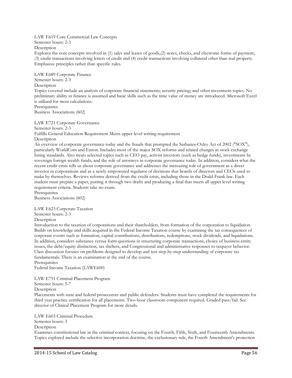LAW E619 Core Commercial Law Concepts

Semester hours: 2-3

Description

Explores the core concepts involved in (1) sales and leases of goods,(2) notes, checks, and electronic forms of payment, (3) credit transactions involving letters of credit and (4) credit transactions involving collateral other than real property. Emphasize principles rather than specific rules.

LAW E689 Corporate Finance Semester hours: 2-3 **Description** 

Topics covered include an analysis of corporate financial statements; security pricing; and other investment topics. No preliminary ability in finance is assumed and basic skills such as the time value of money are introduced. Microsoft Excel is utilized for most calculations.

**Prerequisites** Business Associations (602)

LAW E721 Corporate Governance Semester hours: 2-3 Fulfills General Education Requirement Meets upper-level writing requirement Description An overview of corporate governance today and the frauds that prompted the Sarbanes-Oxley Act of 2002 ("SOX"),

particularly WorldCom and Enron. Includes most of the major SOX reforms and related changes in stock exchange listing standards. Also treats selected topics such as CEO pay, activist investors (such as hedge funds), investments by sovereign foreign wealth funds, and the role of attorneys in corporate governance today. In addition, considers what the recent credit crisis tells us about corporate governance and addresses the increasing role of government as a direct investor in corporations and as a newly empowered regulator of decisions that boards of directors and CEOs used to make by themselves. Reviews reforms derived from the credit crisis, including those in the Dodd-Frank law. Each student must prepare a paper, putting it through two drafts and producing a final that meets all upper level writing requirement criteria. Students take no exam.

**Prerequisites** Business Associations (602)

LAW E623 Corporate Taxation

Semester hours: 2-3

Description

Introduction to the taxation of corporations and their shareholders, from formation of the corporation to liquidation. Builds on knowledge and skills acquired in the Federal Income Taxation course by examining the tax consequences of corporate events such as formation, capital contributions, distributions, redemptions, stock dividends, and liquidations. In addition, considers substance versus form questions in structuring corporate transactions, choice of business entity issues, the debt/equity distinction, tax shelters, and Congressional and administrative responses to taxpayer behavior. Class discussion focuses on problems designed to develop and test step-by-step understanding of corporate tax fundamentals. There is an examination at the end of the course.

**Prerequisites** 

Federal Income Taxation (LAWE600)

LAW E751 Criminal Placement Program

Semester hours: 5-7

Description

Placements with state and federal prosecutors and public defenders. Students must have completed the requirements for third year practice certification for all placements. Two-hour classroom component required. Graded pass/fail. See director of Clinical Placement Program for more details.

LAW E603 Criminal Procedure Semester hours: 3 **Description** 

Examines constitutional law in the criminal context, focusing on the Fourth, Fifth, Sixth, and Fourteenth Amendments. Topics explored include the selective incorporation doctrine, the exclusionary rule, the Fourth Amendment's protection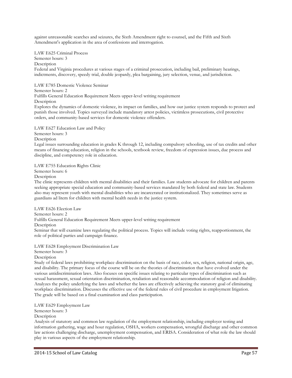against unreasonable searches and seizures, the Sixth Amendment right to counsel, and the Fifth and Sixth Amendment's application in the area of confessions and interrogation.

LAW E625 Criminal Process Semester hours: 3 Description Federal and Virginia procedures at various stages of a criminal prosecution, including bail, preliminary hearings, indictments, discovery, speedy trial, double jeopardy, plea bargaining, jury selection, venue, and jurisdiction.

LAW E785 Domestic Violence Seminar

#### Semester hours: 2

Fulfills General Education Requirement Meets upper-level writing requirement

Description

Explores the dynamics of domestic violence, its impact on families, and how our justice system responds to protect and punish those involved. Topics surveyed include mandatory arrest policies, victimless prosecutions, civil protective orders, and community-based services for domestic violence offenders.

LAW E627 Education Law and Policy

Semester hours: 3

**Description** 

Legal issues surrounding education in grades K through 12, including compulsory schooling, use of tax credits and other means of financing education, religion in the schools, textbook review, freedom of expression issues, due process and discipline, and competency role in education.

LAW E755 Education Rights Clinic

Semester hours: 6

Description

The clinic represents children with mental disabilities and their families. Law students advocate for children and parents seeking appropriate special education and community-based services mandated by both federal and state law. Students also may represent youth with mental disabilities who are incarcerated or institutionalized. They sometimes serve as guardians ad litem for children with mental health needs in the justice system.

LAW E626 Election Law Semester hours: 2 Fulfills General Education Requirement Meets upper-level writing requirement Description Seminar that will examine laws regulating the political process. Topics will include voting rights, reapportionment, the role of political parties and campaign finance.

LAW E628 Employment Discrimination Law

Semester hours: 3

Description

Study of federal laws prohibiting workplace discrimination on the basis of race, color, sex, religion, national origin, age, and disability. The primary focus of the course will be on the theories of discrimination that have evolved under the various antidiscrimination laws. Also focuses on specific issues relating to particular types of discrimination such as sexual harassment, sexual orientation discrimination, retaliation and reasonable accommodation of religion and disability. Analyzes the policy underlying the laws and whether the laws are effectively achieving the statutory goal of eliminating workplace discrimination. Discusses the effective use of the federal rules of civil procedure in employment litigation. The grade will be based on a final examination and class participation.

LAW E629 Employment Law

Semester hours: 3

**Description** 

Analysis of statutory and common law regulation of the employment relationship, including employer testing and information gathering, wage and hour regulation, OSHA, workers compensation, wrongful discharge and other common law actions challenging discharge, unemployment compensation, and ERISA. Consideration of what role the law should play in various aspects of the employment relationship.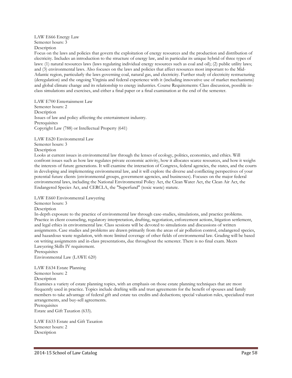LAW E666 Energy Law Semester hours:  $3$ Description

Focus on the laws and policies that govern the exploitation of energy resources and the production and distribution of electricity. Includes an introduction to the structure of energy law, and in particular its unique hybrid of three types of laws: (1) natural resources laws (laws regulating individual energy resources such as coal and oil); (2) public utility laws; and (3) environmental laws. Also focuses on the laws and policies that affect resources most important to the Mid-Atlantic region, particularly the laws governing coal, natural gas, and electricity. Further study of electricity restructuring (deregulation) and the ongoing Virginia and federal experience with it (including innovative use of market mechanisms) and global climate change and its relationship to energy industries. Course Requirements: Class discussion, possible inclass simulations and exercises, and either a final paper or a final examination at the end of the semester.

LAW E700 Entertainment Law Semester hours: 2 **Description** Issues of law and policy affecting the entertainment industry. **Prerequisites** Copyright Law (788) or Intellectual Property (641)

LAW E620 Environmental Law

Semester hours: 3

Description

Looks at current issues in environmental law through the lenses of ecology, politics, economics, and ethics. Will confront issues such as how law regulates private economic activity, how it allocates scarce resources, and how it weighs the interests of future generations. It will examine the interaction of Congress, federal agencies, the states, and the courts in developing and implementing environmental law, and it will explore the diverse and conflicting perspectives of your potential future clients (environmental groups, government agencies, and businesses). Focuses on the major federal environmental laws, including the National Environmental Policy Act, the Clean Water Act, the Clean Air Act, the Endangered Species Act, and CERCLA, the "Superfund" (toxic waste) statute.

LAW E660 Environmental Lawyering

Semester hours: 3

Description

In-depth exposure to the practice of environmental law through case-studies, simulations, and practice problems. Practice in client counseling, regulatory interpretation, drafting, negotiation, enforcement actions, litigation settlement, and legal ethics in environmental law. Class sessions will be devoted to simulations and discussions of written assignments. Case studies and problems are drawn primarily from the areas of air pollution control, endangered species, and hazardous waste regulation, with more limited coverage of other fields of environmental law. Grading will be based on writing assignments and in-class presentations, due throughout the semester. There is no final exam. Meets Lawyering Skills IV requirement.

Prerequisites Environmental Law (LAWE 620)

LAW E634 Estate Planning Semester hours: 2 Description

Examines a variety of estate planning topics, with an emphasis on those estate planning techniques that are most frequently used in practice. Topics include drafting wills and trust agreements for the benefit of spouses and family members to take advantage of federal gift and estate tax credits and deductions; special valuation rules, specialized trust arrangements, and buy-sell agreements.

**Prerequisites** Estate and Gift Taxation (633).

LAW E633 Estate and Gift Taxation Semester hours: 2 Description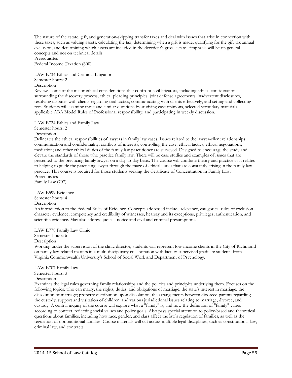The nature of the estate, gift, and generation-skipping transfer taxes and deal with issues that arise in connection with these taxes, such as valuing assets, calculating the tax, determining when a gift is made, qualifying for the gift tax annual exclusion, and determining which assets are included in the decedent's gross estate. Emphasis will be on general concepts and not on technical details.

Prerequisites

Federal Income Taxation (600).

LAW E734 Ethics and Criminal Litigation Semester hours: 2

Description

Reviews some of the major ethical considerations that confront civil litigators, including ethical considerations surrounding the discovery process, ethical pleading principles, joint defense agreements, inadvertent disclosures, resolving disputes with clients regarding trial tactics, communicating with clients effectively, and setting and collecting fees. Students will examine these and similar questions by studying case opinions, selected secondary materials, applicable ABA Model Rules of Professional responsibility, and participating in weekly discussion.

LAW E724 Ethics and Family Law

Semester hours: 2

Description

Delineates the ethical responsibilities of lawyers in family law cases. Issues related to the lawyer-client relationships: communication and confidentiality; conflicts of interests; controlling the case; ethical tactics; ethical negotiations; mediation; and other ethical duties of the family law practitioner are surveyed. Designed to encourage the study and elevate the standards of those who practice family law. There will be case studies and examples of issues that are presented to the practicing family lawyer on a day-to-day basis. The course will combine theory and practice as it relates to helping to guide the practicing lawyer through the maze of ethical issues that are constantly arising in the family law practice. This course is required for those students seeking the Certificate of Concentration in Family Law. **Prerequisites** 

Family Law (707).

LAW E599 Evidence Semester hours: 4 Description

An introduction to the Federal Rules of Evidence. Concepts addressed include relevance, categorical rules of exclusion, character evidence, competency and credibility of witnesses, hearsay and its exceptions, privileges, authentication, and scientific evidence. May also address judicial notice and civil and criminal presumptions.

LAW E778 Family Law Clinic

Semester hours: 6

Description

Working under the supervision of the clinic director, students will represent low-income clients in the City of Richmond on family law-related matters in a multi-disciplinary collaboration with faculty-supervised graduate students from Virginia Commonwealth University's School of Social Work and Department of Psychology.

LAW E707 Family Law Semester hours: 3 Description

Examines the legal rules governing family relationships and the policies and principles underlying them. Focuses on the following topics: who can marry; the rights, duties, and obligations of marriage; the state's interest in marriage; the dissolution of marriage; property distribution upon dissolution; the arrangements between divorced parents regarding the custody, support and visitation of children; and various jurisdictional issues relating to marriage, divorce, and custody. A central inquiry of the course will explore what a "family" is, and how the definition of "family" varies according to context, reflecting social values and policy goals. Also pays special attention to policy-based and theoretical questions about families, including how race, gender, and class affect the law's regulation of families, as well as the regulation of nontraditional families. Course materials will cut across multiple legal disciplines, such as constitutional law, criminal law, and contracts.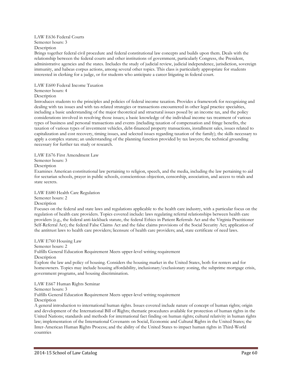## LAW E636 Federal Courts

Semester hours: 3

Description

Brings together federal civil procedure and federal constitutional law concepts and builds upon them. Deals with the relationship between the federal courts and other institutions of government, particularly Congress, the President, administrative agencies and the states. Includes the study of judicial review, judicial independence, jurisdiction, sovereign immunity, and habeas corpus actions, among several other topics. This class is particularly appropriate for students interested in clerking for a judge, or for students who anticipate a career litigating in federal court.

#### LAW E600 Federal Income Taxation

## Semester hours: 4

**Description** 

Introduces students to the principles and policies of federal income taxation. Provides a framework for recognizing and dealing with tax issues and with tax-related strategies or transactions encountered in other legal practice specialties, including a basic understanding of the major theoretical and structural issues posed by an income tax, and the policy considerations involved in resolving those issues; a basic knowledge of the individual income tax treatment of various types of business and personal transactions and events (including taxation of compensation and fringe benefits, the taxation of various types of investment vehicles, debt-financed property transactions, installment sales, issues related to capitalization and cost recovery, timing issues, and selected issues regarding taxation of the family); the skills necessary to apply a complex statute; an understanding of the planning function provided by tax lawyers; the technical grounding necessary for further tax study or research.

LAW E676 First Amendment Law

Semester hours: 3

Description

Examines American constitutional law pertaining to religion, speech, and the media, including the law pertaining to aid for sectarian schools, prayer in public schools, conscientious objection, censorship, association, and access to trials and state secrets.

## LAW E680 Health Care Regulation

## Semester hours: 2

Description

Focuses on the federal and state laws and regulations applicable to the health care industry, with a particular focus on the regulation of health care providers. Topics covered include: laws regulating referral relationships between health care providers (e.g., the federal anti-kickback statute, the federal Ethics in Patient Referrals Act and the Virginia Practitioner Self-Referral Act); the federal False Claims Act and the false claims provisions of the Social Security Act; application of the antitrust laws to health care providers; licensure of health care providers; and, state certificate of need laws.

LAW E760 Housing Law Semester hours: 2 Fulfills General Education Requirement Meets upper-level writing requirement Description Explore the law and policy of housing. Considers the housing market in the United States, both for renters and for homeowners. Topics may include housing affordability, inclusionary/exclusionary zoning, the subprime mortgage crisis, government programs, and housing discrimination.

## LAW E667 Human Rights Seminar

Semester hours: 3

Fulfills General Education Requirement Meets upper-level writing requirement

Description

A general introduction to international human rights. Issues covered include nature of concept of human rights; origin and development of the International Bill of Rights; thematic procedures available for protection of human rights in the United Nations; standards and methods for international fact finding on human rights; cultural relativity in human rights law; implementation of the International Covenants on Social, Economic and Cultural Rights in the United States; the Inter-American Human Rights Process; and the ability of the United States to impact human rights in Third-World countries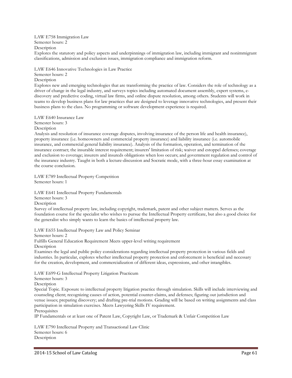#### LAW E758 Immigration Law

Semester hours: 2

Description

Explores the statutory and policy aspects and underpinnings of immigration law, including immigrant and nonimmigrant classifications, admission and exclusion issues, immigration compliance and immigration reform.

LAW E646 Innovative Technologies in Law Practice

Semester hours: 2

**Description** 

Explores new and emerging technologies that are transforming the practice of law. Considers the role of technology as a driver of change in the legal industry, and surveys topics including automated document assembly, expert systems, ediscovery and predictive coding, virtual law firms, and online dispute resolution, among others. Students will work in teams to develop business plans for law practices that are designed to leverage innovative technologies, and present their business plans to the class. No programming or software development experience is required.

LAW E640 Insurance Law

Semester hours: 3

Description

Analysis and resolution of insurance coverage disputes, involving insurance of the person life and health insurance), property insurance (i.e. homeowners and commercial property insurance) and liability insurance (i.e. automobile insurance, and commercial general liability insurance). Analysis of the formation, operation, and termination of the insurance contract; the insurable interest requirement; insurers' limitation of risk; waiver and estoppel defenses; coverage and exclusion to coverage; insurers and insureds obligations when loss occurs; and government regulation and control of the insurance industry. Taught in both a lecture-discussion and Socratic mode, with a three-hour essay examination at the course conclusion.

LAW E789 Intellectual Property Competition Semester hours: 1

LAW E641 Intellectual Property Fundamentals Semester hours: 3 Description

Survey of intellectual property law, including copyright, trademark, patent and other subject matters. Serves as the foundation course for the specialist who wishes to pursue the Intellectual Property certificate, but also a good choice for the generalist who simply wants to learn the basics of intellectual property law.

LAW E655 Intellectual Property Law and Policy Seminar

Semester hours: 2

Fulfills General Education Requirement Meets upper-level writing requirement

Description

Examines the legal and public policy considerations regarding intellectual property protection in various fields and industries. In particular, explores whether intellectual property protection and enforcement is beneficial and necessary for the creation, development, and commercialization of different ideas, expressions, and other intangibles.

LAW E699-G Intellectual Property Litigation Practicum

Semester hours: 3

Description

Special Topic. Exposure to intellectual property litigation practice through simulation. Skills will include interviewing and counseling client; recognizing causes of action, potential counter-claims, and defenses; figuring out jurisdiction and venue issues; preparing discovery; and drafting pre-trial motions. Grading will be based on writing assignments and class participation in simulation exercises. Meets Lawyering Skills IV requirement.

**Prerequisites** 

IP Fundamentals or at least one of Patent Law, Copyright Law, or Trademark & Unfair Competition Law

LAW E790 Intellectual Property and Transactional Law Clinic Semester hours: 6 Description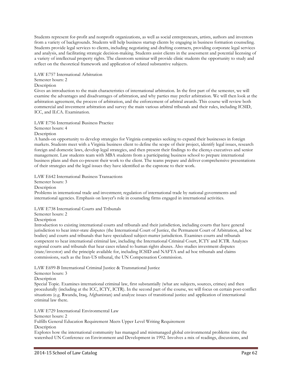Students represent for-profit and nonprofit organizations, as well as social entrepreneurs, artists, authors and inventors from a variety of backgrounds. Students will help business startup clients by engaging in business formation counseling. Students provide legal services to clients, including negotiating and drafting contracts, providing corporate legal services and analysis, and facilitating strategic decision-making. Students assist clients in the assessment and potential licensing of a variety of intellectual property rights. The classroom seminar will provide clinic students the opportunity to study and reflect on the theoretical framework and application of related substantive subjects.

LAW E757 International Arbitration

## Semester hours: 2

#### Description

Gives an introduction to the main characteristics of international arbitration. In the first part of the semester, we will examine the advantages and disadvantages of arbitration, and why parties may prefer arbitration. We will then look at the arbitration agreement, the process of arbitration, and the enforcement of arbitral awards. This course will review both commercial and investment arbitration and survey the main various arbitral tribunals and their rules, including ICSID, ICC, and ILCA. Examination.

LAW E756 International Business Practice Semester hours: 4

Description

A hands-on opportunity to develop strategies for Virginia companies seeking to expand their businesses in foreign markets. Students meet with a Virginia business client to define the scope of their project, identify legal issues, research foreign and domestic laws, develop legal strategies, and then present their findings to the client¿s executives and senior management. Law students team with MBA students from a participating business school to prepare international business plans and then co-present their work to the client. The teams prepare and deliver comprehensive presentations of their strategies and the legal issues they have identified as the capstone to their work.

LAW E642 International Business Transactions

Semester hours: 3

Description

Problems in international trade and investment; regulation of international trade by national governments and international agencies. Emphasis on lawyer's role in counseling firms engaged in international activities.

LAW E738 International Courts and Tribunals

Semester hours: 2

**Description** 

Introduction to existing international courts and tribunals and their jurisdiction, including courts that have general jurisdiction to hear inter-state disputes (the International Court of Justice, the Permanent Court of Arbitration, ad hoc bodies) and courts and tribunals that have specialized subject-matter jurisdiction. Examines courts and tribunals competent to hear international criminal law, including the International Criminal Court, ICTY and ICTR. Analyzes regional courts and tribunals that hear cases related to human rights abuses. Also studies investment disputes (state/investor) and the principle available for, including ICSID and NAFTA and ad hoc tribunals and claims commissions, such as the Iran-US tribunal, the UN Compensation Commission.

LAW E699-B International Criminal Justice & Transnational Justice

## Semester hours: 3

Description

Special Topic. Examines international criminal law, first substantially (what are subjects, sources, crimes) and then procedurally (including at the ICC, ICTY, ICTR). In the second part of the course, we will focus on certain post-conflict situations (e.g. Rwanda, Iraq, Afghanistan) and analyze issues of transitional justice and application of international criminal law there.

LAW E729 International Environmental Law

Semester hours: 2

Fulfills General Education Requirement Meets Upper Level Writing Requirement

**Description** 

Explores how the international community has managed and mismanaged global environmental problems since the watershed UN Conference on Environment and Development in 1992. Involves a mix of readings, discussions, and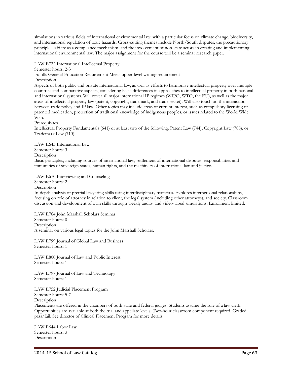simulations in various fields of international environmental law, with a particular focus on climate change, biodiversity, and international regulation of toxic hazards. Cross-cutting themes include North/South disputes, the precautionary principle, liability as a compliance mechanism, and the involvement of non-state actors in creating and implementing international environmental law. The major assignment for the course will be a seminar research paper.

LAW E722 International Intellectual Property

Semester hours: 2-3

Fulfills General Education Requirement Meets upper-level writing requirement

**Description** 

Aspects of both public and private international law, as well as efforts to harmonize intellectual property over multiple countries and comparative aspects, considering basic differences in approaches to intellectual property in both national and international systems. Will cover all major international IP regimes (WIPO, WTO, the EU), as well as the major areas of intellectual property law (patent, copyright, trademark, and trade secret). Will also touch on the interaction between trade policy and IP law. Other topics may include areas of current interest, such as compulsory licensing of patented medication, protection of traditional knowledge of indigenous peoples, or issues related to the World Wide Web.

Prerequisites

Intellectual Property Fundamentals (641) or at least two of the following: Patent Law (744), Copyright Law (788), or Trademark Law (710).

LAW E643 International Law Semester hours: 3 Description Basic principles, including sources of international law, settlement of international disputes, responsibilities and immunities of sovereign states, human rights, and the machinery of international law and justice.

LAW E670 Interviewing and Counseling

Semester hours: 2

**Description** 

In-depth analysis of pretrial lawyering skills using interdisciplinary materials. Explores interpersonal relationships, focusing on role of attorney in relation to client, the legal system (including other attorneys), and society. Classroom discussion and development of own skills through weekly audio- and video-taped simulations. Enrollment limited.

LAW E764 John Marshall Scholars Seminar Semester hours: 0 Description A seminar on various legal topics for the John Marshall Scholars.

LAW E799 Journal of Global Law and Business Semester hours: 1

LAW E800 Journal of Law and Public Interest Semester hours: 1

LAW E797 Journal of Law and Technology Semester hours: 1

LAW E752 Judicial Placement Program Semester hours: 5-7

Description

Placements are offered in the chambers of both state and federal judges. Students assume the role of a law clerk. Opportunities are available at both the trial and appellate levels. Two-hour classroom component required. Graded pass/fail. See director of Clinical Placement Program for more details.

LAW E644 Labor Law Semester hours: 3 **Description**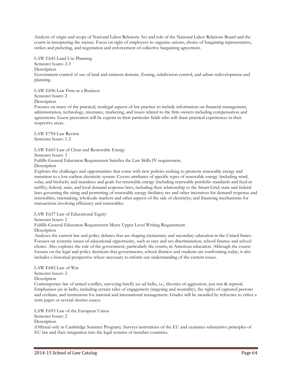Analysis of origin and scope of National Labor Relations Act and role of the National Labor Relations Board and the courts in interpreting the statute. Focus on right of employees to organize unions, choice of bargaining representative, strikes and picketing, and negotiation and enforcement of collective bargaining agreement.

LAW E645 Land Use Planning Semester hours: 2-3 Description

Government control of use of land and eminent domain. Zoning, subdivision control, and urban redevelopment and planning.

LAW E696 Law Firm as a Business Semester hours: 2 Description

Focuses on many of the practical, nonlegal aspects of law practice to include information on financial management, administration, technology, insurance, marketing, and issues related to the firm owners including compensation and agreements. Guest presenters will be experts in their particular fields who will share practical experiences in their respective areas.

LAW E794 Law Review Semester hours: 1-2

LAW E665 Law of Clean and Renewable Energy Semester hours: 3 Fulfills General Education Requirement Satisfies the Law Skills IV requirement. Description

Explores the challenges and opportunities that come with new policies seeking to promote renewable energy and transition to a low-carbon electricity system. Covers attributes of specific types of renewable energy (including wind, solar, and biofuels) and mandates and goals for renewable energy (including renewable portfolio standards and feed-in tariffs); federal, state, and local demand response laws, including their relationship to the Smart Grid; state and federal laws governing the siting and permitting of renewable energy facilities; tax and other incentives for demand response and renewables; ratemaking, wholesale markets and other aspects of the sale of electricity; and financing mechanisms for transactions involving efficiency and renewables.

LAW E637 Law of Educational Equity

Semester hours: 2

Fulfills General Education Requirement Meets Upper Level Writing Requirement.

Description

Analyzes the current law and policy debates that are shaping elementary and secondary education in the United States. Focuses on systemic issues of educational opportunity, such as race and sex discrimination, school finance and school choice. Also explores the role of the government, particularly the courts, in American education. Although the course focuses on the legal and policy decisions that governments, school districts and students are confronting today, it also includes a historical perspective where necessary to inform our understanding of the current issues.

LAW E682 Law of War Semester hours: 2 Description Contemporary law of armed conflict, surveying briefly jus ad bello, i.e., theories of aggression, just war & reprisal. Emphasizes jus in bello, including certain rules of engagement (targeting and neutrality), the rights of captured persons and civilians, and institutions for national and international management. Grades will be awarded by reference to either a term paper or several shorter essays.

LAW E693 Law of the European Union Semester hours: 2 Description (Offered only in Cambridge Summer Program). Surveys institutions of the EU and examines substantive principles of EU law and their integration into the legal systems of member countries.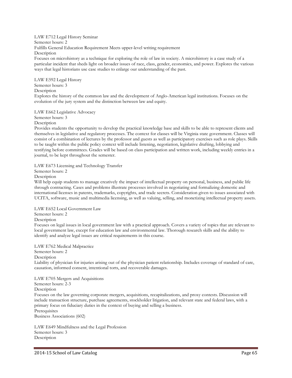LAW E712 Legal History Seminar Semester hours: 2 Fulfills General Education Requirement Meets upper-level writing requirement Description Focuses on microhistory as a technique for exploring the role of law in society. A microhistory is a case study of a particular incident that sheds light on broader issues of race, class, gender, economics, and power. Explores the various ways that legal historians use case studies to enlarge our understanding of the past.

LAW E592 Legal History Semester hours: 3 **Description** Explores the history of the common law and the development of Anglo-American legal institutions. Focuses on the evolution of the jury system and the distinction between law and equity.

LAW E662 Legislative Advocacy

Semester hours: 3

Description

Provides students the opportunity to develop the practical knowledge base and skills to be able to represent clients and themselves in legislative and regulatory processes. The context for classes will be Virginia state government. Classes will consist of a combination of lectures by the professor and guests as well as participatory exercises such as role plays. Skills to be taught within the public policy context will include listening, negotiation, legislative drafting, lobbying and testifying before committees. Grades will be based on class participation and written work, including weekly entries in a journal, to be kept throughout the semester.

LAW E673 Licensing and Technology Transfer

Semester hours: 2

Description

Will help equip students to manage creatively the impact of intellectual property on personal, business, and public life through contracting. Cases and problems illustrate processes involved in negotiating and formalizing domestic and international licenses in patents, trademarks, copyrights, and trade secrets. Consideration given to issues associated with UCITA, software, music and multimedia licensing, as well as valuing, selling, and monetizing intellectual property assets.

LAW E652 Local Government Law

Semester hours: 2

**Description** 

Focuses on legal issues in local government law with a practical approach. Covers a variety of topics that are relevant to local government law, except for education law and environmental law. Thorough research skills and the ability to identify and analyze legal issues are critical requirements in this course.

LAW E762 Medical Malpractice Semester hours: 2 Description Liability of physician for injuries arising out of the physician patient relationship. Includes coverage of standard of care, causation, informed consent, intentional torts, and recoverable damages.

LAW E705 Mergers and Acquisitions Semester hours: 2-3 Description Focuses on the law governing corporate mergers, acquisitions, recapitalizations, and proxy contests. Discussion will include transaction structure, purchase agreements, stockholder litigation, and relevant state and federal laws, with a primary focus on fiduciary duties in the context of buying and selling a business. **Prerequisites** Business Associations (602)

LAW E649 Mindfulness and the Legal Profession Semester hours: 3 **Description**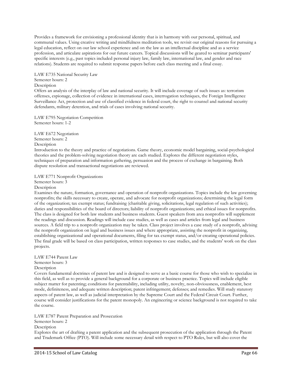Provides a framework for envisioning a professional identity that is in harmony with our personal, spiritual, and communal values. Using creative writing and mindfulness meditation tools, we revisit our original reasons for pursuing a legal education, reflect on our law school experience and on the law as an intellectual discipline and as a service profession, and articulate aspirations for our future careers. Topical discussions will be geared to seminar participants' specific interests (e.g., past topics included personal injury law, family law, international law, and gender and race relations). Students are required to submit response papers before each class meeting and a final essay.

LAW E735 National Security Law Semester hours: 2 **Description** 

Offers an analysis of the interplay of law and national security. It will include coverage of such issues as: terrorism offenses, espionage, collection of evidence in international cases, interrogation techniques, the Foreign Intelligence Surveillance Act, protection and use of classified evidence in federal court, the right to counsel and national security defendants, military detention, and trials of cases involving national security.

LAW E795 Negotiation Competition Semester hours: 1-2

LAW E672 Negotiation Semester hours: 2 Description

Introduction to the theory and practice of negotiations. Game theory, economic model bargaining, social-psychological theories and the problem-solving negotiation theory are each studied. Explores the different negotiation styles, techniques of preparation and information gathering, persuasion and the process of exchange in bargaining. Both dispute resolution and transactional negotiations are reviewed.

LAW E771 Nonprofit Organizations

Semester hours: 3

Description

Examines the nature, formation, governance and operation of nonprofit organizations. Topics include the law governing nonprofits; the skills necessary to create, operate, and advocate for nonprofit organizations; determining the legal form of the organization; tax exempt status; fundraising (charitable giving, solicitations, legal regulation of such activities); duties and responsibilities of the board of directors; liability of nonprofit organizations; and ethical issues for nonprofits. The class is designed for both law students and business students. Guest speakers from area nonprofits will supplement the readings and discussion. Readings will include case studies, as well as cases and articles from legal and business sources. A field trip to a nonprofit organization may be taken. Class project involves a case study of a nonprofit, advising the nonprofit organization on legal and business issues and where appropriate, assisting the nonprofit in organizing, establishing organizational and operational documents, filing for tax exempt status, and/or creating operational policies. The final grade will be based on class participation, written responses to case studies, and the students' work on the class projects.

## LAW E744 Patent Law

Semester hours: 3

Description

Covers fundamental doctrines of patent law and is designed to serve as a basic course for those who wish to specialize in this field, as well as to provide a general background for a corporate or business practice. Topics will include eligible subject matter for patenting; conditions for patentability, including utility, novelty, non-obviousness, enablement, best mode, definiteness, and adequate written description; patent infringement; defenses; and remedies. Will study statutory aspects of patent law, as well as judicial interpretation by the Supreme Court and the Federal Circuit Court. Further, course will consider justifications for the patent monopoly. An engineering or science background is not required to take the course.

LAW E787 Patent Preparation and Prosecution

Semester hours: 2

**Description** 

Explores the art of drafting a patent application and the subsequent prosecution of the application through the Patent and Trademark Office (PTO). Will include some necessary detail with respect to PTO Rules, but will also cover the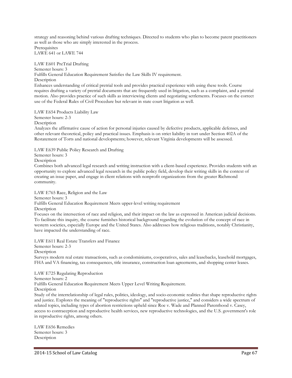strategy and reasoning behind various drafting techniques. Directed to students who plan to become patent practitioners as well as those who are simply interested in the process. **Prerequisites** 

LAWE 641 or LAWE 744

LAW E601 PreTrial Drafting Semester hours: 3 Fulfills General Education Requirement Satisfies the Law Skills IV requirement. **Description** Enhances understanding of critical pretrial tools and provides practical experience with using these tools. Course requires drafting a variety of pretrial documents that are frequently used in litigation, such as a complaint, and a pretrial motion. Also provides practice of such skills as interviewing clients and negotiating settlements. Focuses on the correct use of the Federal Rules of Civil Procedure but relevant in state court litigation as well.

LAW E654 Products Liability Law

Semester hours: 2-3

Description

Analyzes the affirmative cause of action for personal injuries caused by defective products, applicable defenses, and other relevant theoretical, policy and practical issues. Emphasis is on strict liability in tort under Section 402A of the Restatement of Torts and national developments; however, relevant Virginia developments will be assessed.

LAW E639 Public Policy Research and Drafting

Semester hours: 3

Description

Combines both advanced legal research and writing instruction with a client-based experience. Provides students with an opportunity to explore advanced legal research in the public policy field, develop their writing skills in the context of creating an issue paper, and engage in client relations with nonprofit organizations from the greater Richmond community.

LAW E765 Race, Religion and the Law Semester hours: 3 Fulfills General Education Requirement Meets upper-level writing requirement

**Description** 

Focuses on the intersection of race and religion, and their impact on the law as expressed in American judicial decisions. To facilitate this inquiry, the course furnishes historical background regarding the evolution of the concept of race in western societies, especially Europe and the United States. Also addresses how religious traditions, notably Christianity, have impacted the understanding of race.

LAW E611 Real Estate Transfers and Finance Semester hours: 2-3 Description Surveys modern real estate transactions, such as condominiums, cooperatives, sales and leasebacks, leasehold mortgages, FHA and VA financing, tax consequences, title insurance, construction loan agreements, and shopping center leases.

LAW E725 Regulating Reproduction Semester hours: 2 Fulfills General Education Requirement Meets Upper Level Writing Requirement. **Description** 

Study of the interrelationship of legal rules, politics, ideology, and socio-economic realities that shape reproductive rights and justice. Explores the meaning of "reproductive rights" and "reproductive justice," and considers a wide spectrum of related topics, including types of abortion restrictions upheld since Roe v. Wade and Planned Parenthood v. Casey, access to contraception and reproductive health services, new reproductive technologies, and the U.S. government's role in reproductive rights, among others.

LAW E656 Remedies Semester hours: 3 **Description**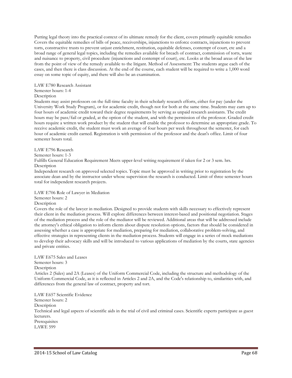Putting legal theory into the practical context of its ultimate remedy for the client, covers primarily equitable remedies Covers the equitable remedies of bills of peace, receiverships, injunctions to enforce contracts, injunctions to prevent torts, constructive trusts to prevent unjust enrichment, restitution, equitable defenses, contempt of court, etc and a broad range of general legal topics, including the remedies available for breach of contract, commission of torts, waste and nuisance to property, civil procedure (injunctions and contempt of court), etc. Looks at the broad areas of the law from the point of view of the remedy available to the litigant. Method of Assessment: The students argue each of the cases, and then there is class discussion. At the end of the course, each student will be required to write a 1,000 word essay on some topic of equity, and there will also be an examination.

#### LAW E780 Research Assistant

## Semester hours: 1-4

## **Description**

Students may assist professors on the full-time faculty in their scholarly research efforts, either for pay (under the University Work Study Program), or for academic credit, though not for both at the same time. Students may earn up to four hours of academic credit toward their degree requirements by serving as unpaid research assistants. The credit hours may be pass/fail or graded, at the option of the student, and with the permission of the professor. Graded credit hours require a written work product by the student that will enable the professor to determine an appropriate grade. To receive academic credit, the student must work an average of four hours per week throughout the semester, for each hour of academic credit earned. Registration is with permission of the professor and the dean's office. Limit of four semester hours total.

## LAW E796 Research

Semester hours: 1-3

Fulfills General Education Requirement Meets upper-level writing requirement if taken for 2 or 3 sem. hrs. Description

Independent research on approved selected topics. Topic must be approved in writing prior to registration by the associate dean and by the instructor under whose supervision the research is conducted. Limit of three semester hours total for independent research projects.

## LAW E706 Role of Lawyer in Mediation

#### Semester hours: 2

## Description

Covers the role of the lawyer in mediation. Designed to provide students with skills necessary to effectively represent their client in the mediation process. Will explore differences between interest-based and positional negotiation. Stages of the mediation process and the role of the mediator will be reviewed. Additional areas that will be addressed include the attorney's ethical obligation to inform clients about dispute resolution options, factors that should be considered in assessing whether a case is appropriate for mediation, preparing for mediation, collaborative problem-solving, and effective strategies in representing clients in the mediation process. Students will engage in a series of mock mediations to develop their advocacy skills and will be introduced to various applications of mediation by the courts, state agencies and private entities.

#### LAW E675 Sales and Leases Semester hours: 3

Description

Articles 2 (Sales) and 2A (Leases) of the Uniform Commercial Code, including the structure and methodology of the Uniform Commercial Code, as it is reflected in Articles 2 and 2A, and the Code's relationship to, similarities with, and differences from the general law of contract, property and tort.

LAW E657 Scientific Evidence Semester hours: 2 Description Technical and legal aspects of scientific aids in the trial of civil and criminal cases. Scientific experts participate as guest lecturers. Prerequisites LAWE 599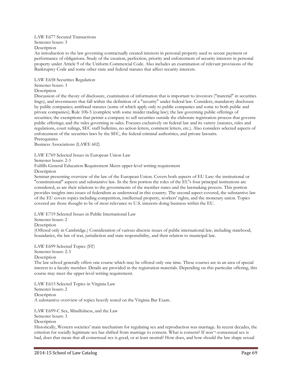#### LAW E677 Secured Transactions Semester hours: 3 Description

An introduction to the law governing contractually created interests in personal property used to secure payment or performance of obligations. Study of the creation, perfection, priority and enforcement of security interests in personal property under Article 9 of the Uniform Commercial Code. Also includes an examination of relevant provisions of the Bankruptcy Code and some other state and federal statutes that affect security interests.

LAW E658 Securities Regulation Semester hours: 3

## Description

Discussion of the theory of disclosure, examination of information that is important to investors ("material" in securities lingo), and investments that fall within the definition of a "security" under federal law. Considers, mandatory disclosure by public companies; antifraud statutes (some of which apply only to public companies and some to both public and private companies); Rule 10b-5 (complete with some insider trading law); the law governing public offerings of securities; the exemptions that permit a company to sell securities outside the elaborate registration process that governs public offerings; and the rules governing re-sales. Focuses exclusively on federal law and its variety (statutes, rules and regulations, court rulings, SEC staff bulletins, no action letters, comment letters, etc.). Also considers selected aspects of enforcement of the securities laws by the SEC, the federal criminal authorities, and private lawsuits. **Prerequisites** 

Business Associations (LAWE 602)

LAW E769 Selected Issues in European Union Law

Semester hours: 2-3

Fulfills General Education Requirement Meets upper-level writing requirement

Description

Seminar presenting overview of the law of the European Union. Covers both aspects of EU Law: the institutional or "constitutional" aspects and substantive law. In the first portion the roles of the EU's four principal institutions are considered, as are their relations to the governments of the member states and the lawmaking process. This portion provides insights into issues of federalism as understood in this country. The second aspect covered, the substantive law of the EU covers topics including competition, intellectual property, workers' rights, and the monetary union. Topics covered are those thought to be of most relevance to U.S. interests doing business within the EU.

LAW E719 Selected Issues in Public International Law

Semester hours: 2

**Description** 

(Offered only in Cambridge.) Consideration of various discrete issues of public international law, including statehood, boundaries, the law of war, jurisdiction and state responsibility, and their relation to municipal law.

LAW E699 Selected Topics (ST) Semester hours: 2-3 Description

The law school generally offers one course which may be offered only one time. These courses are in an area of special interest to a faculty member. Details are provided in the registration materials. Depending on this particular offering, this course may meet the upper-level writing requirement.

LAW E615 Selected Topics in Virginia Law Semester hours: 2 Description A substantive overview of topics heavily tested on the Virginia Bar Exam.

LAW E699-C Sex, Mindfulness, and the Law Semester hours: 3 **Description** Historically, Western societies' main mechanism for regulating sex and reproduction was marriage. In recent decades, the criterion for socially legitimate sex has shifted from marriage to consent. What is consent? If non¬-consensual sex is

bad, does that mean that all consensual sex is good, or at least neutral? How does, and how should the law shape sexual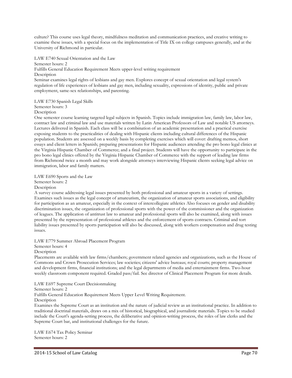culture? This course uses legal theory, mindfulness meditation and communication practices, and creative writing to examine these issues, with a special focus on the implementation of Title IX on college campuses generally, and at the University of Richmond in particular.

LAW E740 Sexual Orientation and the Law Semester hours: 2 Fulfills General Education Requirement Meets upper-level writing requirement **Description** Seminar examines legal rights of lesbians and gay men. Explores concept of sexual orientation and legal system's regulation of life experiences of lesbians and gay men, including sexuality, expressions of identity, public and private employment, same-sex relationships, and parenting.

LAW E730 Spanish Legal Skills

Semester hours: 3

Description

One semester course learning targeted legal subjects in Spanish. Topics include immigration law, family law, labor law, contract law and criminal law and use materials written by Latin American Professors of Law and notable US attorneys. Lectures delivered in Spanish. Each class will be a combination of an academic presentation and a practical exercise exposing students to the practicalities of dealing with Hispanic clients including cultural differences of the Hispanic population. Students are assessed on a weekly basis by completing exercises which will cover: drafting memos, short essays and client letters in Spanish; preparing presentations for Hispanic audiences attending the pro bono legal clinics at the Virginia Hispanic Chamber of Commerce; and a final project. Students will have the opportunity to participate in the pro bono legal clinics offered by the Virginia Hispanic Chamber of Commerce with the support of leading law firms from Richmond twice a month and may work alongside attorneys interviewing Hispanic clients seeking legal advice on immigration, labor and family matters.

LAW E690 Sports and the Law

Semester hours: 2

Description

A survey course addressing legal issues presented by both professional and amateur sports in a variety of settings. Examines such issues as the legal concept of amateurism, the organization of amateur sports associations, and eligibility for participation as an amateur, especially in the context of intercollegiate athletics Also focuses on gender and disability discrimination issues, the organization of professional sports with the power of the commissioner and the organization of leagues. The application of antitrust law to amateur and professional sports will also be examined, along with issues presented by the representation of professional athletes and the enforcement of sports contracts. Criminal and tort liability issues presented by sports participation will also be discussed, along with workers compensation and drug testing issues.

LAW E779 Summer Abroad Placement Program

Semester hours: 4

Description

Placements are available with law firms/chambers; government related agencies and organizations, such as the House of Commons and Crown Prosecution Services; law societies; citizens' advice bureaus; royal courts; property management and development firms, financial institutions; and the legal departments of media and entertainment firms. Two-hour weekly classroom component required. Graded pass/fail. See director of Clinical Placement Program for more details.

LAW E697 Supreme Court Decisionmaking

Semester hours: 2

Fulfills General Education Requirement Meets Upper Level Writing Requirement.

Description

Examines the Supreme Court as an institution and the nature of judicial review as an institutional practice. In addition to traditional doctrinal materials, draws on a mix of historical, biographical, and journalistic materials. Topics to be studied include the Court's agenda-setting process, the deliberative and opinion-writing process, the roles of law clerks and the Supreme Court bar, and institutional challenges for the future.

LAW E674 Tax Policy Seminar Semester hours: 2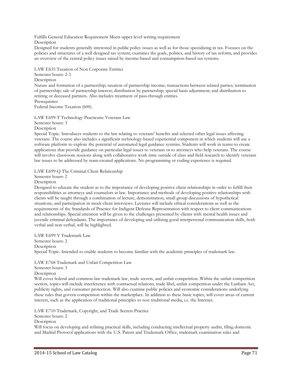Fulfills General Education Requirement Meets upper-level writing requirement

Description

Designed for students generally interested in public policy issues as well as for those specializing in tax. Focuses on the policies and structures of a well designed tax system; examines the goals, politics, and history of tax reform; and provides an overview of the central policy issues raised by income-based and consumption-based tax systems.

LAW E635 Taxation of Non Corporate Entities

Semester hours: 2-3 Description Nature and formation of a partnership; taxation of partnership income; transactions between related parties; termination of partnership; sale of partnership interest; distribution by partnership; special basis adjustment; and distribution to retiring or deceased partners. Also includes treatment of pass-through entities. **Prerequisites** Federal Income Taxation (600).

LAW E699-T Technology Practicum: Veterans Law Semester hours: 3 Description

Special Topic. Introduces students to the law relating to veterans' benefits and selected other legal issues affecting veterans. The course also includes a significant technology-based experiential component in which students will use a software platform to explore the potential of automated legal guidance systems. Students will work in teams to create applications that provide guidance on particular legal issues to veterans or to attorneys who help veterans. The course will involve classroom sessions along with collaborative work time outside of class and field research to identify veterans law issues to be addressed by team-created applications. No programming or coding experience is required.

LAW E699-Q The Criminal Client Relationship

Semester hours: 2

Description

Designed to educate the student as to the importance of developing positive client relationships in order to fulfill their responsibilities as attorneys and counselors at law. Importance and methods of developing positive relationships with clients will be taught through a combination of lecture, demonstration, small group discussions of hypothetical situations, and participation in mock client interviews. Lectures will include ethical considerations as well as the requirements of the Standards of Practice for Indigent Defense Representation with respect to client communications and relationships. Special attention will be given to the challenges presented by clients with mental health issues and juvenile criminal defendants. The importance of developing and utilizing good interpersonal communication skills, both verbal and non-verbal, will be highlighted.

LAW E699-Y Trademark Law Semester hours: 2 **Description** Special Topic. Intended to enable students to become familiar with the academic principles of trademark law.

LAW E768 Trademark and Unfair Competition Law Semester hours: 3

Description

Will cover federal and common-law trademark law, trade secrets, and unfair competition. Within the unfair competition section, topics will include interference with contractual relations, trade libel, unfair competition under the Lanham Act, publicity rights, and consumer protection. Will also examine public policies and economic considerations underlying these rules that govern competition within the marketplace. In addition to these basic topics, will cover areas of current interest, such as the application of traditional principles to non traditional media, i.e. the Internet.

LAW E710 Trademark, Copyright, and Trade Secrets Practice

Semester hours: 2

**Description** 

Will focus on developing and refining practical skills, including conducting intellectual property audits, filing domestic and Madrid Protocol applications with the U.S. Patent and Trademark Office, trademark examination rules and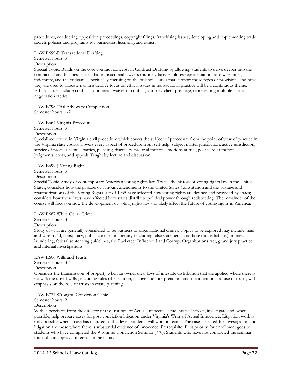procedures, conducting opposition proceedings, copyright filings, franchising issues, developing and implementing trade secrets policies and programs for businesses, licensing, and ethics.

LAW E699-P Transactional Drafting

Semester hours: 3 Description

Special Topic. Builds on the core contract concepts in Contract Drafting by allowing students to delve deeper into the contractual and business issues that transactional lawyers routinely face. Explores representations and warranties, indemnity, and the endgame, specifically focusing on the business issues that support those types of provisions and how they are used to allocate risk in a deal. A focus on ethical issues in transactional practice will be a continuous theme. Ethical issues include conflicts of interest, waiver of conflict, attorney-client privilege, representing multiple parties, negotiation tactics.

LAW E798 Trial Advocacy Competition Semester hours: 1-2

LAW E664 Virginia Procedure Semester hours: 3 Description

Specialized course in Virginia civil procedure which covers the subject of procedure from the point of view of practice in the Virginia state courts. Covers every aspect of procedure from self-help, subject matter jurisdiction, active jurisdiction, service of process, venue, parties, pleading, discovery, pre-trial motions, motions at trial, post-verdict motions, judgments, costs, and appeals Taught by lecture and discussion.

LAW E699-J Voting Rights Semester hours: 3 Description

Special Topic. Study of contemporary American voting rights law. Traces the history of voting rights law in the United States; considers how the passage of various Amendments to the United States Constitution and the passage and reauthorizations of the Voting Rights Act of 1965 have affected how voting rights are defined and provided by states; considers how those laws have affected how states distribute political power through redistricting. The remainder of the course will focus on how the development of voting rights law will likely affect the future of voting rights in America.

LAW E687 White Collar Crime Semester hours: 3

**Description** 

Study of what are generally considered to be business or organizational crimes. Topics to be explored may include: mail and wire fraud, conspiracy, public corruption, perjury (including false statements and false claims liability), money laundering, federal sentencing guidelines, the Racketeer Influenced and Corrupt Organizations Act, grand jury practice and internal investigations.

LAW E606 Wills and Trusts Semester hours: 3-4 Description Considers the transmission of property when an owner dies: laws of intestate distribution that are applied where there is

no will; the use of wills , including rules of execution, change and interpretation; and the intention and use of trusts, with emphasis on the role of trusts in estate planning.

LAW E774 Wrongful Conviction Clinic

Semester hours: 2

Description

With supervision from the director of the Institute of Actual Innocence, students will screen, investigate and, when possible, help prepare cases for post-conviction litigation under Virginia's Writs of Actual Innocence. Litigation work is only possible when a case has matured to that level. Students will work in teams. The cases selected for investigation and litigation are those where there is substantial evidence of innocence. Prerequisite: First priority for enrollment goes to students who have completed the Wrongful Conviction Seminar (770). Students who have not completed the seminar must obtain approval to enroll in the clinic.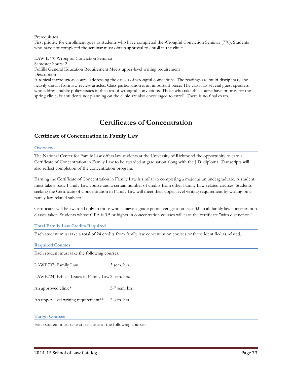#### **Prerequisites**

First priority for enrollment goes to students who have completed the Wrongful Conviction Seminar (770). Students who have not completed the seminar must obtain approval to enroll in the clinic.

LAW E770 Wrongful Conviction Seminar Semester hours: 2 Fulfills General Education Requirement Meets upper-level writing requirement **Description** A topical introductory course addressing the causes of wrongful convictions. The readings are multi-disciplinary and heavily drawn from law review articles. Class participation is an important piece. The class has several guest speakers who address public policy issues in the area of wrongful convictions. Those who take this course have priority for the spring clinic, but students not planning on the clinic are also encouraged to enroll. There is no final exam.

# **Certificates of Concentration**

# **Certificate of Concentration in Family Law**

#### **Overview**

The National Center for Family Law offers law students at the University of Richmond the opportunity to earn a Certificate of Concentration in Family Law to be awarded at graduation along with the J.D. diploma. Transcripts will also reflect completion of the concentration program.

Earning the Certificate of Concentration in Family Law is similar to completing a major as an undergraduate. A student must take a basic Family Law course and a certain number of credits from other Family Law-related courses. Students seeking the Certificate of Concentration in Family Law will meet their upper-level writing requirement by writing on a family law-related subject.

Certificates will be awarded only to those who achieve a grade point average of at least 3.0 in all family law concentration classes taken. Students whose GPA is 3.5 or higher in concentration courses will earn the certificate "with distinction."

#### **Total Family Law Credits Required**

Each student must take a total of 24 credits from family law concentration courses or those identified as related.

#### **Required Courses**

Each student must take the following courses:

LAWE707, Family Law 3 sem. hrs.

LAWE724, Ethical Issues in Family Law2 sem. hrs.

An approved clinic\* 5-7 sem. hrs.

An upper-level writing requirement\*\* 2 sem. hrs.

#### **Target Courses**

Each student must take at least one of the following courses: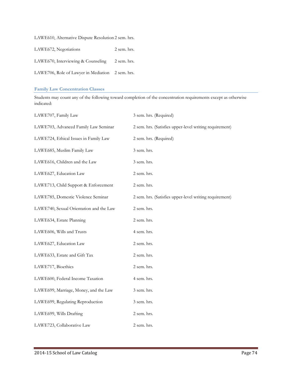LAWE610, Alternative Dispute Resolution 2 sem. hrs.

| LAWE672, Negotiations                            | 2 sem. hrs. |
|--------------------------------------------------|-------------|
| LAWE670, Interviewing & Counseling               | 2 sem. hrs. |
| LAWE706, Role of Lawyer in Mediation 2 sem. hrs. |             |

#### **Family Law Concentration Classes**

Students may count any of the following toward completion of the concentration requirements except as otherwise indicated:

| LAWE707, Family Law                     | 3 sem. hrs. (Required)                                  |
|-----------------------------------------|---------------------------------------------------------|
| LAWE703, Advanced Family Law Seminar    | 2 sem. hrs. (Satisfies upper-level writing requirement) |
| LAWE724, Ethical Issues in Family Law   | 2 sem. hrs. (Required)                                  |
| LAWE685, Muslim Family Law              | 3 sem. hrs.                                             |
| LAWE616, Children and the Law           | 3 sem. hrs.                                             |
| LAWE627, Education Law                  | 2 sem. hrs.                                             |
| LAWE713, Child Support & Enforcement    | 2 sem. hrs.                                             |
| LAWE785, Domestic Violence Seminar      | 2 sem. hrs. (Satisfies upper-level writing requirement) |
| LAWE740, Sexual Orientation and the Law | 2 sem. hrs.                                             |
| LAWE634, Estate Planning                | 2 sem. hrs.                                             |
| LAWE606, Wills and Trusts               | 4 sem. hrs.                                             |
| LAWE627, Education Law                  | 2 sem. hrs.                                             |
| LAWE633, Estate and Gift Tax            | 2 sem. hrs.                                             |
| LAWE717, Bioethics                      | 2 sem. hrs.                                             |
| LAWE600, Federal Income Taxation        | 4 sem. hrs.                                             |
| LAWE699, Marriage, Money, and the Law   | 3 sem. hrs.                                             |
| LAWE699, Regulating Reproduction        | 3 sem. hrs.                                             |
| LAWE699, Wills Drafting                 | 2 sem. hrs.                                             |
| LAWE723, Collaborative Law              | 2 sem. hrs.                                             |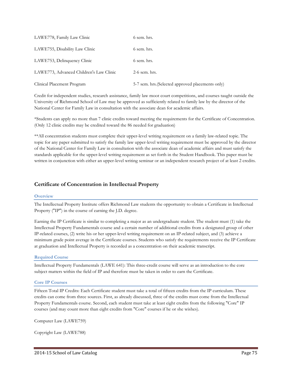| LAWE778, Family Law Clinic              | 6 sem. hrs.                                       |
|-----------------------------------------|---------------------------------------------------|
| LAWE755, Disability Law Clinic          | 6 sem. hrs.                                       |
| LAWE753, Delinquency Clinic             | 6 sem. hrs.                                       |
| LAWE773, Advanced Children's Law Clinic | $2-6$ sem. hrs.                                   |
| Clinical Placement Program              | 5-7 sem. hrs. (Selected approved placements only) |

Credit for independent studies, research assistance, family law moot court competitions, and courses taught outside the University of Richmond School of Law may be approved as sufficiently related to family law by the director of the National Center for Family Law in consultation with the associate dean for academic affairs.

\*Students can apply no more than 7 clinic credits toward meeting the requirements for the Certificate of Concentration. (Only 12 clinic credits may be credited toward the 86 needed for graduation)

\*\*All concentration students must complete their upper-level writing requirement on a family law-related topic. The topic for any paper submitted to satisfy the family law upper-level writing requirement must be approved by the director of the National Center for Family Law in consultation with the associate dean of academic affairs and must satisfy the standards applicable for the upper-level writing requirement as set forth in the Student Handbook. This paper must be written in conjunction with either an upper-level writing seminar or an independent research project of at least 2 credits.

# **Certificate of Concentration in Intellectual Property**

#### **Overview**

The Intellectual Property Institute offers Richmond Law students the opportunity to obtain a Certificate in Intellectual Property ("IP") in the course of earning the J.D. degree.

Earning the IP Certificate is similar to completing a major as an undergraduate student. The student must (1) take the Intellectual Property Fundamentals course and a certain number of additional credits from a designated group of other IP-related courses, (2) write his or her upper-level writing requirement on an IP-related subject, and (3) achieve a minimum grade point average in the Certificate courses. Students who satisfy the requirements receive the IP Certificate at graduation and Intellectual Property is recorded as a concentration on their academic transcript.

# **Required Course**

Intellectual Property Fundamentals (LAWE 641): This three-credit course will serve as an introduction to the core subject matters within the field of IP and therefore must be taken in order to earn the Certificate.

#### **Core IP Courses**

Fifteen Total IP Credits: Each Certificate student must take a total of fifteen credits from the IP curriculum. These credits can come from three sources. First, as already discussed, three of the credits must come from the Intellectual Property Fundamentals course. Second, each student must take at least eight credits from the following "Core" IP courses (and may count more than eight credits from "Core" courses if he or she wishes).

Computer Law (LAWE759)

Copyright Law (LAWE788)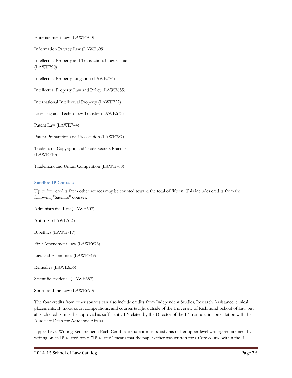Entertainment Law (LAWE700)

Information Privacy Law (LAWE699)

Intellectual Property and Transactional Law Clinic (LAWE790)

Intellectual Property Litigation (LAWE776)

Intellectual Property Law and Policy (LAWE655)

International Intellectual Property (LAWE722)

Licensing and Technology Transfer (LAWE673)

Patent Law (LAWE744)

Patent Preparation and Prosecution (LAWE787)

Trademark, Copyright, and Trade Secrets Practice (LAWE710)

Trademark and Unfair Competition (LAWE768)

# **Satellite IP Courses**

Up to four credits from other sources may be counted toward the total of fifteen. This includes credits from the following "Satellite" courses.

Administrative Law (LAWE607)

Antitrust (LAWE613)

Bioethics (LAWE717)

First Amendment Law (LAWE676)

Law and Economics (LAWE749)

Remedies (LAWE656)

Scientific Evidence (LAWE657)

Sports and the Law (LAWE690)

The four credits from other sources can also include credits from Independent Studies, Research Assistance, clinical placements, IP moot court competitions, and courses taught outside of the University of Richmond School of Law but all such credits must be approved as sufficiently IP-related by the Director of the IP Institute, in consultation with the Associate Dean for Academic Affairs.

Upper-Level Writing Requirement: Each Certificate student must satisfy his or her upper-level writing requirement by writing on an IP-related topic. "IP-related" means that the paper either was written for a Core course within the IP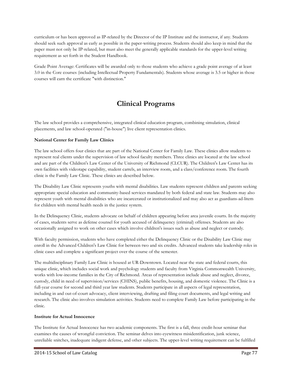curriculum or has been approved as IP-related by the Director of the IP Institute and the instructor, if any. Students should seek such approval as early as possible in the paper-writing process. Students should also keep in mind that the paper must not only be IP-related, but must also meet the generally applicable standards for the upper-level writing requirement as set forth in the Student Handbook.

Grade Point Average: Certificates will be awarded only to those students who achieve a grade point average of at least 3.0 in the Core courses (including Intellectual Property Fundamentals). Students whose average is 3.5 or higher in those courses will earn the certificate "with distinction."

# **Clinical Programs**

The law school provides a comprehensive, integrated clinical education program, combining simulation, clinical placements, and law school-operated ("in-house") live client representation clinics.

# **National Center for Family Law Clinics**

The law school offers four clinics that are part of the National Center for Family Law. These clinics allow students to represent real clients under the supervision of law school faculty members. Three clinics are located at the law school and are part of the Children's Law Center of the University of Richmond (CLCUR). The Children's Law Center has its own facilities with videotape capability, student carrels, an interview room, and a class/conference room. The fourth clinic is the Family Law Clinic. These clinics are described below.

The Disability Law Clinic represents youths with mental disabilities. Law students represent children and parents seeking appropriate special education and community-based services mandated by both federal and state law. Students may also represent youth with mental disabilities who are incarcerated or institutionalized and may also act as guardians-ad-litem for children with mental health needs in the justice system.

In the Delinquency Clinic, students advocate on behalf of children appearing before area juvenile courts. In the majority of cases, students serve as defense counsel for youth accused of delinquency (criminal) offenses. Students are also occasionally assigned to work on other cases which involve children's issues such as abuse and neglect or custody.

With faculty permission, students who have completed either the Delinquency Clinic or the Disability Law Clinic may enroll in the Advanced Children's Law Clinic for between two and six credits. Advanced students take leadership roles in clinic cases and complete a significant project over the course of the semester.

The multidisciplinary Family Law Clinic is housed at UR-Downtown. Located near the state and federal courts, this unique clinic, which includes social work and psychology students and faculty from Virginia Commonwealth University, works with low-income families in the City of Richmond. Areas of representation include abuse and neglect, divorce, custody, child in need of supervision/services (CHINS), public benefits, housing, and domestic violence. The Clinic is a full-year course for second and third year law students. Students participate in all aspects of legal representation, including in and out-of-court advocacy, client interviewing, drafting and filing court documents, and legal writing and research. The clinic also involves simulation activities. Students need to complete Family Law before participating in the clinic.

# **Institute for Actual Innocence**

The Institute for Actual Innocence has two academic components. The first is a fall, three credit-hour seminar that examines the causes of wrongful conviction. The seminar delves into eyewitness misidentification, junk science, unreliable snitches, inadequate indigent defense, and other subjects. The upper-level writing requirement can be fulfilled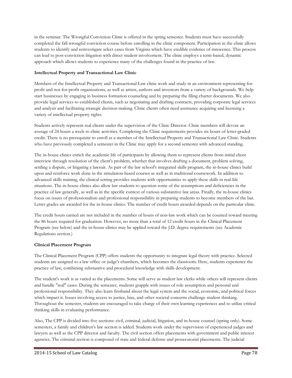in the seminar. The Wrongful Conviction Clinic is offered in the spring semester. Students must have successfully completed the fall wrongful conviction course before enrolling in the clinic component. Participation in the clinic allows students to identify and reinvestigate select cases from Virginia which have credible evidence of innocence. This process can lead to post-conviction litigation with direct student involvement. The clinic employs a term-based, dynamic approach which allows students to experience many of the challenges found in the practice of law.

# **Intellectual Property and Transactional Law Clinic**

Members of the Intellectual Property and Transactional Law clinic work and study in an environment representing forprofit and not-for-profit organizations, as well as artists, authors and inventors from a variety of backgrounds. We help start businesses by engaging in business formation counseling and by preparing the filing charter documents. We also provide legal services to established clients, such as negotiating and drafting contracts, providing corporate legal services and analysis and facilitating strategic decision-making. Clinic clients often need assistance acquiring and licensing a variety of intellectual property rights.

Students actively represent real clients under the supervision of the Clinic Director. Clinic members will devote an average of 24 hours a week to clinic activities. Completing the Clinic requirements provides six hours of letter-graded credit. There is no prerequisite to enroll as a member of the Intellectual Property and Transactional Law Clinic. Students who have previously completed a semester in the Clinic may apply for a second semester with advanced standing.

The in-house clinics enrich the academic life of participants by allowing them to represent clients from initial client interview through resolution of the client's problem, whether that involves drafting a document, problem solving, settling a dispute, or litigating a lawsuit. As part of the law school's integrated skills program, the in-house clinics build upon and reinforce work done in the simulation-based courses as well as in traditional coursework. In addition to advanced skills training, the clinical setting provides students with opportunities to apply these skills in real-life situations. The in-house clinics also allow law students to question some of the assumptions and deficiencies in the practice of law generally, as well as in the specific context of various substantive law areas. Finally, the in-house clinics focus on issues of professionalism and professional responsibility in preparing students to become members of the bar. Letter grades are awarded for the in-house clinics. The number of credit hours awarded depends on the particular clinic.

The credit hours earned are not included in the number of hours of non-law work which can be counted toward meeting the 86 hours required for graduation. However, no more than a total of 12 credit hours in the Clinical Placement Program (see below) and the in-house clinics may be applied toward the J.D. degree requirements (see Academic Regulations section.)

# **Clinical Placement Program**

The Clinical Placement Program (CPP) offers students the opportunity to integrate legal theory with practice. Selected students are assigned to a law office or judge's chambers, which becomes the classroom. Here, students experience the practice of law, combining substantive and procedural knowledge with skills development.

The student's work is as varied as the placements. Some will serve as student law clerks while others will represent clients and handle "real" cases. During the semester, students grapple with issues of role assumption and personal and professional responsibility. They also learn firsthand about the legal system and the social, economic, and political forces which impact it. Issues involving access to justice, bias, and other societal concerns challenge student thinking. Throughout the semester, students are encouraged to take charge of their own learning experiences and to utilize critical thinking skills in evaluating performance.

Also, The CPP is divided into five sections: civil, criminal, judicial, litigation, and in-house counsel (spring only). Some semesters, a family and children's law section is added. Students work under the supervision of experienced judges and lawyers as well as the CPP director and faculty. The civil section offers placements with government and public interest agencies. The criminal section is composed of state and federal defense and prosecutorial placements. The judicial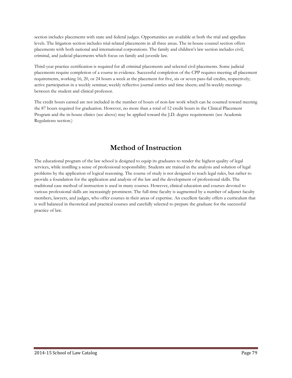section includes placements with state and federal judges. Opportunities are available at both the trial and appellate levels. The litigation section includes trial-related placements in all three areas. The in-house counsel section offers placements with both national and international corporations. The family and children's law section includes civil, criminal, and judicial placements which focus on family and juvenile law.

Third-year practice certification is required for all criminal placements and selected civil placements. Some judicial placements require completion of a course in evidence. Successful completion of the CPP requires meeting all placement requirements, working 16, 20, or 24 hours a week at the placement for five, six or seven pass-fail credits, respectively; active participation in a weekly seminar; weekly reflective journal entries and time sheets; and bi-weekly meetings between the student and clinical professor.

The credit hours earned are not included in the number of hours of non-law work which can be counted toward meeting the 87 hours required for graduation. However, no more than a total of 12 credit hours in the Clinical Placement Program and the in-house clinics (see above) may be applied toward the J.D. degree requirements (see Academic Regulations section.)

# **Method of Instruction**

The educational program of the law school is designed to equip its graduates to render the highest quality of legal services, while instilling a sense of professional responsibility. Students are trained in the analysis and solution of legal problems by the application of logical reasoning. The course of study is not designed to teach legal rules, but rather to provide a foundation for the application and analysis of the law and the development of professional skills. The traditional case method of instruction is used in many courses. However, clinical education and courses devoted to various professional skills are increasingly prominent. The full-time faculty is augmented by a number of adjunct faculty members, lawyers, and judges, who offer courses in their areas of expertise. An excellent faculty offers a curriculum that is well balanced in theoretical and practical courses and carefully selected to prepare the graduate for the successful practice of law.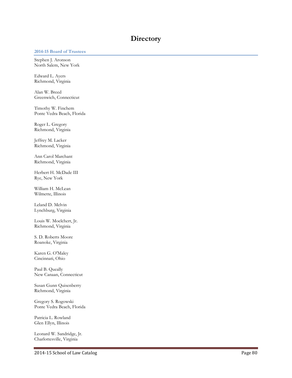# **Directory**

#### **2014-15 Board of Trustees**

Stephen J. Aronson North Salem, New York

Edward L. Ayers Richmond, Virginia

Alan W. Breed Greenwich, Connecticut

Timothy W. Finchem Ponte Vedra Beach, Florida

Roger L. Gregory Richmond, Virginia

Jeffrey M. Lacker Richmond, Virginia

Ann Carol Marchant Richmond, Virginia

Herbert H. McDade III Rye, New York

William H. McLean Wilmette, Illinois

Leland D. Melvin Lynchburg, Virginia

Louis W. Moelchert, Jr. Richmond, Virginia

S. D. Roberts Moore Roanoke, Virginia

Karen G. O'Maley Cincinnati, Ohio

Paul B. Queally New Canaan, Connecticut

Susan Gunn Quisenberry Richmond, Virginia

Gregory S. Rogowski Ponte Vedra Beach, Florida

Patricia L. Rowland Glen Ellyn, Illinois

Leonard W. Sandridge, Jr. Charlottesville, Virginia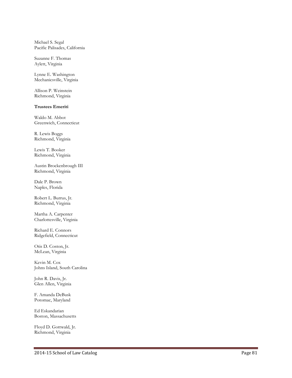Michael S. Segal Pacific Palisades, California

Suzanne F. Thomas Aylett, Virginia

Lynne E. Washington Mechanicsville, Virginia

Allison P. Weinstein Richmond, Virginia

#### **Trustees Emeriti**

Waldo M. Abbot Greenwich, Connecticut

R. Lewis Boggs Richmond, Virginia

Lewis T. Booker Richmond, Virginia

Austin Brockenbrough III Richmond, Virginia

Dale P. Brown Naples, Florida

Robert L. Burrus, Jr. Richmond, Virginia

Martha A. Carpenter Charlottesville, Virginia

Richard E. Connors Ridgefield, Connecticut

Otis D. Coston, Jr. McLean, Virginia

Kevin M. Cox Johns Island, South Carolina

John R. Davis, Jr. Glen Allen, Virginia

F. Amanda DeBusk Potomac, Maryland

Ed Eskandarian Boston, Massachusetts

Floyd D. Gottwald, Jr. Richmond, Virginia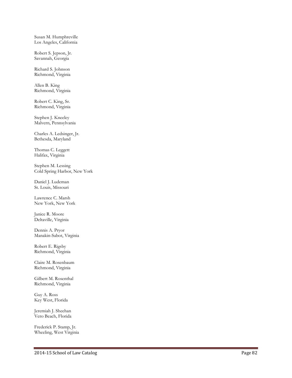Susan M. Humphreville Los Angeles, California

Robert S. Jepson, Jr. Savannah, Georgia

Richard S. Johnson Richmond, Virginia

Allen B. King Richmond, Virginia

Robert C. King, Sr. Richmond, Virginia

Stephen J. Kneeley Malvern, Pennsylvania

Charles A. Ledsinger, Jr. Bethesda, Maryland

Thomas C. Leggett Halifax, Virginia

Stephen M. Lessing Cold Spring Harbor, New York

Daniel J. Ludeman St. Louis, Missouri

Lawrence C. Marsh New York, New York

Janice R. Moore Deltaville, Virginia

Dennis A. Pryor Manakin-Sabot, Virginia

Robert E. Rigsby Richmond, Virginia

Claire M. Rosenbaum Richmond, Virginia

Gilbert M. Rosenthal Richmond, Virginia

Guy A. Ross Key West, Florida

Jeremiah J. Sheehan Vero Beach, Florida

Frederick P. Stamp, Jr. Wheeling, West Virginia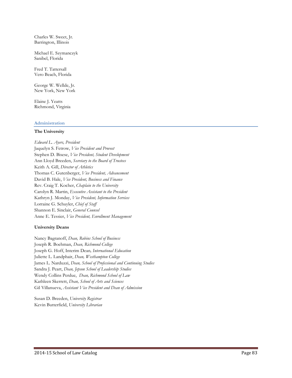Charles W. Sweet, Jr. Barrington, Illinois

Michael E. Szymanczyk Sanibel, Florida

Fred T. Tattersall Vero Beach, Florida

George W. Wellde, Jr. New York, New York

Elaine J. Yeatts Richmond, Virginia

#### **Administration**

#### **The University**

*Edward L. Ayers, President* Jaquelyn S. Fetrow, *Vice President and Provost* Stephen D. Bisese, *Vice President, Student Development* Ann Lloyd Breeden, *Secretary to the Board of Trustees* Keith A. Gill, *Director of Athletics* Thomas C. Gutenberger, *Vice President, Advancement* David B. Hale, *Vice President, Business and Finance* Rev. Craig T. Kocher, *Chaplain to the University* Carolyn R. Martin, *Executive Assistant to the President* Kathryn J. Monday, *Vice President, Information Services* Lorraine G. Schuyler, *Chief of Staff* Shannon E. Sinclair, *General Counsel* Anne E. Tessier, *Vice President, Enrollment Management*

# **University Deans**

Nancy Bagranoff, *Dean, Robins School of Business* Joseph R. Boehman, *Dean, Richmond College* Joseph G. Hoff, Interim Dean*, International Education* Juliette L. Landphair, *Dean, Westhampton College* James L. Narduzzi, *Dean, School of Professional and Continuing Studies* Sandra J. Peart, *Dean, Jepson School of Leadership Studies* Wendy Collins Perdue, *Dean, Richmond School of Law* Kathleen Skerrett, *Dean, School of Arts and Sciences* Gil Villanueva, *Assistant Vice President and Dean of Admission*

Susan D. Breeden, *University Registrar* Kevin Butterfield, *University Librarian*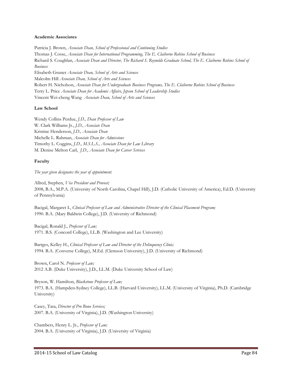#### **Academic Associates**

Patricia J. Brown, *Associate Dean, School of Professional and Continuing Studies* Thomas J. Cosse, *Associate Dean for International Programming, The E. Claiborne Robins School of Business* Richard S. Coughlan, *Associate Dean and Director, The Richard S. Reynolds Graduate School, The E. Claiborne Robins School of Business* Elisabeth Gruner *Associate Dean, School of Arts and Sciences* Malcolm Hill *Associate Dean, School of Arts and Sciences* Robert H. Nicholson, *Associate Dean for Undergraduate Business Programs, The E. Claiborne Robins School of Business* Terry L. Price *Associate Dean for Academic Affairs, Jepson School of Leadership Studies* Vincent Wei-cheng Wang *Associate Dean, School of Arts and Sciences*

# **Law School**

Wendy Collins Perdue, *J.D., Dean Professor of Law* W. Clark Williams Jr., *J.D., Associate Dean* Kristine Henderson, *J.D., Associate Dean* Michelle L. Rahman, *Associate Dean for Admissions* Timothy L. Coggins, *J.D., M.S.L.S., Associate Dean for Law Library* M. Denise Melton Carl, *J.D., Associate Dean for Career Services*

# **Faculty**

*The year given designates the year of appointment.*

Allred, Stephen, *Vice President and Provost;* 2008, B.A., M.P.A. (University of North Carolina, Chapel Hill), J.D. (Catholic University of America), Ed.D. (University of Pennsylvania)

Bacigal, Margaret I., *Clinical Professor of Law and Administrative Director of the Clinical Placement Program;* 1990. B.A. (Mary Baldwin College), J.D. (University of Richmond)

Bacigal, Ronald J., *Professor of Law;* 1971. B.S. (Concord College), LL.B. (Washington and Lee University)

Bartges, Kelley H., *Clinical Professor of Law and Director of the Delinquency Clinic;* 1994. B.A. (Converse College), M.Ed. (Clemson University), J.D. (University of Richmond)

Brown, Carol N. *Professor of Law;* 2012 A.B. (Duke University), J.D., LL.M. (Duke University School of Law)

Bryson, W. Hamilton, *Blackstone Professor of Law;* 1973. B.A. (Hampden-Sydney College), LL.B. (Harvard University), LL.M. (University of Virginia), Ph.D. (Cambridge University)

Casey, Tara, *Director of Pro Bono Services;* 2007. B.A. (University of Virginia), J.D. (Washington University)

Chambers, Henry L. Jr., *Professor of Law;* 2004. B.A. (University of Virginia), J.D. (University of Virginia)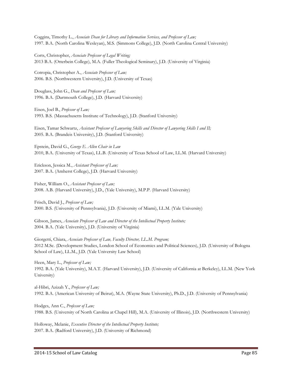Coggins, Timothy L., *Associate Dean for Library and Information Services, and Professor of Law;* 1997. B.A. (North Carolina Wesleyan), M.S. (Simmons College), J.D. (North Carolina Central University)

Corts, Christopher, *Associate Professor of Legal Writing;* 2013 B.A. (Otterbein College), M.A. (Fuller Theological Seminary), J.D. (University of Virginia)

Cotropia, Christopher A., *Associate Professor of Law;* 2006. B.S. (Northwestern University), J.D. (University of Texas)

Douglass, John G., *Dean and Professor of Law;* 1996. B.A. (Dartmouth College), J.D. (Harvard University)

Eisen, Joel B., *Professor of Law;* 1993. B.S. (Massachusetts Institute of Technology), J.D. (Stanford University)

Eisen, Tamar Schwartz, *Assistant Professor of Lawyering Skills and Director of Lawyering Skills I and II;* 2005. B.A. (Brandeis University), J.D. (Stanford University)

Epstein, David G., *George E. Allen Chair in Law* 2010, B.A. (University of Texas), LL.B. (University of Texas School of Law, LL.M. (Harvard University)

Erickson, Jessica M., *Assistant Professor of Law;* 2007. B.A. (Amherst College), J.D. (Harvard University)

Fisher, William O., *Assistant Professor of Law;* 2008. A.B. (Harvard University), J.D., (Yale University), M.P.P. (Harvard University)

Frisch, David J., *Professor of Law;* 2000. B.S. (University of Pennsylvania), J.D. (University of Miami), LL.M. (Yale University)

Gibson, James, *Associate Professor of Law and Director of the Intellectual Property Institute;* 2004. B.A. (Yale University), J.D. (University of Virginia)

Giorgetti, Chiara, *Associate Professor of Law, Faculty Director, LL.M. Program;* 2012 M.Sc. (Development Studies, London School of Economics and Political Sciences), J.D. (University of Bologna School of Law), LL.M., J.D. (Yale University Law School)

Heen, Mary L., *Professor of Law;* 1992. B.A. (Yale University), M.A.T. (Harvard University), J.D. (University of California at Berkeley), LL.M. (New York University)

al-Hibri, Azizah Y., *Professor of Law;* 1992. B.A. (American University of Beirut), M.A. (Wayne State University), Ph.D., J.D. (University of Pennsylvania)

Hodges, Ann C., *Professor of Law;* 1988. B.S. (University of North Carolina at Chapel Hill), M.A. (University of Illinois), J.D. (Northwestern University)

Holloway, Melanie, *Executive Director of the Intellectual Property Institute;* 2007. B.A. (Radford University), J.D. (University of Richmond)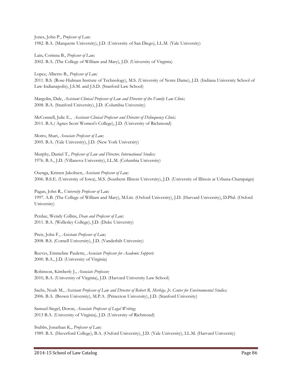Jones, John P., *Professor of Law;* 1982. B.A. (Marquette University), J.D. (University of San Diego), LL.M. (Yale University)

Lain, Corinna B., *Professor of Law;* 2002. B.A. (The College of William and Mary), J.D. (University of Virginia)

Lopez, Alberto B., *Professor of Law;* 2011. B.S. (Rose-Hulman Insttute of Technology), M.S. (University of Notre Dame), J.D. (Indiana University School of Law-Indianapolis), J.S.M. and J.S.D. (Stanford Law School)

Margolin, Dale, *Assistant Clinical Professor of Law and Director of the Family Law Clinic;* 2008. B.A. (Stanford University), J.D. (Columbia University)

McConnell, Julie E., *Assistant Clinical Professor and Director of Delinquency Clinic;*  2011. B.A.( Agnes Scott Women's College), J.D. (University of Richmond)

Motro, Shari, *Associate Professor of Law;* 2005. B.A. (Yale University), J.D. (New York University)

Murphy, Daniel T., *Professor of Law and Director, International Studies;* 1976. B.A., J.D. (Villanova University), LL.M. (Columbia University)

Osenga, Kristen Jakobsen, *Assistant Professor of Law;* 2006. B.S.E. (University of Iowa), M.S. (Southern Illinois University), J.D. (University of Illinois at Urbana-Champaign)

Pagan, John R., *University Professor of Law;* 1997. A.B. (The College of William and Mary), M.Litt. (Oxford University), J.D. (Harvard University), D.Phil. (Oxford University)

Perdue, Wendy Collins, *Dean and Professor of Law;* 2011. B.A. (Wellesley College), J.D. (Duke University)

Preis, John F., *Assistant Professor of Law;* 2008. B.S. (Cornell University), J.D. (Vanderbilt University)

Reeves, Emmeline Paulette, *Associate Professor for Academic Support;* 2000. B.A., J.D. (University of Virginia)

Robinson, Kimberly J., *Associate Professor;* 2010, B.A. (University of Virginia), J.D. (Harvard University Law School)

Sachs, Noah M., *Assistant Professor of Law and Director of Robert R. Merhige, Jr. Center for Environmental Studies;* 2006. B.A. (Brown University), M.P.A. (Princeton University), J.D. (Stanford University)

Samuel-Siegel, Doron, *Associate Professor of Legal Writing;* 2013 B.A. (University of Virginia), J.D. (University of Richmond)

Stubbs, Jonathan K., *Professor of Law;* 1989. B.A. (Haverford College), B.A. (Oxford University), J.D. (Yale University), LL.M. (Harvard University)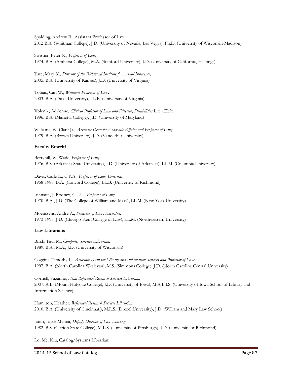Spalding, Andrew B., Assistant Professor of Law; 2012 B.A. (Whitman College), J.D. (University of Nevada, Las Vegas), Ph.D. (University of Wisconsin-Madison)

Swisher, Peter N., *Professor of Law;* 1974. B.A. (Amherst College), M.A. (Stanford University), J.D. (University of California, Hastings)

Tate, Mary K., *Director of the Richmond Institute for Actual Innocence;* 2005. B.A. (University of Kansas), J.D. (University of Virginia)

Tobias, Carl W., *Williams Professor of Law;* 2003. B.A. (Duke University), LL.B. (University of Virginia)

Volenik, Adrienne, *Clinical Professor of Law and Director, Disabilities Law Clinic;* 1996. B.A. (Marietta College), J.D. (University of Maryland)

Williams, W. Clark Jr., *Associate Dean for Academic Affairs and Professor of Law;* 1979. B.A. (Brown University), J.D. (Vanderbilt University)

# **Faculty Emeriti**

Berryhill, W. Wade, *Professor of Law;* 1976. B.S. (Arkansas State University), J.D. (University of Arkansas), LL.M. (Columbia University)

Davis, Carle E., C.P.A., *Professor of Law, Emeritus;* 1958-1988. B.A. (Concord College), LL.B. (University of Richmond)

Johnson, J. Rodney, C.L.U., *Professor of Law;* 1970. B.A., J.D. (The College of William and Mary), LL.M. (New York University)

Moenssens, André A., *Professor of Law, Emeritus;* 1973-1995. J.D. (Chicago-Kent College of Law), LL.M. (Northwestern University)

# **Law Librarians**

Birch, Paul M., *Computer Services Librarian;* 1989. B.A., M.A., J.D. (University of Wisconsin)

Coggins, Timothy L., *Associate Dean for Library and Information Services and Professor of Law;* 1997. B.A. (North Carolina Wesleyan), M.S. (Simmons College), J.D. (North Carolina Central University)

Corriell, Suzanne, *Head Reference/Research Services Librarian;* 2007. A.B. (Mount Holyoke College), J.D. (University of Iowa), M.A.L.I.S. (University of Iowa School of Library and Information Science)

Hamilton, Heather, *Reference/Research Services Librarian;* 2010. B.A. (University of Cincinnati), M.L.S. (Drexel University), J.D. (William and Mary Law School)

Janto, Joyce Manna, *Deputy Director of Law Library;* 1982. B.S. (Clarion State College), M.L.S. (University of Pittsburgh), J.D. (University of Richmond)

Lo, Mei Kiu, Catalog/Systems Librarian;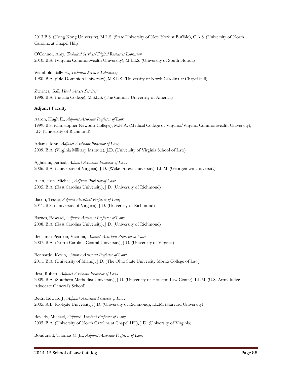2013 B.S. (Hong Kong University), M.L.S. (State University of New York at Buffalo), C.A.S. (University of North Carolina at Chapel Hill)

O'Connor, Amy, *Technical Services/Digital Resources Librarian* 2010. B.A. (Virginia Commonwealth University), M.L.I.S. (University of South Florida)

Wambold, Sally H., *Technical Services Librarian;* 1980. B.A. (Old Dominion University), M.S.L.S. (University of North Carolina at Chapel Hill)

Zwirner, Gail, *Head, Access Services;* 1998. B.A. (Juniata College), M.S.L.S. (The Catholic University of America)

# **Adjunct Faculty**

Aaron, Hugh E., *Adjunct Associate Professor of Law;* 1999. B.S. (Christopher Newport College), M.H.A. (Medical College of Virginia/Virginia Commonwealth University), J.D. (University of Richmond)

Adams, John, *Adjunct Assistant Professor of Law;* 2009. B.A. (Virginia Military Institute), J.D. (University of Virginia School of Law)

Aghdami, Farhad, *Adjunct Assistant Professor of Law;* 2006. B.A. (University of Virginia), J.D. (Wake Forest University), LL.M. (Georgetown University)

Allen, Hon. Michael, *Adjunct Professor of Law;* 2005. B.A. (East Carolina University), J.D. (University of Richmond)

Bacon, Tessie, *Adjunct Assistant Professor of Law;* 2011. B.S. (University of Virginia), J.D. (University of Richmond)

Barnes, Edward, *Adjunct Assistant Professor of Law;* 2008. B.A. (East Carolina University), J.D. (University of Richmond)

Benjamin-Pearson, Victoria, *Adjunct Assistant Professor of Law;* 2007. B.A. (North Carolina Central University), J.D. (University of Virginia)

Bennardo, Kevin, *Adjunct Assistant Professor of Law;* 2011. B.A. (University of Miami), J.D. (The Ohio State University Moritz College of Law)

Best, Robert, *Adjunct Assistant Professor of Law;* 2009. B.A. (Southern Methodist University), J.D. (University of Houston Law Center), LL.M. (U.S. Army Judge Advocate General's School)

Betts, Edward J., *Adjunct Assistant Professor of Law;* 2005. A.B. (Colgate University), J.D. (University of Richmond), LL.M. (Harvard University)

Beverly, Michael, *Adjunct Assistant Professor of Law;* 2005. B.A. (University of North Carolina at Chapel Hill), J.D. (University of Virginia)

Bondurant, Thomas O. Jr., *Adjunct Associate Professor of Law;*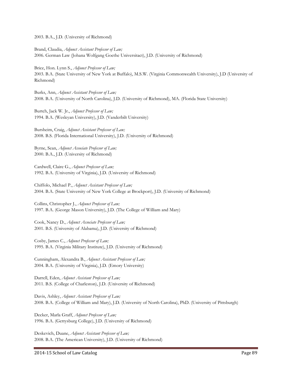2003. B.A., J.D. (University of Richmond)

Brand, Claudia, *Adjunct Assistant Professor of Law;* 2006. German Law (Johana Wolfgang Goethe Universitact), J.D. (University of Richmond)

Brice, Hon. Lynn S., *Adjunct Professor of Law;* 2003. B.A. (State University of New York at Buffalo), M.S.W. (Virginia Commonwealth University), J.D (University of Richmond)

Burks, Ann, *Adjunct Assistant Professor of Law;* 2008. B.A. (University of North Carolina), J.D. (University of Richmond), MA. (Florida State University)

Burtch, Jack W. Jr., *Adjunct Professor of Law;* 1994. B.A. (Wesleyan University), J.D. (Vanderbilt University)

Bursheim, Craig, *Adjunct Assistant Professor of Law;* 2008. B.S. (Florida International University), J.D. (University of Richmond)

Byrne, Sean, *Adjunct Associate Professor of Law;* 2000. B.A., J.D. (University of Richmond)

Cardwell, Claire G., *Adjunct Professor of Law;* 1992. B.A. (University of Virginia), J.D. (University of Richmond)

Chiffolo, Michael P., *Adjunct Assistant Professor of Law;* 2004. B.A. (State University of New York College at Brockport), J.D. (University of Richmond)

Collins, Christopher J., *Adjunct Professor of Law;* 1997. B.A. (George Mason University), J.D. (The College of William and Mary)

Cook, Nancy D., *Adjunct Associate Professor of Law;* 2001. B.S. (University of Alabama), J.D. (University of Richmond)

Cosby, James C., *Adjunct Professor of Law;* 1995. B.A. (Virginia Military Institute), J.D. (University of Richmond)

Cunningham, Alexandra B., *Adjunct Assistant Professor of Law;* 2004. B.A. (University of Virginia), J.D. (Emory University)

Darrell, Eden, *Adjunct Assistant Professor of Law;* 2011. B.S. (College of Charleston), J.D. (University of Richmond)

Davis, Ashley, *Adjunct Assistant Professor of Law;* 2008. B.A. (College of William and Mary), J.D. (University of North Carolina), PhD. (University of Pittsburgh)

Decker, Marla Graff, *Adjunct Professor of Law;* 1996. B.A. (Gettysburg College), J.D. (University of Richmond)

Deskevich, Duane, *Adjunct Assistant Professor of Law;* 2008. B.A. (The American University), J.D. (University of Richmond)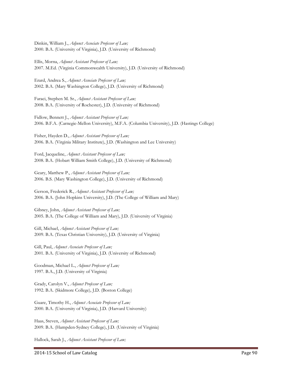Dinkin, William J., *Adjunct Associate Professor of Law;* 2000. B.A. (University of Virginia), J.D. (University of Richmond)

Ellis, Morna, *Adjunct Assistant Professor of Law;* 2007. M.Ed. (Virginia Commonwealth University), J.D. (University of Richmond)

Erard, Andrea S., *Adjunct Associate Professor of Law;* 2002. B.A. (Mary Washington College), J.D. (University of Richmond)

Faraci, Stephen M. Sr., *Adjunct Assistant Professor of Law;* 2008. B.A. (University of Rochester), J.D. (University of Richmond)

Fidlow, Bennett J., *Adjunct Assistant Professor of Law;* 2006. B.F.A. (Carnegie-Mellon University), M.F.A. (Columbia University), J.D. (Hastings College)

Fisher, Hayden D., *Adjunct Assistant Professor of Law;* 2006. B.A. (Virginia Military Institute), J.D. (Washington and Lee University)

Ford, Jacqueline, *Adjunct Assistant Professor of Law;* 2008. B.A. (Hobart William Smith College), J.D. (University of Richmond)

Geary, Matthew P., *Adjunct Assistant Professor of Law;* 2006. B.S. (Mary Washington College), J.D. (University of Richmond)

Gerson, Frederick R., *Adjunct Assistant Professor of Law;* 2006. B.A. (John Hopkins University), J.D. (The College of William and Mary)

Gibney, John, *Adjunct Assistant Professor of Law;* 2005. B.A. (The College of William and Mary), J.D. (University of Virginia)

Gill, Michael, *Adjunct Assistant Professor of Law;* 2009. B.A. (Texas Christian University), J.D. (University of Virginia)

Gill, Paul, *Adjunct Associate Professor of Law;* 2001. B.A. (University of Virginia), J.D. (University of Richmond)

Goodman, Michael L., *Adjunct Professor of Law;* 1997. B.A., J.D. (University of Virginia)

Grady, Carolyn V., *Adjunct Professor of Law;* 1992. B.A. (Skidmore College), J.D. (Boston College)

Guare, Timothy H., *Adjunct Associate Professor of Law;* 2000. B.A. (University of Virginia), J.D. (Harvard University)

Haas, Steven, *Adjunct Assistant Professor of Law;* 2009. B.A. (Hampden-Sydney College), J.D. (University of Virginia)

Hallock, Sarah J., *Adjunct Assistant Professor of Law;*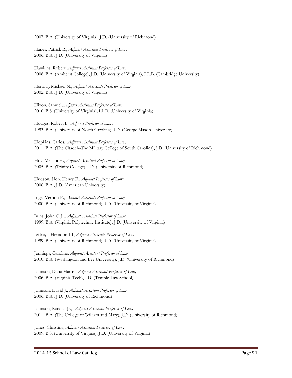2007. B.A. (University of Virginia), J.D. (University of Richmond)

Hanes, Patrick R., *Adjunct Assistant Professor of Law;* 2006. B.A., J.D. (University of Virginia)

Hawkins, Robert, *Adjunct Assistant Professor of Law;* 2008. B.A. (Amherst College), J.D. (University of Virginia), LL.B. (Cambridge University)

Herring, Michael N., *Adjunct Associate Professor of Law;* 2002. B.A., J.D. (University of Virginia)

Hixon, Samuel, *Adjunct Assistant Professor of Law;* 2010. B.S. (University of Virginia), LL.B. (University of Virginia)

Hodges, Robert L., *Adjunct Professor of Law;* 1993. B.A. (University of North Carolina), J.D. (George Mason University)

Hopkins, Carlos, *Adjunct Assistant Professor of Law;* 2011. B.A. (The Citadel--The Military College of South Carolina), J.D. (University of Richmond)

Hoy, Melissa H., *Adjunct Assistant Professor of Law;* 2005. B.A. (Trinity College), J.D. (University of Richmond)

Hudson, Hon. Henry E., *Adjunct Professor of Law;* 2006. B.A., J.D. (American University)

Inge, Vernon E., *Adjunct Associate Professor of Law;* 2000. B.A. (University of Richmond), J.D. (University of Virginia)

Ivins, John C. Jr., *Adjunct Associate Professor of Law;* 1999. B.A. (Virginia Polytechnic Institute), J.D. (University of Virginia)

Jeffreys, Herndon III, *Adjunct Associate Professor of Law;* 1999. B.A. (University of Richmond), J.D. (University of Virginia)

Jennings, Caroline, *Adjunct Assistant Professor of Law;* 2010. B.A. (Washington and Lee University), J.D. (University of Richmond)

Johnson, Dana Martin, *Adjunct Assistant Professor of Law;* 2006. B.A. (Virginia Tech), J.D. (Temple Law School)

Johnson, David J., *Adjunct Assistant Professor of Law;* 2006. B.A., J.D. (University of Richmond)

Johnson, Randall Jr., *Adjunct Assistant Professor of Law;* 2011. B.A. (The College of William and Mary), J.D. (University of Richmond)

Jones, Christina, *Adjunct Assistant Professor of Law;* 2009. B.S. (University of Virginia), J.D. (University of Virginia)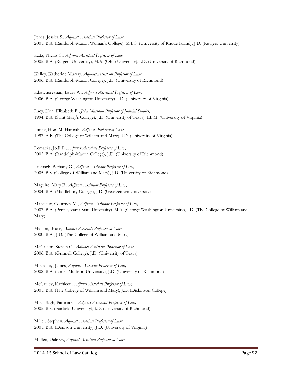Jones, Jessica S., *Adjunct Associate Professor of Law;* 2001. B.A. (Randolph-Macon Woman's College), M.L.S. (University of Rhode Island), J.D. (Rutgers University)

Katz, Phyllis C., *Adjunct Assistant Professor of Law;* 2005. B.A. (Rutgers University), M.A. (Ohio University), J.D. (University of Richmond)

Kelley, Katherine Murray, *Adjunct Assistant Professor of Law;* 2006. B.A. (Randolph-Macon College), J.D. (University of Richmond)

Khatcheressian, Laura W., *Adjunct Assistant Professor of Law;* 2006. B.A. (George Washington University), J.D. (University of Virginia)

Lacy, Hon. Elizabeth B., *John Marshall Professor of Judicial Studies;* 1994. B.A. (Saint Mary's College), J.D. (University of Texas), LL.M. (University of Virginia)

Lauck, Hon. M. Hannah, *Adjunct Professor of Law;* 1997. A.B. (The College of William and Mary), J.D. (University of Virginia)

Lemacks, Jodi E., *Adjunct Associate Professor of Law;* 2002. B.A. (Randolph-Macon College), J.D. (University of Richmond)

Lukitsch, Bethany G., *Adjunct Assistant Professor of Law;* 2005. B.S. (College of William and Mary), J.D. (University of Richmond)

Maguire, Mary E., *Adjunct Assistant Professor of Law;* 2004. B.A. (Middlebury College), J.D. (Georgetown University)

Malveaux, Courtney M., *Adjunct Assistant Professor of Law;* 2007. B.A. (Pennsylvania State University), M.A. (George Washington University), J.D. (The College of William and Mary)

Matson, Bruce, *Adjunct Associate Professor of Law;* 2000. B.A., J.D. (The College of William and Mary)

McCallum, Steven C., *Adjunct Assistant Professor of Law;* 2006. B.A. (Grinnell College), J.D. (University of Texas)

McCauley, James, *Adjunct Associate Professor of Law;* 2002. B.A. (James Madison University), J.D. (University of Richmond)

McCauley, Kathleen, *Adjunct Associate Professor of Law;* 2001. B.A. (The College of William and Mary), J.D. (Dickinson College)

McCullagh, Patricia C., *Adjunct Assistant Professor of Law;* 2005. B.S. (Fairfield University), J.D. (University of Richmond)

Miller, Stephen, *Adjunct Associate Professor of Law;* 2001. B.A. (Denison University), J.D. (University of Virginia)

Mullen, Dale G., *Adjunct Assistant Professor of Law;*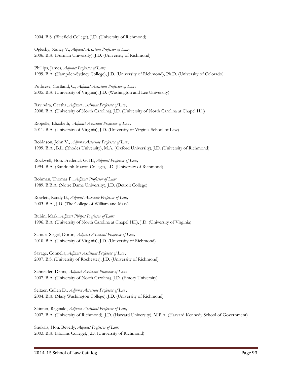2004. B.S. (Bluefield College), J.D. (University of Richmond)

Oglesby, Nancy V., *Adjunct Assistant Professor of Law;* 2006. B.A. (Furman University), J.D. (University of Richmond)

Phillips, James, *Adjunct Professor of Law;* 1999. B.A. (Hampden-Sydney College), J.D. (University of Richmond), Ph.D. (University of Colorado)

Putbrese, Cortland, C., *Adjunct Assistant Professor of Law;* 2005. B.A. (University of Virginia), J.D. (Washington and Lee University)

Ravindra, Geetha, *Adjunct Assistant Professor of Law;* 2008. B.A. (University of North Carolina), J.D. (University of North Carolina at Chapel Hill)

Riopelle, Elizabeth, *Adjunct Assistant Professor of Law;* 2011. B.A. (University of Virginia), J.D. (University of Virginia School of Law)

Robinson, John V., *Adjunct Associate Professor of Law;* 1999. B.A., B.L. (Rhodes University), M.A. (Oxford University), J.D. (University of Richmond)

Rockwell, Hon. Frederick G. III, *Adjunct Professor of Law;* 1994. B.A. (Randolph-Macon College), J.D. (University of Richmond)

Rohman, Thomas P., *Adjunct Professor of Law;* 1989. B.B.A. (Notre Dame University), J.D. (Detroit College)

Rowlett, Randy B., *Adjunct Associate Professor of Law;* 2003. B.A., J.D. (The College of William and Mary)

Rubin, Mark, *Adjunct Philpot Professor of Law;* 1996. B.A. (University of North Carolina at Chapel Hill), J.D. (University of Virginia)

Samuel-Siegel, Doron, *Adjunct Assistant Professor of Law;* 2010. B.A. (University of Virginia), J.D. (University of Richmond)

Savage, Connelia, *Adjunct Assistant Professor of Law;* 2007. B.S. (University of Rochester), J.D. (University of Richmond)

Schneider, Debra, *Adjunct Assistant Professor of Law;* 2007. B.A. (University of North Carolina), J.D. (Emory University)

Seitzer, Cullen D., *Adjunct Associate Professor of Law;* 2004. B.A. (Mary Washington College), J.D. (University of Richmond)

Skinner, Reginald, *Adjunct Assistant Professor of Law;* 2007. B.A. (University of Richmond), J.D. (Harvard University), M.P.A. (Harvard Kennedy School of Government)

Snukals, Hon. Beverly, *Adjunct Professor of Law;* 2003. B.A. (Hollins College), J.D. (University of Richmond)